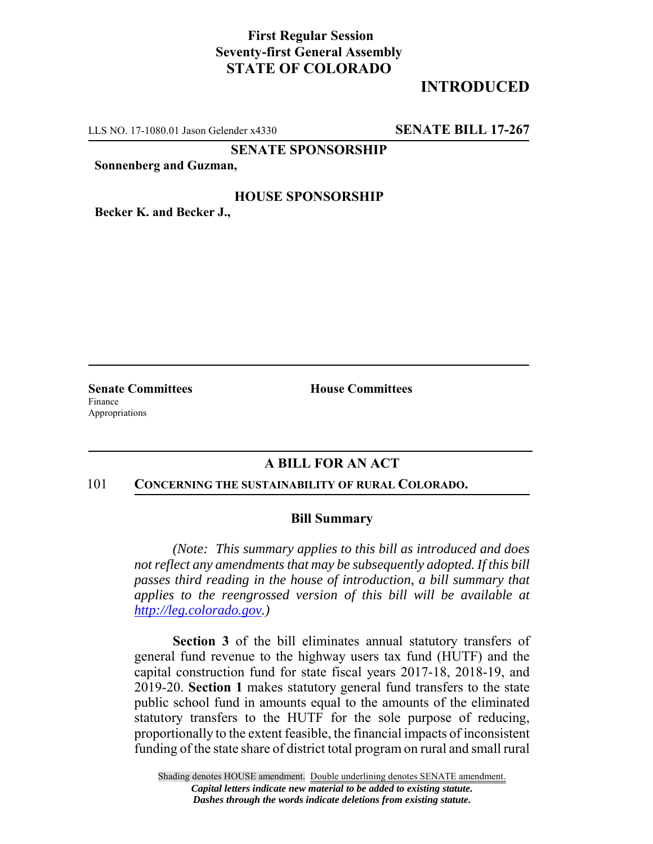# **First Regular Session Seventy-first General Assembly STATE OF COLORADO**

# **INTRODUCED**

LLS NO. 17-1080.01 Jason Gelender x4330 **SENATE BILL 17-267**

**SENATE SPONSORSHIP**

**Sonnenberg and Guzman,**

## **HOUSE SPONSORSHIP**

**Becker K. and Becker J.,**

Finance Appropriations

**Senate Committees House Committees** 

## **A BILL FOR AN ACT**

#### 101 **CONCERNING THE SUSTAINABILITY OF RURAL COLORADO.**

## **Bill Summary**

*(Note: This summary applies to this bill as introduced and does not reflect any amendments that may be subsequently adopted. If this bill passes third reading in the house of introduction, a bill summary that applies to the reengrossed version of this bill will be available at http://leg.colorado.gov.)*

**Section 3** of the bill eliminates annual statutory transfers of general fund revenue to the highway users tax fund (HUTF) and the capital construction fund for state fiscal years 2017-18, 2018-19, and 2019-20. **Section 1** makes statutory general fund transfers to the state public school fund in amounts equal to the amounts of the eliminated statutory transfers to the HUTF for the sole purpose of reducing, proportionally to the extent feasible, the financial impacts of inconsistent funding of the state share of district total program on rural and small rural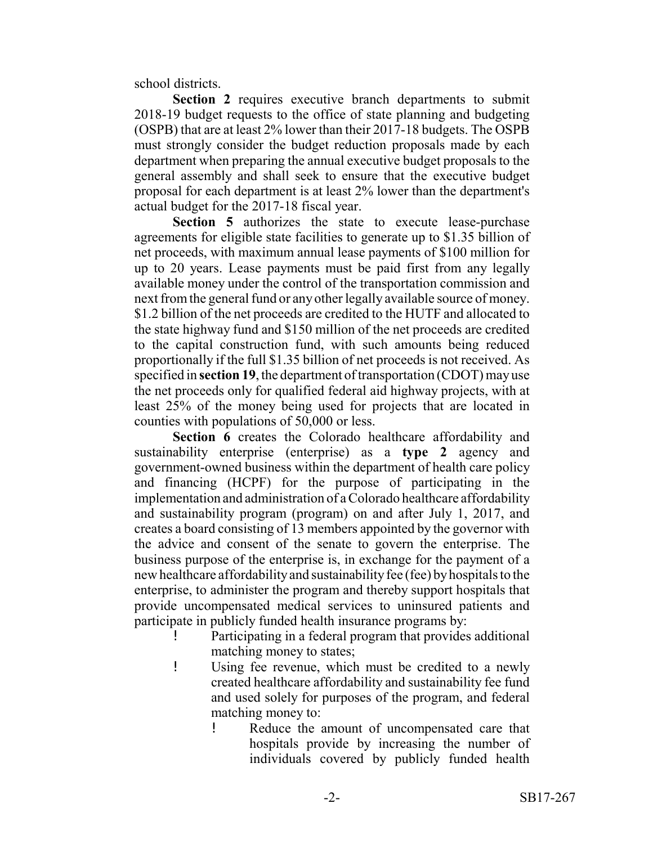school districts.

**Section 2** requires executive branch departments to submit 2018-19 budget requests to the office of state planning and budgeting (OSPB) that are at least 2% lower than their 2017-18 budgets. The OSPB must strongly consider the budget reduction proposals made by each department when preparing the annual executive budget proposals to the general assembly and shall seek to ensure that the executive budget proposal for each department is at least 2% lower than the department's actual budget for the 2017-18 fiscal year.

**Section 5** authorizes the state to execute lease-purchase agreements for eligible state facilities to generate up to \$1.35 billion of net proceeds, with maximum annual lease payments of \$100 million for up to 20 years. Lease payments must be paid first from any legally available money under the control of the transportation commission and next from the general fund or any other legally available source of money. \$1.2 billion of the net proceeds are credited to the HUTF and allocated to the state highway fund and \$150 million of the net proceeds are credited to the capital construction fund, with such amounts being reduced proportionally if the full \$1.35 billion of net proceeds is not received. As specified in **section 19**, the department of transportation (CDOT) may use the net proceeds only for qualified federal aid highway projects, with at least 25% of the money being used for projects that are located in counties with populations of 50,000 or less.

**Section 6** creates the Colorado healthcare affordability and sustainability enterprise (enterprise) as a **type 2** agency and government-owned business within the department of health care policy and financing (HCPF) for the purpose of participating in the implementation and administration of a Colorado healthcare affordability and sustainability program (program) on and after July 1, 2017, and creates a board consisting of 13 members appointed by the governor with the advice and consent of the senate to govern the enterprise. The business purpose of the enterprise is, in exchange for the payment of a new healthcare affordability and sustainability fee (fee) by hospitals to the enterprise, to administer the program and thereby support hospitals that provide uncompensated medical services to uninsured patients and participate in publicly funded health insurance programs by:

- Participating in a federal program that provides additional matching money to states;
- ! Using fee revenue, which must be credited to a newly created healthcare affordability and sustainability fee fund and used solely for purposes of the program, and federal matching money to:
	- ! Reduce the amount of uncompensated care that hospitals provide by increasing the number of individuals covered by publicly funded health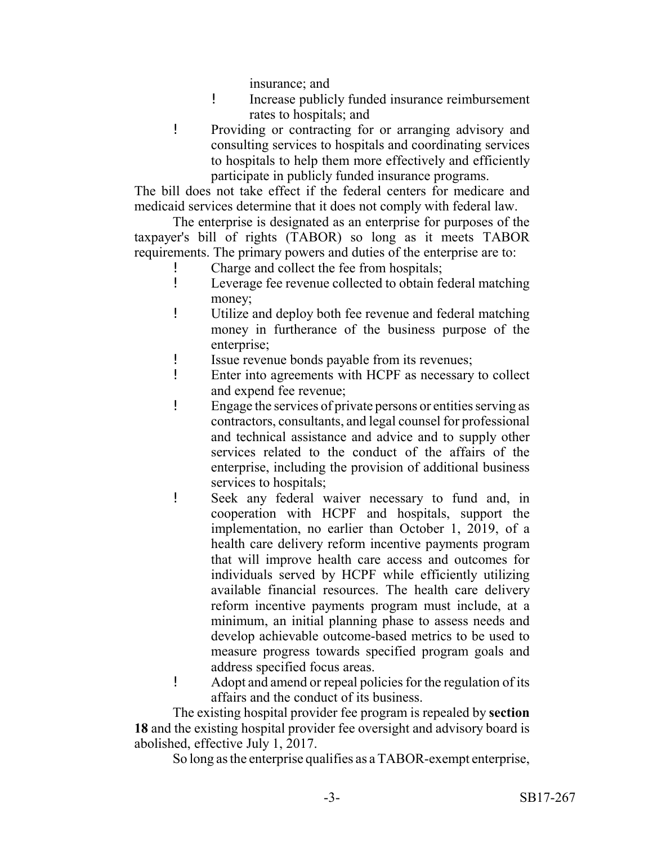insurance; and

- ! Increase publicly funded insurance reimbursement rates to hospitals; and
- ! Providing or contracting for or arranging advisory and consulting services to hospitals and coordinating services to hospitals to help them more effectively and efficiently participate in publicly funded insurance programs.

The bill does not take effect if the federal centers for medicare and medicaid services determine that it does not comply with federal law.

The enterprise is designated as an enterprise for purposes of the taxpayer's bill of rights (TABOR) so long as it meets TABOR requirements. The primary powers and duties of the enterprise are to:

- ! Charge and collect the fee from hospitals;<br>! Leverage fee revenue collected to obtain for
- Leverage fee revenue collected to obtain federal matching money;
- ! Utilize and deploy both fee revenue and federal matching money in furtherance of the business purpose of the enterprise;
- ! Issue revenue bonds payable from its revenues;
- ! Enter into agreements with HCPF as necessary to collect and expend fee revenue;
- ! Engage the services of private persons or entities serving as contractors, consultants, and legal counsel for professional and technical assistance and advice and to supply other services related to the conduct of the affairs of the enterprise, including the provision of additional business services to hospitals;
- ! Seek any federal waiver necessary to fund and, in cooperation with HCPF and hospitals, support the implementation, no earlier than October 1, 2019, of a health care delivery reform incentive payments program that will improve health care access and outcomes for individuals served by HCPF while efficiently utilizing available financial resources. The health care delivery reform incentive payments program must include, at a minimum, an initial planning phase to assess needs and develop achievable outcome-based metrics to be used to measure progress towards specified program goals and address specified focus areas.
- ! Adopt and amend or repeal policies for the regulation of its affairs and the conduct of its business.

The existing hospital provider fee program is repealed by **section 18** and the existing hospital provider fee oversight and advisory board is abolished, effective July 1, 2017.

So long as the enterprise qualifies as a TABOR-exempt enterprise,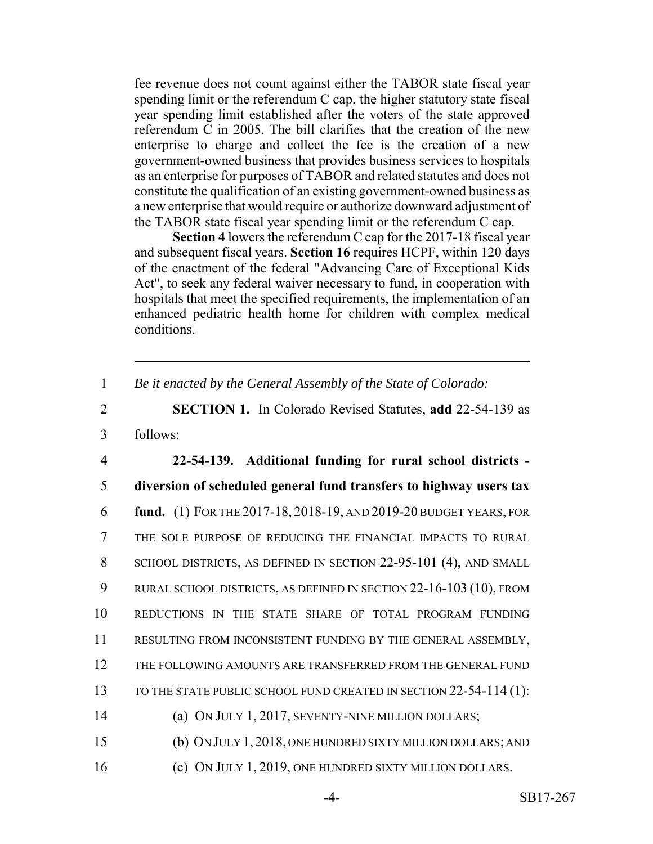fee revenue does not count against either the TABOR state fiscal year spending limit or the referendum C cap, the higher statutory state fiscal year spending limit established after the voters of the state approved referendum C in 2005. The bill clarifies that the creation of the new enterprise to charge and collect the fee is the creation of a new government-owned business that provides business services to hospitals as an enterprise for purposes of TABOR and related statutes and does not constitute the qualification of an existing government-owned business as a new enterprise that would require or authorize downward adjustment of the TABOR state fiscal year spending limit or the referendum C cap.

**Section 4** lowers the referendum C cap for the 2017-18 fiscal year and subsequent fiscal years. **Section 16** requires HCPF, within 120 days of the enactment of the federal "Advancing Care of Exceptional Kids Act", to seek any federal waiver necessary to fund, in cooperation with hospitals that meet the specified requirements, the implementation of an enhanced pediatric health home for children with complex medical conditions.

1 *Be it enacted by the General Assembly of the State of Colorado:*

2 **SECTION 1.** In Colorado Revised Statutes, **add** 22-54-139 as 3 follows:

 **22-54-139. Additional funding for rural school districts - diversion of scheduled general fund transfers to highway users tax fund.** (1) FOR THE 2017-18, 2018-19, AND 2019-20 BUDGET YEARS, FOR THE SOLE PURPOSE OF REDUCING THE FINANCIAL IMPACTS TO RURAL SCHOOL DISTRICTS, AS DEFINED IN SECTION 22-95-101 (4), AND SMALL RURAL SCHOOL DISTRICTS, AS DEFINED IN SECTION 22-16-103 (10), FROM REDUCTIONS IN THE STATE SHARE OF TOTAL PROGRAM FUNDING RESULTING FROM INCONSISTENT FUNDING BY THE GENERAL ASSEMBLY, 12 THE FOLLOWING AMOUNTS ARE TRANSFERRED FROM THE GENERAL FUND 13 TO THE STATE PUBLIC SCHOOL FUND CREATED IN SECTION 22-54-114 (1): (a) ON JULY 1, 2017, SEVENTY-NINE MILLION DOLLARS; (b) ON JULY 1, 2018, ONE HUNDRED SIXTY MILLION DOLLARS; AND

16 (c) ON JULY 1, 2019, ONE HUNDRED SIXTY MILLION DOLLARS.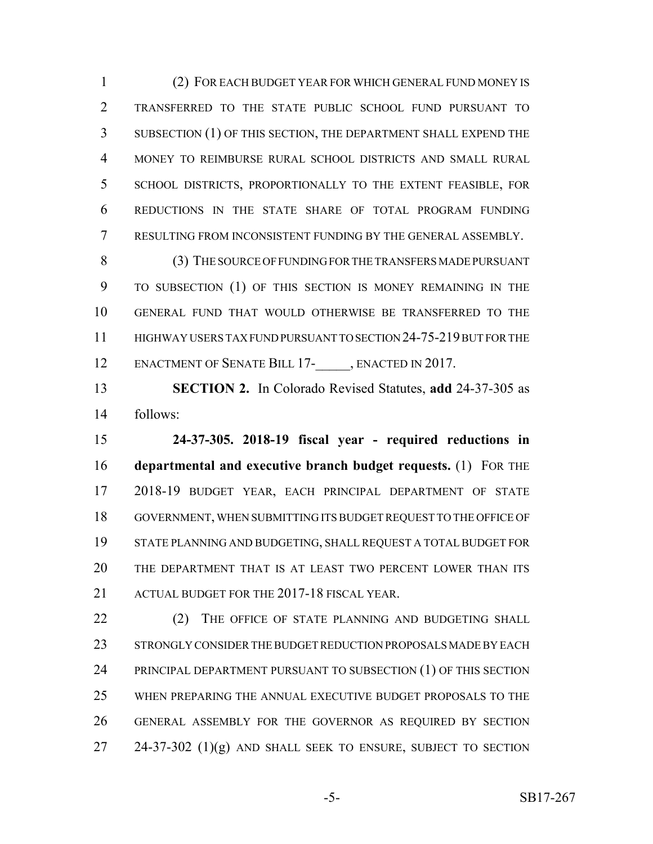(2) FOR EACH BUDGET YEAR FOR WHICH GENERAL FUND MONEY IS TRANSFERRED TO THE STATE PUBLIC SCHOOL FUND PURSUANT TO SUBSECTION (1) OF THIS SECTION, THE DEPARTMENT SHALL EXPEND THE MONEY TO REIMBURSE RURAL SCHOOL DISTRICTS AND SMALL RURAL SCHOOL DISTRICTS, PROPORTIONALLY TO THE EXTENT FEASIBLE, FOR REDUCTIONS IN THE STATE SHARE OF TOTAL PROGRAM FUNDING RESULTING FROM INCONSISTENT FUNDING BY THE GENERAL ASSEMBLY.

 (3) THE SOURCE OF FUNDING FOR THE TRANSFERS MADE PURSUANT TO SUBSECTION (1) OF THIS SECTION IS MONEY REMAINING IN THE GENERAL FUND THAT WOULD OTHERWISE BE TRANSFERRED TO THE HIGHWAY USERS TAX FUND PURSUANT TO SECTION 24-75-219 BUT FOR THE 12 ENACTMENT OF SENATE BILL 17- , ENACTED IN 2017.

 **SECTION 2.** In Colorado Revised Statutes, **add** 24-37-305 as follows:

 **24-37-305. 2018-19 fiscal year - required reductions in departmental and executive branch budget requests.** (1) FOR THE 2018-19 BUDGET YEAR, EACH PRINCIPAL DEPARTMENT OF STATE GOVERNMENT, WHEN SUBMITTING ITS BUDGET REQUEST TO THE OFFICE OF STATE PLANNING AND BUDGETING, SHALL REQUEST A TOTAL BUDGET FOR THE DEPARTMENT THAT IS AT LEAST TWO PERCENT LOWER THAN ITS ACTUAL BUDGET FOR THE 2017-18 FISCAL YEAR.

22 (2) THE OFFICE OF STATE PLANNING AND BUDGETING SHALL STRONGLY CONSIDER THE BUDGET REDUCTION PROPOSALS MADE BY EACH PRINCIPAL DEPARTMENT PURSUANT TO SUBSECTION (1) OF THIS SECTION WHEN PREPARING THE ANNUAL EXECUTIVE BUDGET PROPOSALS TO THE GENERAL ASSEMBLY FOR THE GOVERNOR AS REQUIRED BY SECTION 24-37-302 (1)(g) AND SHALL SEEK TO ENSURE, SUBJECT TO SECTION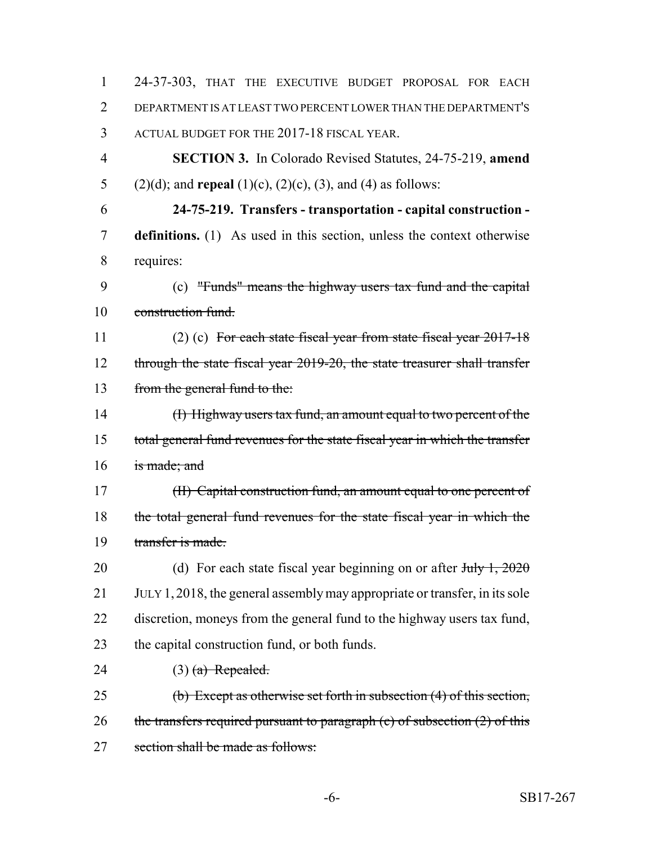| $\mathbf{1}$   | 24-37-303, THAT THE EXECUTIVE BUDGET PROPOSAL FOR EACH                                      |
|----------------|---------------------------------------------------------------------------------------------|
| $\overline{2}$ | DEPARTMENT IS AT LEAST TWO PERCENT LOWER THAN THE DEPARTMENT'S                              |
| 3              | ACTUAL BUDGET FOR THE 2017-18 FISCAL YEAR.                                                  |
| $\overline{4}$ | <b>SECTION 3.</b> In Colorado Revised Statutes, 24-75-219, amend                            |
| 5              | $(2)(d)$ ; and <b>repeal</b> $(1)(c)$ , $(2)(c)$ , $(3)$ , and $(4)$ as follows:            |
| 6              | 24-75-219. Transfers - transportation - capital construction -                              |
| 7              | <b>definitions.</b> (1) As used in this section, unless the context otherwise               |
| 8              | requires:                                                                                   |
| 9              | (c) "Funds" means the highway users tax fund and the capital                                |
| 10             | construction fund.                                                                          |
| 11             | $(2)$ (c) For each state fiscal year from state fiscal year $2017-18$                       |
| 12             | through the state fiscal year 2019-20, the state treasurer shall transfer                   |
| 13             | from the general fund to the:                                                               |
| 14             | (I) Highway users tax fund, an amount equal to two percent of the                           |
| 15             | total general fund revenues for the state fiscal year in which the transfer                 |
| 16             | is made; and                                                                                |
| 17             | (II) Capital construction fund, an amount equal to one percent of                           |
| 18             | the total general fund revenues for the state fiscal year in which the                      |
| 19             | transfer is made.                                                                           |
| 20             | (d) For each state fiscal year beginning on or after $J_{\text{t}}$ $\rightarrow$ $1, 2020$ |
| 21             | JULY 1, 2018, the general assembly may appropriate or transfer, in its sole                 |
| 22             | discretion, moneys from the general fund to the highway users tax fund,                     |
| 23             | the capital construction fund, or both funds.                                               |
| 24             | $(3)$ (a) Repealed.                                                                         |
| 25             | (b) Except as otherwise set forth in subsection (4) of this section,                        |
| 26             | the transfers required pursuant to paragraph $(c)$ of subsection $(2)$ of this              |
| 27             | section shall be made as follows:                                                           |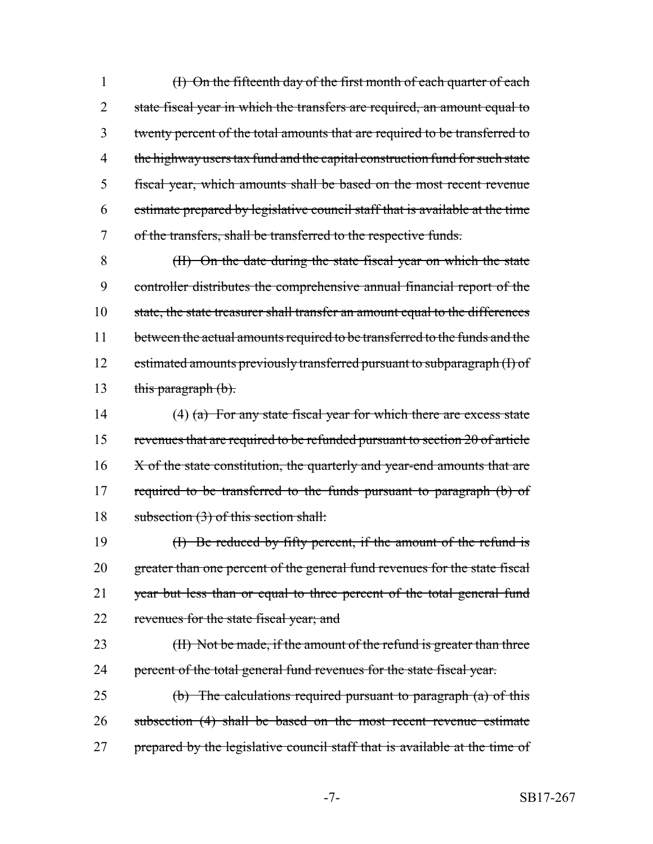(I) On the fifteenth day of the first month of each quarter of each 2 state fiscal year in which the transfers are required, an amount equal to twenty percent of the total amounts that are required to be transferred to 4 the highway users tax fund and the capital construction fund for such state fiscal year, which amounts shall be based on the most recent revenue estimate prepared by legislative council staff that is available at the time of the transfers, shall be transferred to the respective funds.

8 (II) On the date during the state fiscal year on which the state 9 controller distributes the comprehensive annual financial report of the 10 state, the state treasurer shall transfer an amount equal to the differences 11 between the actual amounts required to be transferred to the funds and the 12 estimated amounts previously transferred pursuant to subparagraph (I) of 13 this paragraph  $(b)$ .

14 (4) (a) For any state fiscal year for which there are excess state 15 revenues that are required to be refunded pursuant to section 20 of article 16 X of the state constitution, the quarterly and year-end amounts that are 17 required to be transferred to the funds pursuant to paragraph (b) of 18 subsection (3) of this section shall:

19 (I) Be reduced by fifty percent, if the amount of the refund is 20 greater than one percent of the general fund revenues for the state fiscal 21 year but less than or equal to three percent of the total general fund 22 revenues for the state fiscal year; and

23 (II) Not be made, if the amount of the refund is greater than three 24 percent of the total general fund revenues for the state fiscal year.

25 (b) The calculations required pursuant to paragraph (a) of this 26 subsection (4) shall be based on the most recent revenue estimate 27 prepared by the legislative council staff that is available at the time of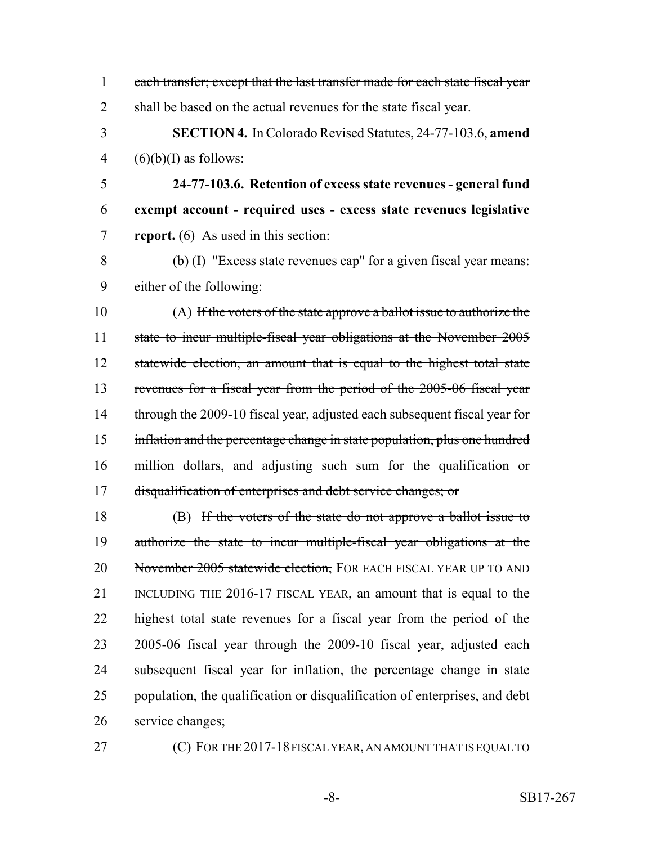each transfer; except that the last transfer made for each state fiscal year 2 shall be based on the actual revenues for the state fiscal year.

 **SECTION 4.** In Colorado Revised Statutes, 24-77-103.6, **amend** 4  $(6)(b)(I)$  as follows:

 **24-77-103.6. Retention of excess state revenues - general fund exempt account - required uses - excess state revenues legislative report.** (6) As used in this section:

 (b) (I) "Excess state revenues cap" for a given fiscal year means: either of the following:

 (A) If the voters of the state approve a ballot issue to authorize the state to incur multiple-fiscal year obligations at the November 2005 12 statewide election, an amount that is equal to the highest total state revenues for a fiscal year from the period of the 2005-06 fiscal year 14 through the 2009-10 fiscal year, adjusted each subsequent fiscal year for inflation and the percentage change in state population, plus one hundred million dollars, and adjusting such sum for the qualification or disqualification of enterprises and debt service changes; or

 (B) If the voters of the state do not approve a ballot issue to authorize the state to incur multiple-fiscal year obligations at the 20 November 2005 statewide election, FOR EACH FISCAL YEAR UP TO AND INCLUDING THE 2016-17 FISCAL YEAR, an amount that is equal to the highest total state revenues for a fiscal year from the period of the 2005-06 fiscal year through the 2009-10 fiscal year, adjusted each subsequent fiscal year for inflation, the percentage change in state population, the qualification or disqualification of enterprises, and debt service changes;

**(C) FOR THE 2017-18 FISCAL YEAR, AN AMOUNT THAT IS EQUAL TO**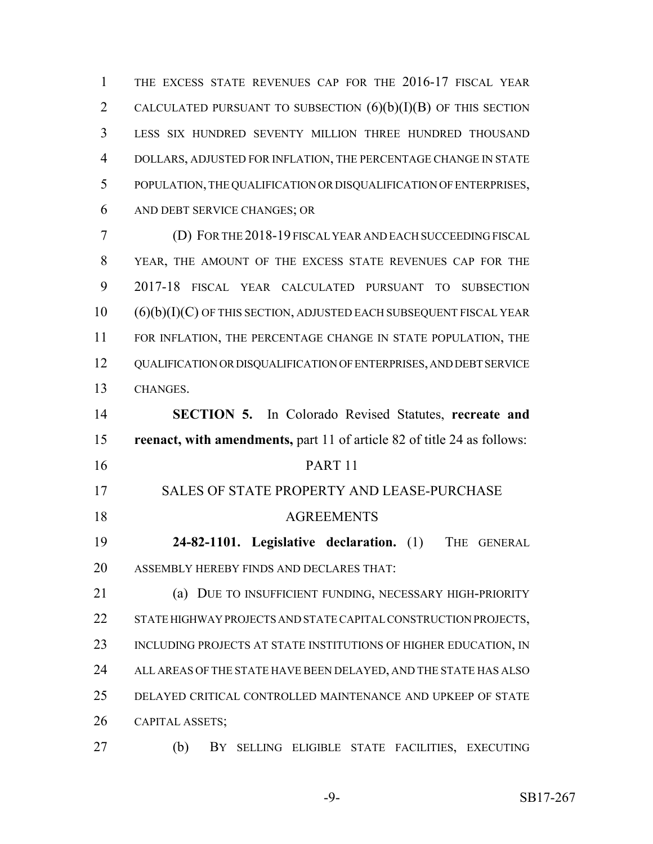THE EXCESS STATE REVENUES CAP FOR THE 2016-17 FISCAL YEAR 2 CALCULATED PURSUANT TO SUBSECTION  $(6)(b)(I)(B)$  OF THIS SECTION LESS SIX HUNDRED SEVENTY MILLION THREE HUNDRED THOUSAND DOLLARS, ADJUSTED FOR INFLATION, THE PERCENTAGE CHANGE IN STATE POPULATION, THE QUALIFICATION OR DISQUALIFICATION OF ENTERPRISES, AND DEBT SERVICE CHANGES; OR

 (D) FOR THE 2018-19 FISCAL YEAR AND EACH SUCCEEDING FISCAL YEAR, THE AMOUNT OF THE EXCESS STATE REVENUES CAP FOR THE 2017-18 FISCAL YEAR CALCULATED PURSUANT TO SUBSECTION (6)(b)(I)(C) OF THIS SECTION, ADJUSTED EACH SUBSEQUENT FISCAL YEAR 11 FOR INFLATION, THE PERCENTAGE CHANGE IN STATE POPULATION, THE QUALIFICATION OR DISQUALIFICATION OF ENTERPRISES, AND DEBT SERVICE CHANGES.

 **SECTION 5.** In Colorado Revised Statutes, **recreate and reenact, with amendments,** part 11 of article 82 of title 24 as follows:

- 
- PART 11
- SALES OF STATE PROPERTY AND LEASE-PURCHASE 18 AGREEMENTS

 **24-82-1101. Legislative declaration.** (1) THE GENERAL ASSEMBLY HEREBY FINDS AND DECLARES THAT:

 (a) DUE TO INSUFFICIENT FUNDING, NECESSARY HIGH-PRIORITY 22 STATE HIGHWAY PROJECTS AND STATE CAPITAL CONSTRUCTION PROJECTS, INCLUDING PROJECTS AT STATE INSTITUTIONS OF HIGHER EDUCATION, IN 24 ALL AREAS OF THE STATE HAVE BEEN DELAYED, AND THE STATE HAS ALSO DELAYED CRITICAL CONTROLLED MAINTENANCE AND UPKEEP OF STATE CAPITAL ASSETS;

(b) BY SELLING ELIGIBLE STATE FACILITIES, EXECUTING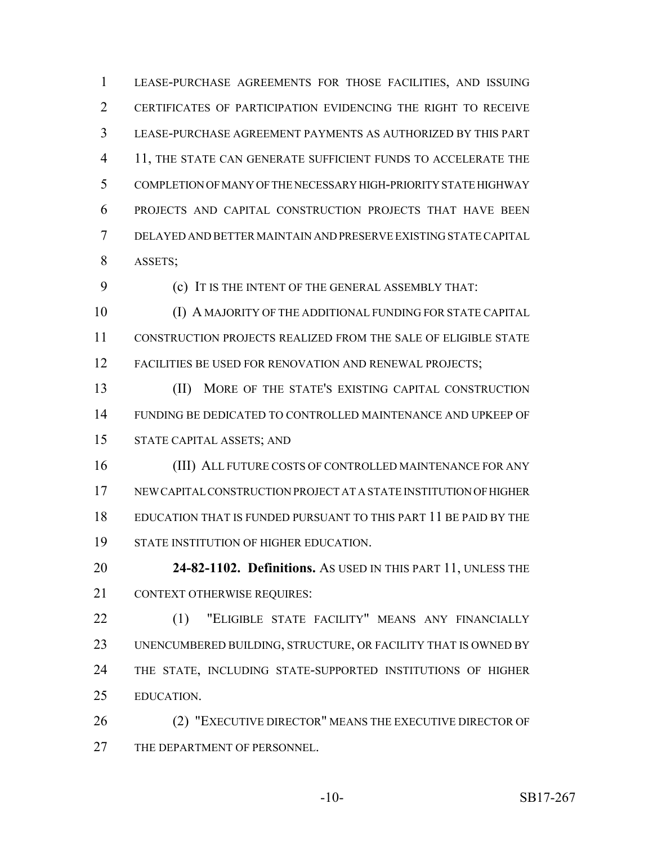LEASE-PURCHASE AGREEMENTS FOR THOSE FACILITIES, AND ISSUING CERTIFICATES OF PARTICIPATION EVIDENCING THE RIGHT TO RECEIVE LEASE-PURCHASE AGREEMENT PAYMENTS AS AUTHORIZED BY THIS PART 4 11, THE STATE CAN GENERATE SUFFICIENT FUNDS TO ACCELERATE THE COMPLETION OF MANY OF THE NECESSARY HIGH-PRIORITY STATE HIGHWAY PROJECTS AND CAPITAL CONSTRUCTION PROJECTS THAT HAVE BEEN DELAYED AND BETTER MAINTAIN AND PRESERVE EXISTING STATE CAPITAL ASSETS;

(c) IT IS THE INTENT OF THE GENERAL ASSEMBLY THAT:

 (I) A MAJORITY OF THE ADDITIONAL FUNDING FOR STATE CAPITAL CONSTRUCTION PROJECTS REALIZED FROM THE SALE OF ELIGIBLE STATE 12 FACILITIES BE USED FOR RENOVATION AND RENEWAL PROJECTS;

13 (II) MORE OF THE STATE'S EXISTING CAPITAL CONSTRUCTION FUNDING BE DEDICATED TO CONTROLLED MAINTENANCE AND UPKEEP OF STATE CAPITAL ASSETS; AND

 (III) ALL FUTURE COSTS OF CONTROLLED MAINTENANCE FOR ANY NEW CAPITAL CONSTRUCTION PROJECT AT A STATE INSTITUTION OF HIGHER EDUCATION THAT IS FUNDED PURSUANT TO THIS PART 11 BE PAID BY THE STATE INSTITUTION OF HIGHER EDUCATION.

 **24-82-1102. Definitions.** AS USED IN THIS PART 11, UNLESS THE 21 CONTEXT OTHERWISE REQUIRES:

22 (1) "ELIGIBLE STATE FACILITY" MEANS ANY FINANCIALLY UNENCUMBERED BUILDING, STRUCTURE, OR FACILITY THAT IS OWNED BY THE STATE, INCLUDING STATE-SUPPORTED INSTITUTIONS OF HIGHER EDUCATION.

26 (2) "EXECUTIVE DIRECTOR" MEANS THE EXECUTIVE DIRECTOR OF 27 THE DEPARTMENT OF PERSONNEL.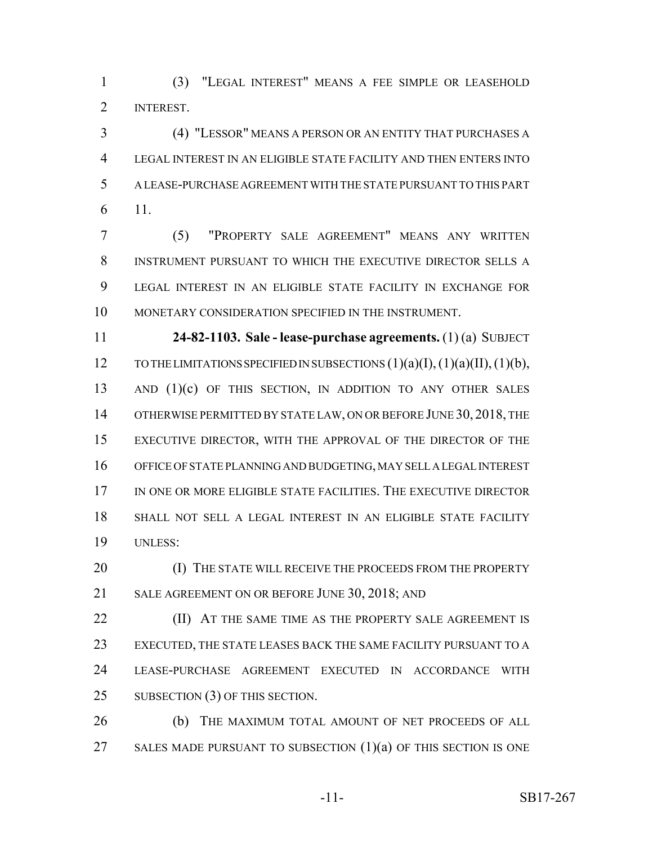(3) "LEGAL INTEREST" MEANS A FEE SIMPLE OR LEASEHOLD INTEREST.

 (4) "LESSOR" MEANS A PERSON OR AN ENTITY THAT PURCHASES A LEGAL INTEREST IN AN ELIGIBLE STATE FACILITY AND THEN ENTERS INTO A LEASE-PURCHASE AGREEMENT WITH THE STATE PURSUANT TO THIS PART 11.

 (5) "PROPERTY SALE AGREEMENT" MEANS ANY WRITTEN INSTRUMENT PURSUANT TO WHICH THE EXECUTIVE DIRECTOR SELLS A LEGAL INTEREST IN AN ELIGIBLE STATE FACILITY IN EXCHANGE FOR MONETARY CONSIDERATION SPECIFIED IN THE INSTRUMENT.

 **24-82-1103. Sale - lease-purchase agreements.** (1) (a) SUBJECT 12 TO THE LIMITATIONS SPECIFIED IN SUBSECTIONS  $(1)(a)(I), (1)(a)(II), (1)(b),$ 13 AND (1)(c) OF THIS SECTION, IN ADDITION TO ANY OTHER SALES 14 OTHERWISE PERMITTED BY STATE LAW, ON OR BEFORE JUNE 30, 2018, THE EXECUTIVE DIRECTOR, WITH THE APPROVAL OF THE DIRECTOR OF THE OFFICE OF STATE PLANNING AND BUDGETING, MAY SELL A LEGAL INTEREST 17 IN ONE OR MORE ELIGIBLE STATE FACILITIES. THE EXECUTIVE DIRECTOR SHALL NOT SELL A LEGAL INTEREST IN AN ELIGIBLE STATE FACILITY UNLESS:

20 (I) THE STATE WILL RECEIVE THE PROCEEDS FROM THE PROPERTY 21 SALE AGREEMENT ON OR BEFORE JUNE 30, 2018; AND

**(II)** AT THE SAME TIME AS THE PROPERTY SALE AGREEMENT IS EXECUTED, THE STATE LEASES BACK THE SAME FACILITY PURSUANT TO A LEASE-PURCHASE AGREEMENT EXECUTED IN ACCORDANCE WITH 25 SUBSECTION (3) OF THIS SECTION.

**(b)** THE MAXIMUM TOTAL AMOUNT OF NET PROCEEDS OF ALL 27 SALES MADE PURSUANT TO SUBSECTION (1)(a) OF THIS SECTION IS ONE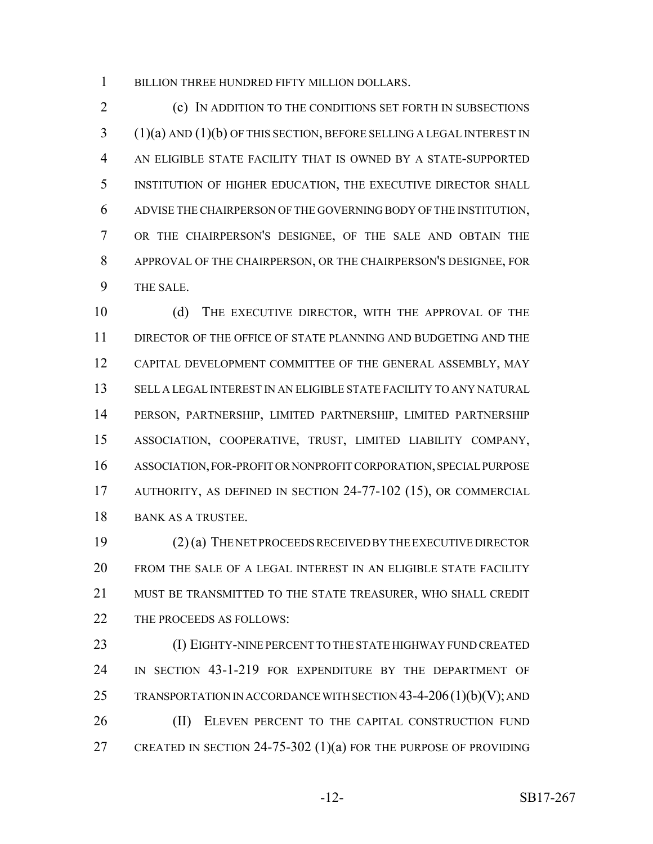BILLION THREE HUNDRED FIFTY MILLION DOLLARS.

 (c) IN ADDITION TO THE CONDITIONS SET FORTH IN SUBSECTIONS (1)(a) AND (1)(b) OF THIS SECTION, BEFORE SELLING A LEGAL INTEREST IN AN ELIGIBLE STATE FACILITY THAT IS OWNED BY A STATE-SUPPORTED INSTITUTION OF HIGHER EDUCATION, THE EXECUTIVE DIRECTOR SHALL ADVISE THE CHAIRPERSON OF THE GOVERNING BODY OF THE INSTITUTION, OR THE CHAIRPERSON'S DESIGNEE, OF THE SALE AND OBTAIN THE APPROVAL OF THE CHAIRPERSON, OR THE CHAIRPERSON'S DESIGNEE, FOR THE SALE.

10 (d) THE EXECUTIVE DIRECTOR, WITH THE APPROVAL OF THE DIRECTOR OF THE OFFICE OF STATE PLANNING AND BUDGETING AND THE CAPITAL DEVELOPMENT COMMITTEE OF THE GENERAL ASSEMBLY, MAY SELL A LEGAL INTEREST IN AN ELIGIBLE STATE FACILITY TO ANY NATURAL PERSON, PARTNERSHIP, LIMITED PARTNERSHIP, LIMITED PARTNERSHIP ASSOCIATION, COOPERATIVE, TRUST, LIMITED LIABILITY COMPANY, ASSOCIATION, FOR-PROFIT OR NONPROFIT CORPORATION, SPECIAL PURPOSE AUTHORITY, AS DEFINED IN SECTION 24-77-102 (15), OR COMMERCIAL BANK AS A TRUSTEE.

 (2) (a) THE NET PROCEEDS RECEIVED BY THE EXECUTIVE DIRECTOR FROM THE SALE OF A LEGAL INTEREST IN AN ELIGIBLE STATE FACILITY MUST BE TRANSMITTED TO THE STATE TREASURER, WHO SHALL CREDIT THE PROCEEDS AS FOLLOWS:

 (I) EIGHTY-NINE PERCENT TO THE STATE HIGHWAY FUND CREATED IN SECTION 43-1-219 FOR EXPENDITURE BY THE DEPARTMENT OF 25 TRANSPORTATION IN ACCORDANCE WITH SECTION  $43-4-206(1)(b)(V)$ ; AND 26 (II) ELEVEN PERCENT TO THE CAPITAL CONSTRUCTION FUND CREATED IN SECTION 24-75-302 (1)(a) FOR THE PURPOSE OF PROVIDING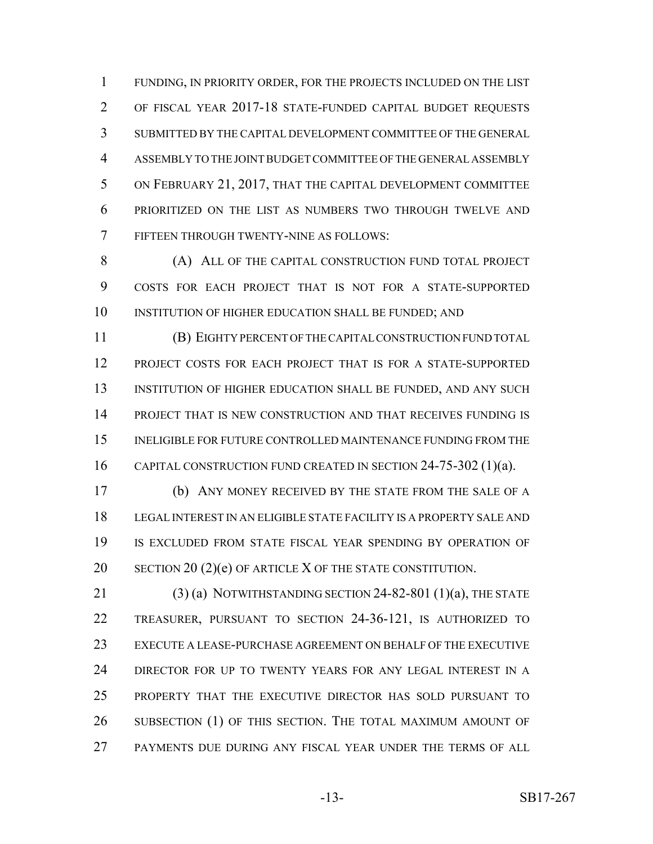FUNDING, IN PRIORITY ORDER, FOR THE PROJECTS INCLUDED ON THE LIST OF FISCAL YEAR 2017-18 STATE-FUNDED CAPITAL BUDGET REQUESTS SUBMITTED BY THE CAPITAL DEVELOPMENT COMMITTEE OF THE GENERAL ASSEMBLY TO THE JOINT BUDGET COMMITTEE OF THE GENERAL ASSEMBLY ON FEBRUARY 21, 2017, THAT THE CAPITAL DEVELOPMENT COMMITTEE PRIORITIZED ON THE LIST AS NUMBERS TWO THROUGH TWELVE AND FIFTEEN THROUGH TWENTY-NINE AS FOLLOWS:

8 (A) ALL OF THE CAPITAL CONSTRUCTION FUND TOTAL PROJECT COSTS FOR EACH PROJECT THAT IS NOT FOR A STATE-SUPPORTED 10 INSTITUTION OF HIGHER EDUCATION SHALL BE FUNDED; AND

 (B) EIGHTY PERCENT OF THE CAPITAL CONSTRUCTION FUND TOTAL PROJECT COSTS FOR EACH PROJECT THAT IS FOR A STATE-SUPPORTED 13 INSTITUTION OF HIGHER EDUCATION SHALL BE FUNDED, AND ANY SUCH PROJECT THAT IS NEW CONSTRUCTION AND THAT RECEIVES FUNDING IS INELIGIBLE FOR FUTURE CONTROLLED MAINTENANCE FUNDING FROM THE CAPITAL CONSTRUCTION FUND CREATED IN SECTION 24-75-302 (1)(a).

 (b) ANY MONEY RECEIVED BY THE STATE FROM THE SALE OF A LEGAL INTEREST IN AN ELIGIBLE STATE FACILITY IS A PROPERTY SALE AND IS EXCLUDED FROM STATE FISCAL YEAR SPENDING BY OPERATION OF 20 SECTION 20 (2)(e) OF ARTICLE X OF THE STATE CONSTITUTION.

21 (3) (a) NOTWITHSTANDING SECTION  $24-82-801$  (1)(a), THE STATE TREASURER, PURSUANT TO SECTION 24-36-121, IS AUTHORIZED TO EXECUTE A LEASE-PURCHASE AGREEMENT ON BEHALF OF THE EXECUTIVE 24 DIRECTOR FOR UP TO TWENTY YEARS FOR ANY LEGAL INTEREST IN A PROPERTY THAT THE EXECUTIVE DIRECTOR HAS SOLD PURSUANT TO SUBSECTION (1) OF THIS SECTION. THE TOTAL MAXIMUM AMOUNT OF PAYMENTS DUE DURING ANY FISCAL YEAR UNDER THE TERMS OF ALL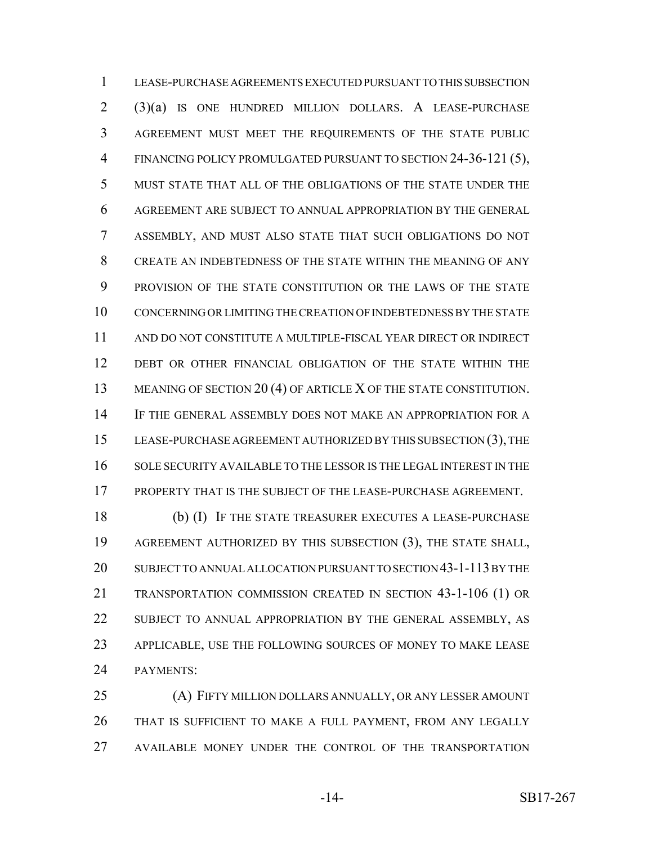LEASE-PURCHASE AGREEMENTS EXECUTED PURSUANT TO THIS SUBSECTION (3)(a) IS ONE HUNDRED MILLION DOLLARS. A LEASE-PURCHASE AGREEMENT MUST MEET THE REQUIREMENTS OF THE STATE PUBLIC FINANCING POLICY PROMULGATED PURSUANT TO SECTION 24-36-121 (5), MUST STATE THAT ALL OF THE OBLIGATIONS OF THE STATE UNDER THE AGREEMENT ARE SUBJECT TO ANNUAL APPROPRIATION BY THE GENERAL ASSEMBLY, AND MUST ALSO STATE THAT SUCH OBLIGATIONS DO NOT CREATE AN INDEBTEDNESS OF THE STATE WITHIN THE MEANING OF ANY PROVISION OF THE STATE CONSTITUTION OR THE LAWS OF THE STATE CONCERNING OR LIMITING THE CREATION OF INDEBTEDNESS BY THE STATE AND DO NOT CONSTITUTE A MULTIPLE-FISCAL YEAR DIRECT OR INDIRECT DEBT OR OTHER FINANCIAL OBLIGATION OF THE STATE WITHIN THE 13 MEANING OF SECTION 20 (4) OF ARTICLE X OF THE STATE CONSTITUTION. IF THE GENERAL ASSEMBLY DOES NOT MAKE AN APPROPRIATION FOR A LEASE-PURCHASE AGREEMENT AUTHORIZED BY THIS SUBSECTION (3), THE SOLE SECURITY AVAILABLE TO THE LESSOR IS THE LEGAL INTEREST IN THE PROPERTY THAT IS THE SUBJECT OF THE LEASE-PURCHASE AGREEMENT.

 (b) (I) IF THE STATE TREASURER EXECUTES A LEASE-PURCHASE AGREEMENT AUTHORIZED BY THIS SUBSECTION (3), THE STATE SHALL, SUBJECT TO ANNUAL ALLOCATION PURSUANT TO SECTION 43-1-113 BY THE TRANSPORTATION COMMISSION CREATED IN SECTION 43-1-106 (1) OR SUBJECT TO ANNUAL APPROPRIATION BY THE GENERAL ASSEMBLY, AS APPLICABLE, USE THE FOLLOWING SOURCES OF MONEY TO MAKE LEASE PAYMENTS:

 (A) FIFTY MILLION DOLLARS ANNUALLY, OR ANY LESSER AMOUNT THAT IS SUFFICIENT TO MAKE A FULL PAYMENT, FROM ANY LEGALLY AVAILABLE MONEY UNDER THE CONTROL OF THE TRANSPORTATION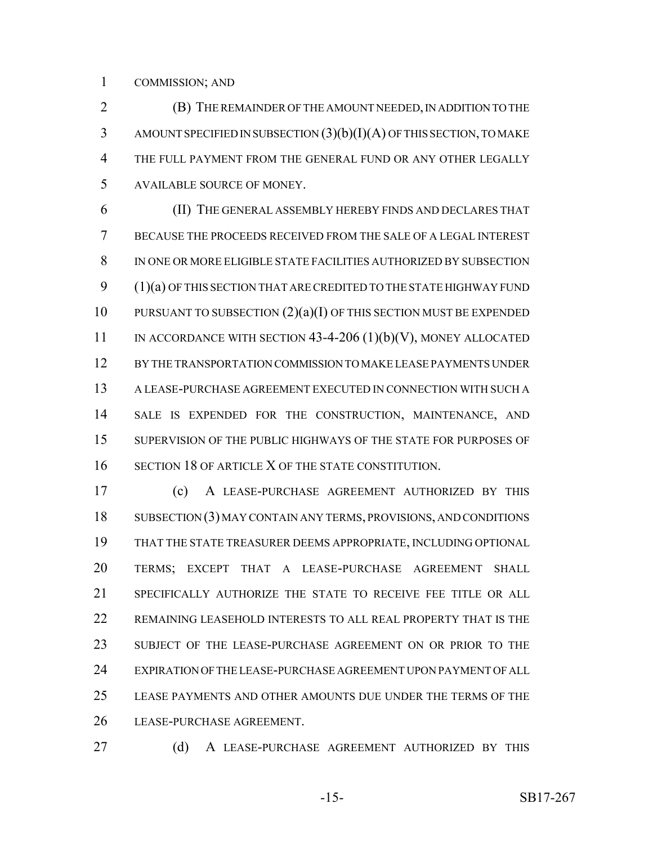COMMISSION; AND

 (B) THE REMAINDER OF THE AMOUNT NEEDED, IN ADDITION TO THE AMOUNT SPECIFIED IN SUBSECTION (3)(b)(I)(A) OF THIS SECTION, TO MAKE THE FULL PAYMENT FROM THE GENERAL FUND OR ANY OTHER LEGALLY AVAILABLE SOURCE OF MONEY.

 (II) THE GENERAL ASSEMBLY HEREBY FINDS AND DECLARES THAT BECAUSE THE PROCEEDS RECEIVED FROM THE SALE OF A LEGAL INTEREST IN ONE OR MORE ELIGIBLE STATE FACILITIES AUTHORIZED BY SUBSECTION (1)(a) OF THIS SECTION THAT ARE CREDITED TO THE STATE HIGHWAY FUND 10 PURSUANT TO SUBSECTION  $(2)(a)(I)$  OF THIS SECTION MUST BE EXPENDED 11 IN ACCORDANCE WITH SECTION 43-4-206 (1)(b)(V), MONEY ALLOCATED BY THE TRANSPORTATION COMMISSION TO MAKE LEASE PAYMENTS UNDER A LEASE-PURCHASE AGREEMENT EXECUTED IN CONNECTION WITH SUCH A SALE IS EXPENDED FOR THE CONSTRUCTION, MAINTENANCE, AND SUPERVISION OF THE PUBLIC HIGHWAYS OF THE STATE FOR PURPOSES OF SECTION 18 OF ARTICLE X OF THE STATE CONSTITUTION.

 (c) A LEASE-PURCHASE AGREEMENT AUTHORIZED BY THIS SUBSECTION (3) MAY CONTAIN ANY TERMS, PROVISIONS, AND CONDITIONS THAT THE STATE TREASURER DEEMS APPROPRIATE, INCLUDING OPTIONAL TERMS; EXCEPT THAT A LEASE-PURCHASE AGREEMENT SHALL SPECIFICALLY AUTHORIZE THE STATE TO RECEIVE FEE TITLE OR ALL REMAINING LEASEHOLD INTERESTS TO ALL REAL PROPERTY THAT IS THE SUBJECT OF THE LEASE-PURCHASE AGREEMENT ON OR PRIOR TO THE EXPIRATION OF THE LEASE-PURCHASE AGREEMENT UPON PAYMENT OF ALL LEASE PAYMENTS AND OTHER AMOUNTS DUE UNDER THE TERMS OF THE LEASE-PURCHASE AGREEMENT.

27 (d) A LEASE-PURCHASE AGREEMENT AUTHORIZED BY THIS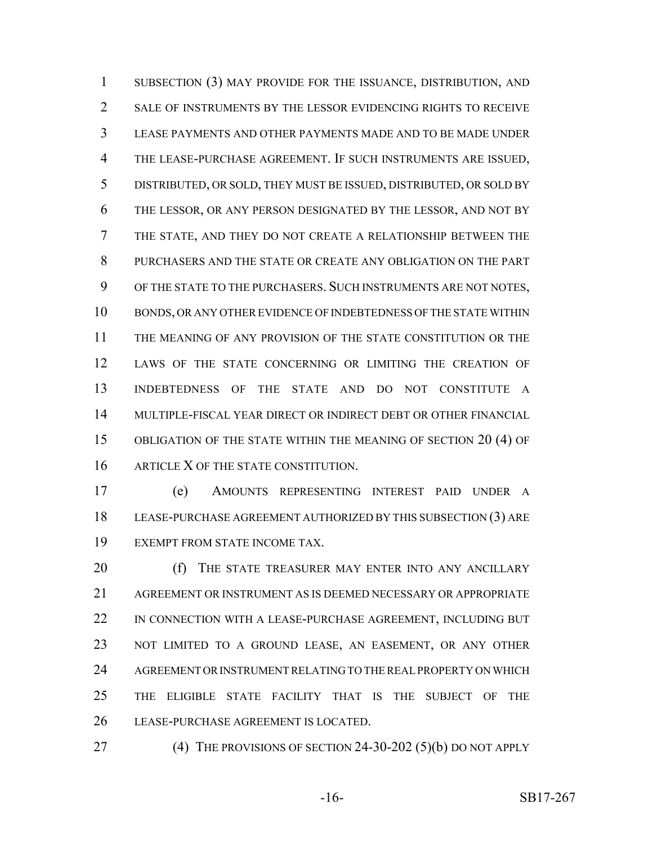SUBSECTION (3) MAY PROVIDE FOR THE ISSUANCE, DISTRIBUTION, AND 2 SALE OF INSTRUMENTS BY THE LESSOR EVIDENCING RIGHTS TO RECEIVE LEASE PAYMENTS AND OTHER PAYMENTS MADE AND TO BE MADE UNDER THE LEASE-PURCHASE AGREEMENT. IF SUCH INSTRUMENTS ARE ISSUED, DISTRIBUTED, OR SOLD, THEY MUST BE ISSUED, DISTRIBUTED, OR SOLD BY THE LESSOR, OR ANY PERSON DESIGNATED BY THE LESSOR, AND NOT BY THE STATE, AND THEY DO NOT CREATE A RELATIONSHIP BETWEEN THE PURCHASERS AND THE STATE OR CREATE ANY OBLIGATION ON THE PART OF THE STATE TO THE PURCHASERS. SUCH INSTRUMENTS ARE NOT NOTES, BONDS, OR ANY OTHER EVIDENCE OF INDEBTEDNESS OF THE STATE WITHIN THE MEANING OF ANY PROVISION OF THE STATE CONSTITUTION OR THE LAWS OF THE STATE CONCERNING OR LIMITING THE CREATION OF INDEBTEDNESS OF THE STATE AND DO NOT CONSTITUTE A MULTIPLE-FISCAL YEAR DIRECT OR INDIRECT DEBT OR OTHER FINANCIAL OBLIGATION OF THE STATE WITHIN THE MEANING OF SECTION 20 (4) OF 16 ARTICLE X OF THE STATE CONSTITUTION.

 (e) AMOUNTS REPRESENTING INTEREST PAID UNDER A LEASE-PURCHASE AGREEMENT AUTHORIZED BY THIS SUBSECTION (3) ARE EXEMPT FROM STATE INCOME TAX.

20 (f) THE STATE TREASURER MAY ENTER INTO ANY ANCILLARY AGREEMENT OR INSTRUMENT AS IS DEEMED NECESSARY OR APPROPRIATE 22 IN CONNECTION WITH A LEASE-PURCHASE AGREEMENT, INCLUDING BUT NOT LIMITED TO A GROUND LEASE, AN EASEMENT, OR ANY OTHER AGREEMENT OR INSTRUMENT RELATING TO THE REAL PROPERTY ON WHICH THE ELIGIBLE STATE FACILITY THAT IS THE SUBJECT OF THE LEASE-PURCHASE AGREEMENT IS LOCATED.

(4) THE PROVISIONS OF SECTION 24-30-202 (5)(b) DO NOT APPLY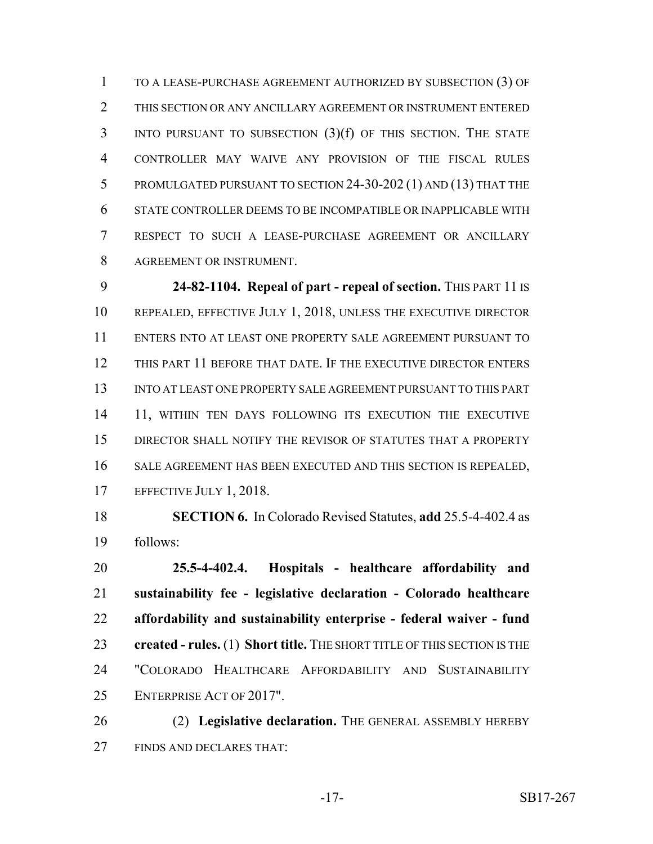TO A LEASE-PURCHASE AGREEMENT AUTHORIZED BY SUBSECTION (3) OF THIS SECTION OR ANY ANCILLARY AGREEMENT OR INSTRUMENT ENTERED INTO PURSUANT TO SUBSECTION (3)(f) OF THIS SECTION. THE STATE CONTROLLER MAY WAIVE ANY PROVISION OF THE FISCAL RULES PROMULGATED PURSUANT TO SECTION 24-30-202 (1) AND (13) THAT THE STATE CONTROLLER DEEMS TO BE INCOMPATIBLE OR INAPPLICABLE WITH RESPECT TO SUCH A LEASE-PURCHASE AGREEMENT OR ANCILLARY AGREEMENT OR INSTRUMENT.

 **24-82-1104. Repeal of part - repeal of section.** THIS PART 11 IS REPEALED, EFFECTIVE JULY 1, 2018, UNLESS THE EXECUTIVE DIRECTOR ENTERS INTO AT LEAST ONE PROPERTY SALE AGREEMENT PURSUANT TO THIS PART 11 BEFORE THAT DATE. IF THE EXECUTIVE DIRECTOR ENTERS INTO AT LEAST ONE PROPERTY SALE AGREEMENT PURSUANT TO THIS PART 14 11, WITHIN TEN DAYS FOLLOWING ITS EXECUTION THE EXECUTIVE DIRECTOR SHALL NOTIFY THE REVISOR OF STATUTES THAT A PROPERTY SALE AGREEMENT HAS BEEN EXECUTED AND THIS SECTION IS REPEALED, 17 EFFECTIVE JULY 1, 2018.

 **SECTION 6.** In Colorado Revised Statutes, **add** 25.5-4-402.4 as follows:

 **25.5-4-402.4. Hospitals - healthcare affordability and sustainability fee - legislative declaration - Colorado healthcare affordability and sustainability enterprise - federal waiver - fund created - rules.** (1) **Short title.** THE SHORT TITLE OF THIS SECTION IS THE "COLORADO HEALTHCARE AFFORDABILITY AND SUSTAINABILITY ENTERPRISE ACT OF 2017".

 (2) **Legislative declaration.** THE GENERAL ASSEMBLY HEREBY FINDS AND DECLARES THAT: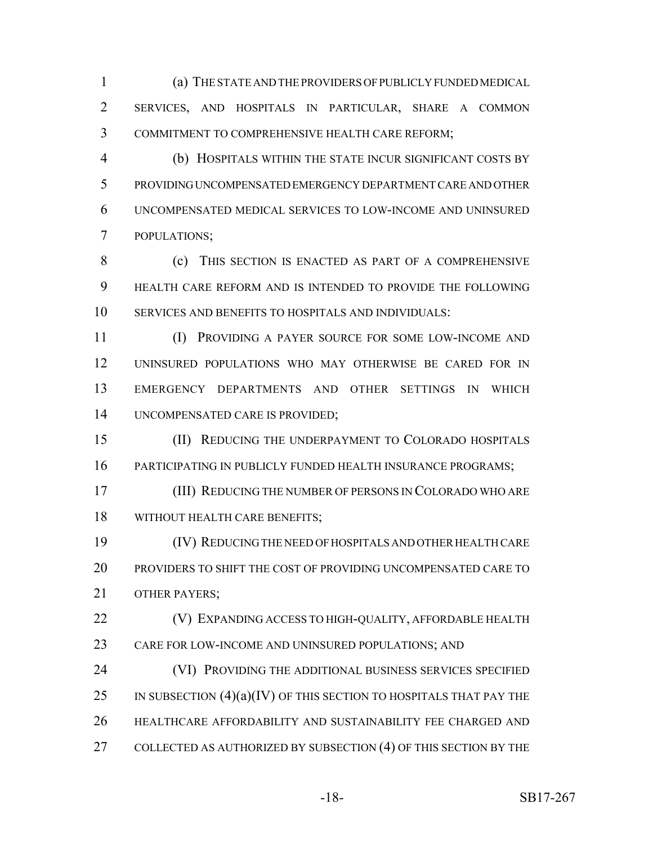(a) THE STATE AND THE PROVIDERS OF PUBLICLY FUNDED MEDICAL SERVICES, AND HOSPITALS IN PARTICULAR, SHARE A COMMON COMMITMENT TO COMPREHENSIVE HEALTH CARE REFORM;

 (b) HOSPITALS WITHIN THE STATE INCUR SIGNIFICANT COSTS BY PROVIDING UNCOMPENSATED EMERGENCY DEPARTMENT CARE AND OTHER UNCOMPENSATED MEDICAL SERVICES TO LOW-INCOME AND UNINSURED POPULATIONS;

8 (c) THIS SECTION IS ENACTED AS PART OF A COMPREHENSIVE HEALTH CARE REFORM AND IS INTENDED TO PROVIDE THE FOLLOWING SERVICES AND BENEFITS TO HOSPITALS AND INDIVIDUALS:

 (I) PROVIDING A PAYER SOURCE FOR SOME LOW-INCOME AND UNINSURED POPULATIONS WHO MAY OTHERWISE BE CARED FOR IN EMERGENCY DEPARTMENTS AND OTHER SETTINGS IN WHICH UNCOMPENSATED CARE IS PROVIDED;

 (II) REDUCING THE UNDERPAYMENT TO COLORADO HOSPITALS 16 PARTICIPATING IN PUBLICLY FUNDED HEALTH INSURANCE PROGRAMS;

 (III) REDUCING THE NUMBER OF PERSONS IN COLORADO WHO ARE WITHOUT HEALTH CARE BENEFITS;

 (IV) REDUCING THE NEED OF HOSPITALS AND OTHER HEALTH CARE PROVIDERS TO SHIFT THE COST OF PROVIDING UNCOMPENSATED CARE TO OTHER PAYERS;

**(V) EXPANDING ACCESS TO HIGH-QUALITY, AFFORDABLE HEALTH** CARE FOR LOW-INCOME AND UNINSURED POPULATIONS; AND

 (VI) PROVIDING THE ADDITIONAL BUSINESS SERVICES SPECIFIED 25 IN SUBSECTION  $(4)(a)(IV)$  OF THIS SECTION TO HOSPITALS THAT PAY THE HEALTHCARE AFFORDABILITY AND SUSTAINABILITY FEE CHARGED AND COLLECTED AS AUTHORIZED BY SUBSECTION (4) OF THIS SECTION BY THE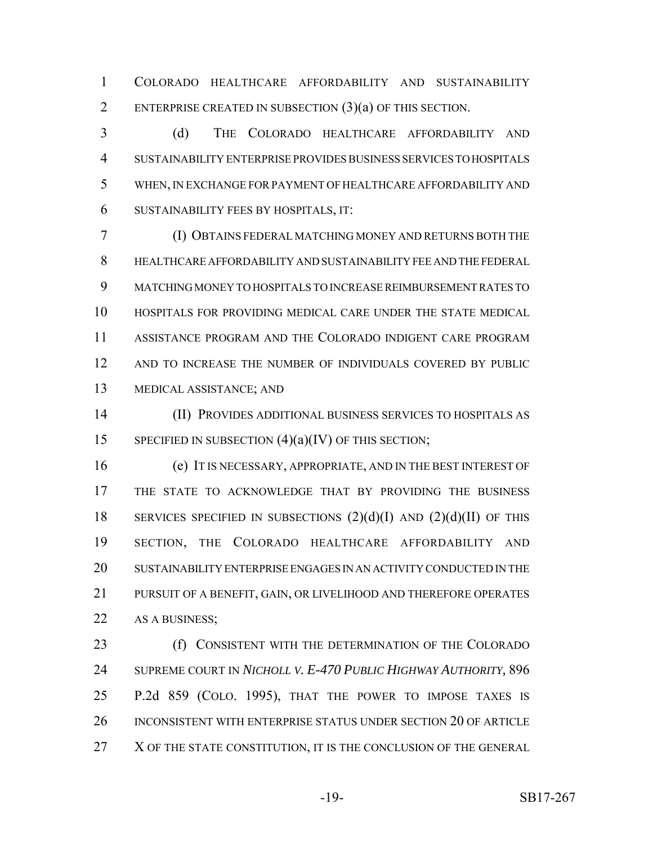COLORADO HEALTHCARE AFFORDABILITY AND SUSTAINABILITY ENTERPRISE CREATED IN SUBSECTION (3)(a) OF THIS SECTION.

 (d) THE COLORADO HEALTHCARE AFFORDABILITY AND SUSTAINABILITY ENTERPRISE PROVIDES BUSINESS SERVICES TO HOSPITALS WHEN, IN EXCHANGE FOR PAYMENT OF HEALTHCARE AFFORDABILITY AND SUSTAINABILITY FEES BY HOSPITALS, IT:

 (I) OBTAINS FEDERAL MATCHING MONEY AND RETURNS BOTH THE HEALTHCARE AFFORDABILITY AND SUSTAINABILITY FEE AND THE FEDERAL MATCHING MONEY TO HOSPITALS TO INCREASE REIMBURSEMENT RATES TO HOSPITALS FOR PROVIDING MEDICAL CARE UNDER THE STATE MEDICAL ASSISTANCE PROGRAM AND THE COLORADO INDIGENT CARE PROGRAM AND TO INCREASE THE NUMBER OF INDIVIDUALS COVERED BY PUBLIC MEDICAL ASSISTANCE; AND

 (II) PROVIDES ADDITIONAL BUSINESS SERVICES TO HOSPITALS AS 15 SPECIFIED IN SUBSECTION  $(4)(a)(IV)$  OF THIS SECTION;

 (e) IT IS NECESSARY, APPROPRIATE, AND IN THE BEST INTEREST OF THE STATE TO ACKNOWLEDGE THAT BY PROVIDING THE BUSINESS 18 SERVICES SPECIFIED IN SUBSECTIONS  $(2)(d)(I)$  AND  $(2)(d)(II)$  OF THIS SECTION, THE COLORADO HEALTHCARE AFFORDABILITY AND SUSTAINABILITY ENTERPRISE ENGAGES IN AN ACTIVITY CONDUCTED IN THE PURSUIT OF A BENEFIT, GAIN, OR LIVELIHOOD AND THEREFORE OPERATES 22 AS A BUSINESS;

**(f) CONSISTENT WITH THE DETERMINATION OF THE COLORADO**  SUPREME COURT IN *NICHOLL V. E-470 PUBLIC HIGHWAY AUTHORITY,* 896 P.2d 859 (COLO. 1995), THAT THE POWER TO IMPOSE TAXES IS INCONSISTENT WITH ENTERPRISE STATUS UNDER SECTION 20 OF ARTICLE 27 X OF THE STATE CONSTITUTION, IT IS THE CONCLUSION OF THE GENERAL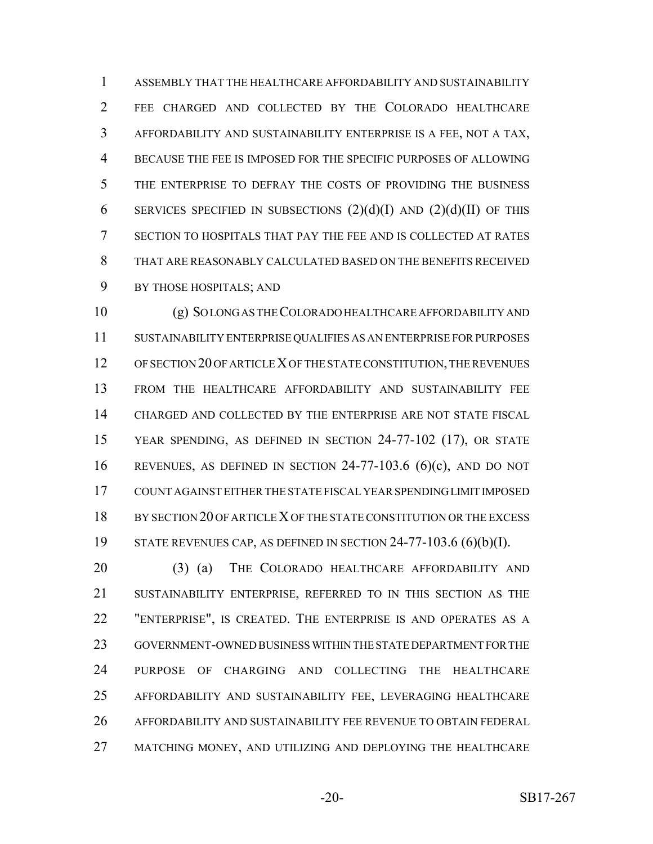ASSEMBLY THAT THE HEALTHCARE AFFORDABILITY AND SUSTAINABILITY FEE CHARGED AND COLLECTED BY THE COLORADO HEALTHCARE AFFORDABILITY AND SUSTAINABILITY ENTERPRISE IS A FEE, NOT A TAX, BECAUSE THE FEE IS IMPOSED FOR THE SPECIFIC PURPOSES OF ALLOWING THE ENTERPRISE TO DEFRAY THE COSTS OF PROVIDING THE BUSINESS 6 SERVICES SPECIFIED IN SUBSECTIONS  $(2)(d)(I)$  AND  $(2)(d)(II)$  OF THIS SECTION TO HOSPITALS THAT PAY THE FEE AND IS COLLECTED AT RATES THAT ARE REASONABLY CALCULATED BASED ON THE BENEFITS RECEIVED BY THOSE HOSPITALS; AND

 (g) SO LONG AS THE COLORADO HEALTHCARE AFFORDABILITY AND SUSTAINABILITY ENTERPRISE QUALIFIES AS AN ENTERPRISE FOR PURPOSES OF SECTION 20 OF ARTICLE X OF THE STATE CONSTITUTION, THE REVENUES FROM THE HEALTHCARE AFFORDABILITY AND SUSTAINABILITY FEE CHARGED AND COLLECTED BY THE ENTERPRISE ARE NOT STATE FISCAL YEAR SPENDING, AS DEFINED IN SECTION 24-77-102 (17), OR STATE REVENUES, AS DEFINED IN SECTION 24-77-103.6 (6)(c), AND DO NOT COUNT AGAINST EITHER THE STATE FISCAL YEAR SPENDING LIMIT IMPOSED 18 BY SECTION 20 OF ARTICLE X OF THE STATE CONSTITUTION OR THE EXCESS STATE REVENUES CAP, AS DEFINED IN SECTION 24-77-103.6 (6)(b)(I).

 (3) (a) THE COLORADO HEALTHCARE AFFORDABILITY AND SUSTAINABILITY ENTERPRISE, REFERRED TO IN THIS SECTION AS THE "ENTERPRISE", IS CREATED. THE ENTERPRISE IS AND OPERATES AS A GOVERNMENT-OWNED BUSINESS WITHIN THE STATE DEPARTMENT FOR THE PURPOSE OF CHARGING AND COLLECTING THE HEALTHCARE AFFORDABILITY AND SUSTAINABILITY FEE, LEVERAGING HEALTHCARE AFFORDABILITY AND SUSTAINABILITY FEE REVENUE TO OBTAIN FEDERAL MATCHING MONEY, AND UTILIZING AND DEPLOYING THE HEALTHCARE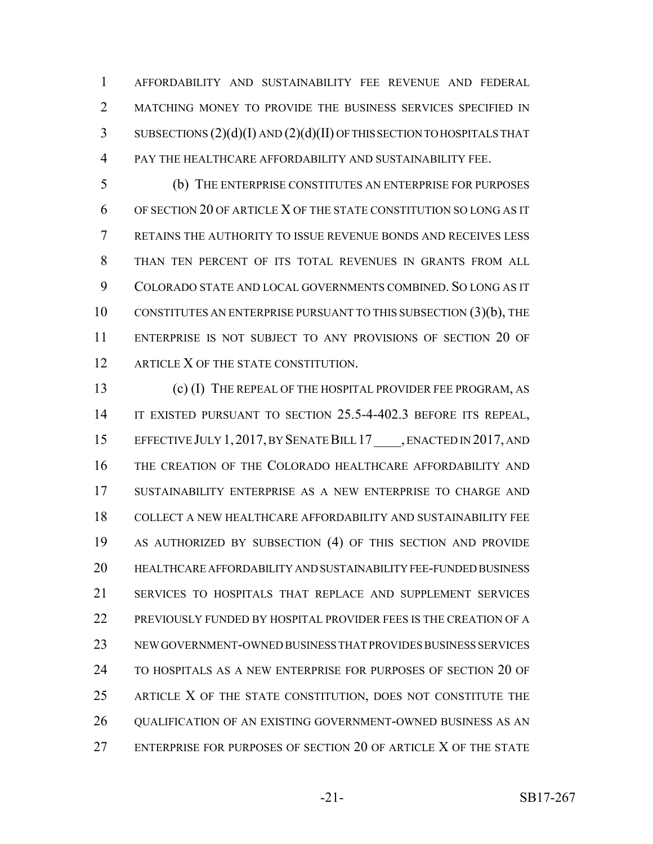AFFORDABILITY AND SUSTAINABILITY FEE REVENUE AND FEDERAL 2 MATCHING MONEY TO PROVIDE THE BUSINESS SERVICES SPECIFIED IN SUBSECTIONS (2)(d)(I) AND (2)(d)(II) OF THIS SECTION TO HOSPITALS THAT PAY THE HEALTHCARE AFFORDABILITY AND SUSTAINABILITY FEE.

 (b) THE ENTERPRISE CONSTITUTES AN ENTERPRISE FOR PURPOSES OF SECTION 20 OF ARTICLE X OF THE STATE CONSTITUTION SO LONG AS IT RETAINS THE AUTHORITY TO ISSUE REVENUE BONDS AND RECEIVES LESS THAN TEN PERCENT OF ITS TOTAL REVENUES IN GRANTS FROM ALL COLORADO STATE AND LOCAL GOVERNMENTS COMBINED. SO LONG AS IT CONSTITUTES AN ENTERPRISE PURSUANT TO THIS SUBSECTION (3)(b), THE ENTERPRISE IS NOT SUBJECT TO ANY PROVISIONS OF SECTION 20 OF 12 ARTICLE X OF THE STATE CONSTITUTION.

 (c) (I) THE REPEAL OF THE HOSPITAL PROVIDER FEE PROGRAM, AS IT EXISTED PURSUANT TO SECTION 25.5-4-402.3 BEFORE ITS REPEAL, 15 EFFECTIVE JULY 1, 2017, BY SENATE BILL 17 , ENACTED IN 2017, AND THE CREATION OF THE COLORADO HEALTHCARE AFFORDABILITY AND SUSTAINABILITY ENTERPRISE AS A NEW ENTERPRISE TO CHARGE AND COLLECT A NEW HEALTHCARE AFFORDABILITY AND SUSTAINABILITY FEE AS AUTHORIZED BY SUBSECTION (4) OF THIS SECTION AND PROVIDE HEALTHCARE AFFORDABILITY AND SUSTAINABILITY FEE-FUNDED BUSINESS SERVICES TO HOSPITALS THAT REPLACE AND SUPPLEMENT SERVICES PREVIOUSLY FUNDED BY HOSPITAL PROVIDER FEES IS THE CREATION OF A NEW GOVERNMENT-OWNED BUSINESS THAT PROVIDES BUSINESS SERVICES TO HOSPITALS AS A NEW ENTERPRISE FOR PURPOSES OF SECTION 20 OF ARTICLE X OF THE STATE CONSTITUTION, DOES NOT CONSTITUTE THE QUALIFICATION OF AN EXISTING GOVERNMENT-OWNED BUSINESS AS AN ENTERPRISE FOR PURPOSES OF SECTION 20 OF ARTICLE X OF THE STATE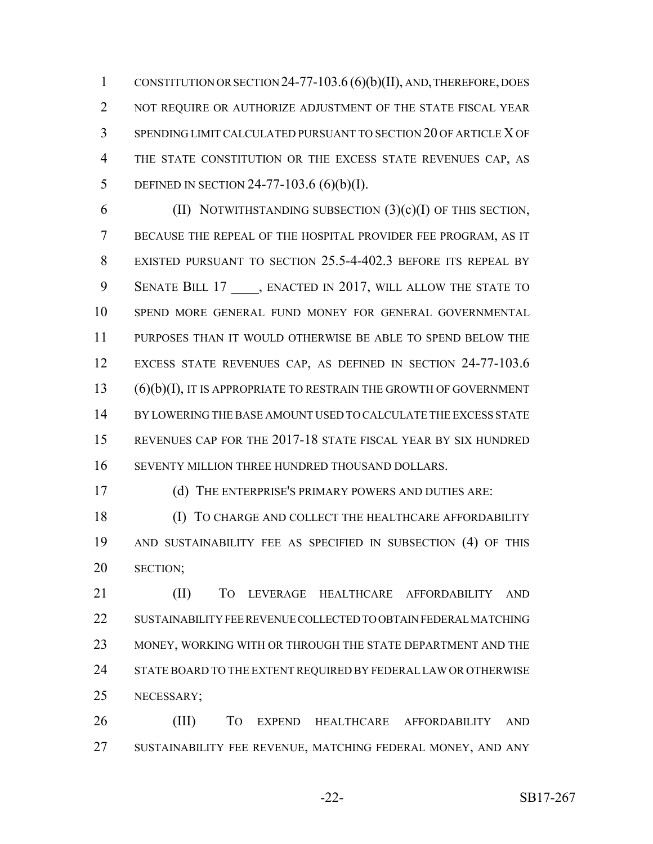CONSTITUTION OR SECTION 24-77-103.6 (6)(b)(II), AND, THEREFORE, DOES 2 NOT REQUIRE OR AUTHORIZE ADJUSTMENT OF THE STATE FISCAL YEAR SPENDING LIMIT CALCULATED PURSUANT TO SECTION 20 OF ARTICLE X OF 4 THE STATE CONSTITUTION OR THE EXCESS STATE REVENUES CAP, AS DEFINED IN SECTION 24-77-103.6 (6)(b)(I).

6 (II) NOTWITHSTANDING SUBSECTION  $(3)(c)(I)$  OF THIS SECTION, BECAUSE THE REPEAL OF THE HOSPITAL PROVIDER FEE PROGRAM, AS IT EXISTED PURSUANT TO SECTION 25.5-4-402.3 BEFORE ITS REPEAL BY 9 SENATE BILL 17, ENACTED IN 2017, WILL ALLOW THE STATE TO SPEND MORE GENERAL FUND MONEY FOR GENERAL GOVERNMENTAL PURPOSES THAN IT WOULD OTHERWISE BE ABLE TO SPEND BELOW THE EXCESS STATE REVENUES CAP, AS DEFINED IN SECTION 24-77-103.6 (6)(b)(I), IT IS APPROPRIATE TO RESTRAIN THE GROWTH OF GOVERNMENT BY LOWERING THE BASE AMOUNT USED TO CALCULATE THE EXCESS STATE REVENUES CAP FOR THE 2017-18 STATE FISCAL YEAR BY SIX HUNDRED SEVENTY MILLION THREE HUNDRED THOUSAND DOLLARS.

(d) THE ENTERPRISE'S PRIMARY POWERS AND DUTIES ARE:

 (I) TO CHARGE AND COLLECT THE HEALTHCARE AFFORDABILITY AND SUSTAINABILITY FEE AS SPECIFIED IN SUBSECTION (4) OF THIS SECTION;

 (II) TO LEVERAGE HEALTHCARE AFFORDABILITY AND SUSTAINABILITY FEE REVENUE COLLECTED TO OBTAIN FEDERAL MATCHING 23 MONEY, WORKING WITH OR THROUGH THE STATE DEPARTMENT AND THE 24 STATE BOARD TO THE EXTENT REQUIRED BY FEDERAL LAW OR OTHERWISE NECESSARY;

 (III) TO EXPEND HEALTHCARE AFFORDABILITY AND SUSTAINABILITY FEE REVENUE, MATCHING FEDERAL MONEY, AND ANY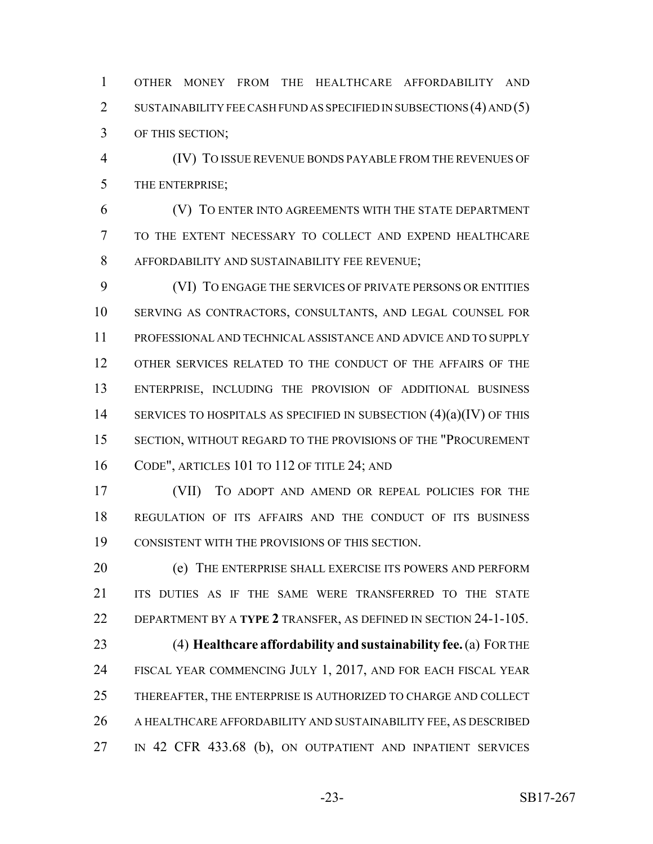OTHER MONEY FROM THE HEALTHCARE AFFORDABILITY AND 2 SUSTAINABILITY FEE CASH FUND AS SPECIFIED IN SUBSECTIONS (4) AND (5) OF THIS SECTION;

 (IV) TO ISSUE REVENUE BONDS PAYABLE FROM THE REVENUES OF THE ENTERPRISE;

 (V) TO ENTER INTO AGREEMENTS WITH THE STATE DEPARTMENT TO THE EXTENT NECESSARY TO COLLECT AND EXPEND HEALTHCARE AFFORDABILITY AND SUSTAINABILITY FEE REVENUE;

 (VI) TO ENGAGE THE SERVICES OF PRIVATE PERSONS OR ENTITIES SERVING AS CONTRACTORS, CONSULTANTS, AND LEGAL COUNSEL FOR PROFESSIONAL AND TECHNICAL ASSISTANCE AND ADVICE AND TO SUPPLY OTHER SERVICES RELATED TO THE CONDUCT OF THE AFFAIRS OF THE ENTERPRISE, INCLUDING THE PROVISION OF ADDITIONAL BUSINESS 14 SERVICES TO HOSPITALS AS SPECIFIED IN SUBSECTION  $(4)(a)(IV)$  OF THIS SECTION, WITHOUT REGARD TO THE PROVISIONS OF THE "PROCUREMENT CODE", ARTICLES 101 TO 112 OF TITLE 24; AND

 (VII) TO ADOPT AND AMEND OR REPEAL POLICIES FOR THE REGULATION OF ITS AFFAIRS AND THE CONDUCT OF ITS BUSINESS CONSISTENT WITH THE PROVISIONS OF THIS SECTION.

 (e) THE ENTERPRISE SHALL EXERCISE ITS POWERS AND PERFORM ITS DUTIES AS IF THE SAME WERE TRANSFERRED TO THE STATE DEPARTMENT BY A **TYPE 2** TRANSFER, AS DEFINED IN SECTION 24-1-105.

 (4) **Healthcare affordability and sustainability fee.** (a) FOR THE 24 FISCAL YEAR COMMENCING JULY 1, 2017, AND FOR EACH FISCAL YEAR THEREAFTER, THE ENTERPRISE IS AUTHORIZED TO CHARGE AND COLLECT A HEALTHCARE AFFORDABILITY AND SUSTAINABILITY FEE, AS DESCRIBED 27 IN 42 CFR 433.68 (b), ON OUTPATIENT AND INPATIENT SERVICES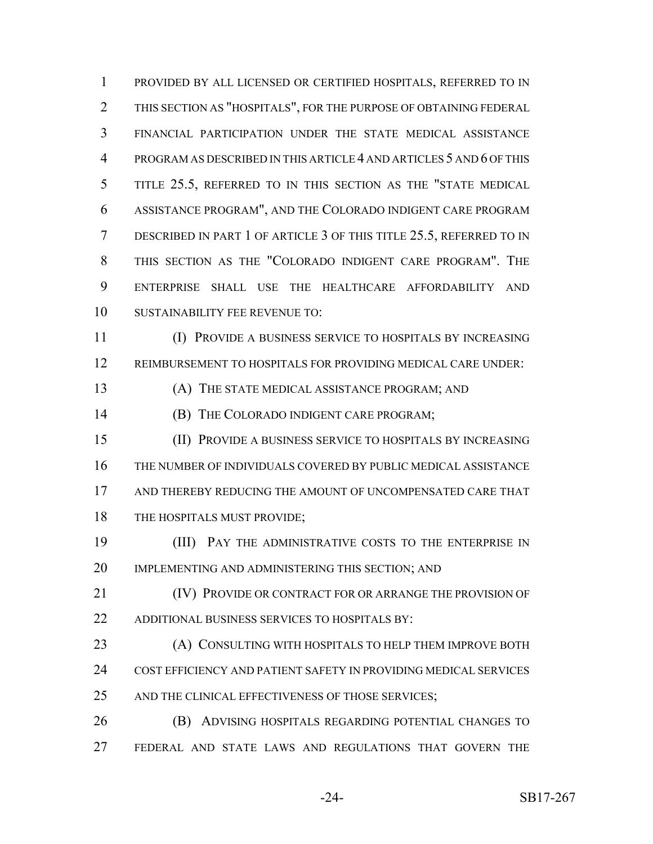PROVIDED BY ALL LICENSED OR CERTIFIED HOSPITALS, REFERRED TO IN THIS SECTION AS "HOSPITALS", FOR THE PURPOSE OF OBTAINING FEDERAL FINANCIAL PARTICIPATION UNDER THE STATE MEDICAL ASSISTANCE PROGRAM AS DESCRIBED IN THIS ARTICLE 4 AND ARTICLES 5 AND 6 OF THIS TITLE 25.5, REFERRED TO IN THIS SECTION AS THE "STATE MEDICAL ASSISTANCE PROGRAM", AND THE COLORADO INDIGENT CARE PROGRAM DESCRIBED IN PART 1 OF ARTICLE 3 OF THIS TITLE 25.5, REFERRED TO IN THIS SECTION AS THE "COLORADO INDIGENT CARE PROGRAM". THE ENTERPRISE SHALL USE THE HEALTHCARE AFFORDABILITY AND SUSTAINABILITY FEE REVENUE TO:

 (I) PROVIDE A BUSINESS SERVICE TO HOSPITALS BY INCREASING REIMBURSEMENT TO HOSPITALS FOR PROVIDING MEDICAL CARE UNDER:

(A) THE STATE MEDICAL ASSISTANCE PROGRAM; AND

**(B) THE COLORADO INDIGENT CARE PROGRAM;** 

 (II) PROVIDE A BUSINESS SERVICE TO HOSPITALS BY INCREASING THE NUMBER OF INDIVIDUALS COVERED BY PUBLIC MEDICAL ASSISTANCE AND THEREBY REDUCING THE AMOUNT OF UNCOMPENSATED CARE THAT 18 THE HOSPITALS MUST PROVIDE;

 (III) PAY THE ADMINISTRATIVE COSTS TO THE ENTERPRISE IN IMPLEMENTING AND ADMINISTERING THIS SECTION; AND

 (IV) PROVIDE OR CONTRACT FOR OR ARRANGE THE PROVISION OF ADDITIONAL BUSINESS SERVICES TO HOSPITALS BY:

 (A) CONSULTING WITH HOSPITALS TO HELP THEM IMPROVE BOTH COST EFFICIENCY AND PATIENT SAFETY IN PROVIDING MEDICAL SERVICES 25 AND THE CLINICAL EFFECTIVENESS OF THOSE SERVICES;

 (B) ADVISING HOSPITALS REGARDING POTENTIAL CHANGES TO FEDERAL AND STATE LAWS AND REGULATIONS THAT GOVERN THE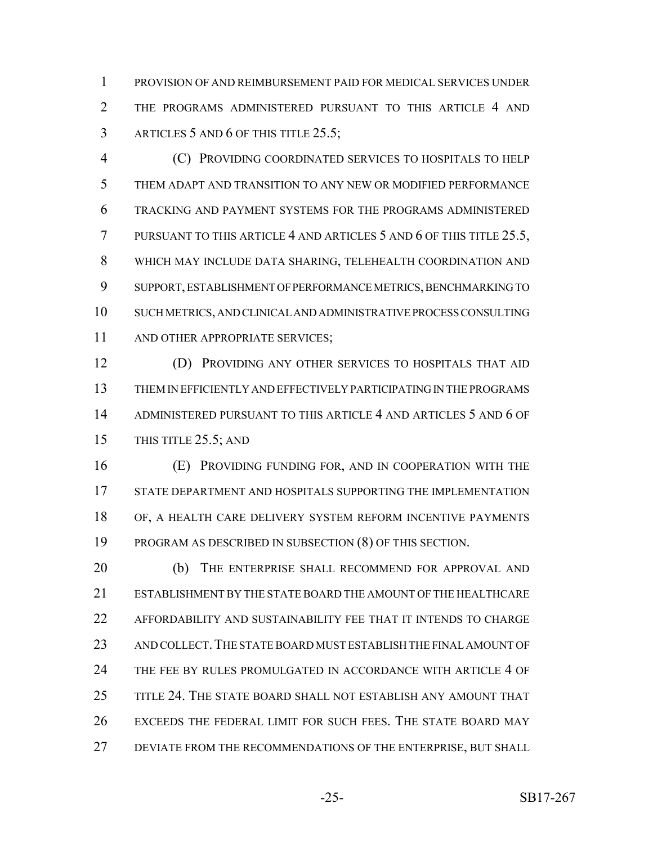PROVISION OF AND REIMBURSEMENT PAID FOR MEDICAL SERVICES UNDER THE PROGRAMS ADMINISTERED PURSUANT TO THIS ARTICLE 4 AND 3 ARTICLES 5 AND 6 OF THIS TITLE 25.5;

 (C) PROVIDING COORDINATED SERVICES TO HOSPITALS TO HELP THEM ADAPT AND TRANSITION TO ANY NEW OR MODIFIED PERFORMANCE TRACKING AND PAYMENT SYSTEMS FOR THE PROGRAMS ADMINISTERED PURSUANT TO THIS ARTICLE 4 AND ARTICLES 5 AND 6 OF THIS TITLE 25.5, WHICH MAY INCLUDE DATA SHARING, TELEHEALTH COORDINATION AND SUPPORT, ESTABLISHMENT OF PERFORMANCE METRICS, BENCHMARKING TO SUCH METRICS, AND CLINICAL AND ADMINISTRATIVE PROCESS CONSULTING 11 AND OTHER APPROPRIATE SERVICES;

 (D) PROVIDING ANY OTHER SERVICES TO HOSPITALS THAT AID THEM IN EFFICIENTLY AND EFFECTIVELY PARTICIPATING IN THE PROGRAMS ADMINISTERED PURSUANT TO THIS ARTICLE 4 AND ARTICLES 5 AND 6 OF 15 THIS TITLE 25.5; AND

 (E) PROVIDING FUNDING FOR, AND IN COOPERATION WITH THE STATE DEPARTMENT AND HOSPITALS SUPPORTING THE IMPLEMENTATION OF, A HEALTH CARE DELIVERY SYSTEM REFORM INCENTIVE PAYMENTS PROGRAM AS DESCRIBED IN SUBSECTION (8) OF THIS SECTION.

20 (b) THE ENTERPRISE SHALL RECOMMEND FOR APPROVAL AND ESTABLISHMENT BY THE STATE BOARD THE AMOUNT OF THE HEALTHCARE AFFORDABILITY AND SUSTAINABILITY FEE THAT IT INTENDS TO CHARGE AND COLLECT.THE STATE BOARD MUST ESTABLISH THE FINAL AMOUNT OF THE FEE BY RULES PROMULGATED IN ACCORDANCE WITH ARTICLE 4 OF TITLE 24. THE STATE BOARD SHALL NOT ESTABLISH ANY AMOUNT THAT EXCEEDS THE FEDERAL LIMIT FOR SUCH FEES. THE STATE BOARD MAY DEVIATE FROM THE RECOMMENDATIONS OF THE ENTERPRISE, BUT SHALL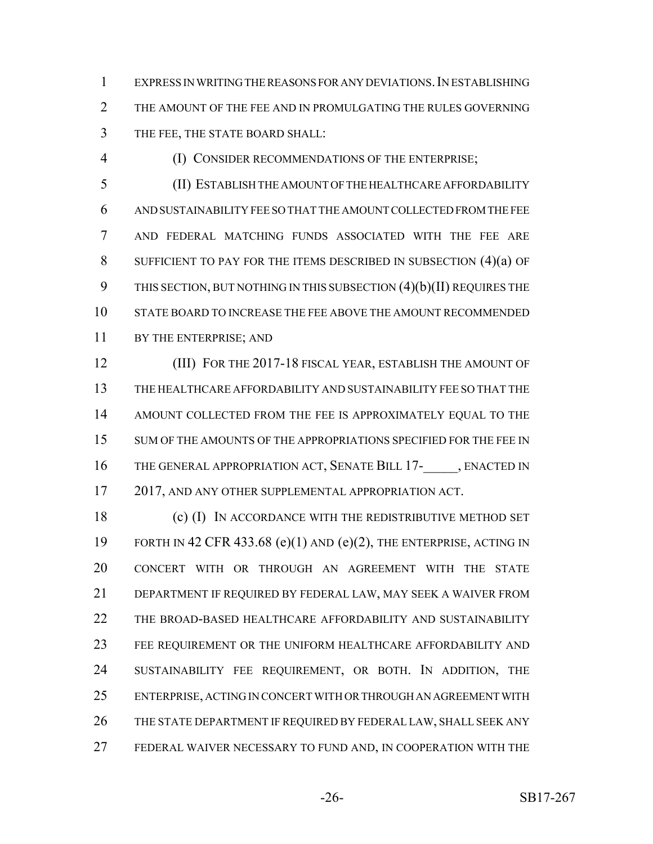EXPRESS IN WRITING THE REASONS FOR ANY DEVIATIONS.IN ESTABLISHING 2 THE AMOUNT OF THE FEE AND IN PROMULGATING THE RULES GOVERNING THE FEE, THE STATE BOARD SHALL:

(I) CONSIDER RECOMMENDATIONS OF THE ENTERPRISE;

 (II) ESTABLISH THE AMOUNT OF THE HEALTHCARE AFFORDABILITY AND SUSTAINABILITY FEE SO THAT THE AMOUNT COLLECTED FROM THE FEE AND FEDERAL MATCHING FUNDS ASSOCIATED WITH THE FEE ARE 8 SUFFICIENT TO PAY FOR THE ITEMS DESCRIBED IN SUBSECTION (4)(a) OF THIS SECTION, BUT NOTHING IN THIS SUBSECTION (4)(b)(II) REQUIRES THE STATE BOARD TO INCREASE THE FEE ABOVE THE AMOUNT RECOMMENDED BY THE ENTERPRISE; AND

 (III) FOR THE 2017-18 FISCAL YEAR, ESTABLISH THE AMOUNT OF THE HEALTHCARE AFFORDABILITY AND SUSTAINABILITY FEE SO THAT THE AMOUNT COLLECTED FROM THE FEE IS APPROXIMATELY EQUAL TO THE 15 SUM OF THE AMOUNTS OF THE APPROPRIATIONS SPECIFIED FOR THE FEE IN 16 THE GENERAL APPROPRIATION ACT, SENATE BILL 17- , ENACTED IN 2017, AND ANY OTHER SUPPLEMENTAL APPROPRIATION ACT.

 (c) (I) IN ACCORDANCE WITH THE REDISTRIBUTIVE METHOD SET 19 FORTH IN 42 CFR 433.68 (e)(1) AND (e)(2), THE ENTERPRISE, ACTING IN CONCERT WITH OR THROUGH AN AGREEMENT WITH THE STATE DEPARTMENT IF REQUIRED BY FEDERAL LAW, MAY SEEK A WAIVER FROM THE BROAD-BASED HEALTHCARE AFFORDABILITY AND SUSTAINABILITY FEE REQUIREMENT OR THE UNIFORM HEALTHCARE AFFORDABILITY AND SUSTAINABILITY FEE REQUIREMENT, OR BOTH. IN ADDITION, THE ENTERPRISE, ACTING IN CONCERT WITH OR THROUGH AN AGREEMENT WITH THE STATE DEPARTMENT IF REQUIRED BY FEDERAL LAW, SHALL SEEK ANY FEDERAL WAIVER NECESSARY TO FUND AND, IN COOPERATION WITH THE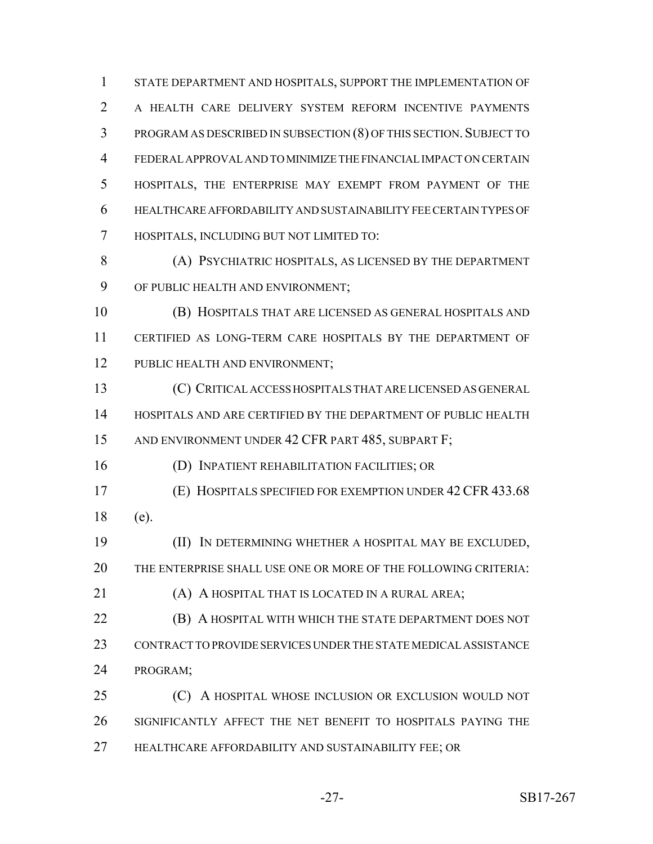STATE DEPARTMENT AND HOSPITALS, SUPPORT THE IMPLEMENTATION OF A HEALTH CARE DELIVERY SYSTEM REFORM INCENTIVE PAYMENTS 3 PROGRAM AS DESCRIBED IN SUBSECTION (8) OF THIS SECTION. SUBJECT TO FEDERAL APPROVAL AND TO MINIMIZE THE FINANCIAL IMPACT ON CERTAIN HOSPITALS, THE ENTERPRISE MAY EXEMPT FROM PAYMENT OF THE HEALTHCARE AFFORDABILITY AND SUSTAINABILITY FEE CERTAIN TYPES OF HOSPITALS, INCLUDING BUT NOT LIMITED TO:

 (A) PSYCHIATRIC HOSPITALS, AS LICENSED BY THE DEPARTMENT OF PUBLIC HEALTH AND ENVIRONMENT;

 (B) HOSPITALS THAT ARE LICENSED AS GENERAL HOSPITALS AND CERTIFIED AS LONG-TERM CARE HOSPITALS BY THE DEPARTMENT OF 12 PUBLIC HEALTH AND ENVIRONMENT;

 (C) CRITICAL ACCESS HOSPITALS THAT ARE LICENSED AS GENERAL HOSPITALS AND ARE CERTIFIED BY THE DEPARTMENT OF PUBLIC HEALTH 15 AND ENVIRONMENT UNDER 42 CFR PART 485, SUBPART F;

(D) INPATIENT REHABILITATION FACILITIES; OR

 (E) HOSPITALS SPECIFIED FOR EXEMPTION UNDER 42 CFR 433.68 (e).

 (II) IN DETERMINING WHETHER A HOSPITAL MAY BE EXCLUDED, THE ENTERPRISE SHALL USE ONE OR MORE OF THE FOLLOWING CRITERIA:

(A) A HOSPITAL THAT IS LOCATED IN A RURAL AREA;

 (B) A HOSPITAL WITH WHICH THE STATE DEPARTMENT DOES NOT CONTRACT TO PROVIDE SERVICES UNDER THE STATE MEDICAL ASSISTANCE PROGRAM;

 (C) A HOSPITAL WHOSE INCLUSION OR EXCLUSION WOULD NOT SIGNIFICANTLY AFFECT THE NET BENEFIT TO HOSPITALS PAYING THE HEALTHCARE AFFORDABILITY AND SUSTAINABILITY FEE; OR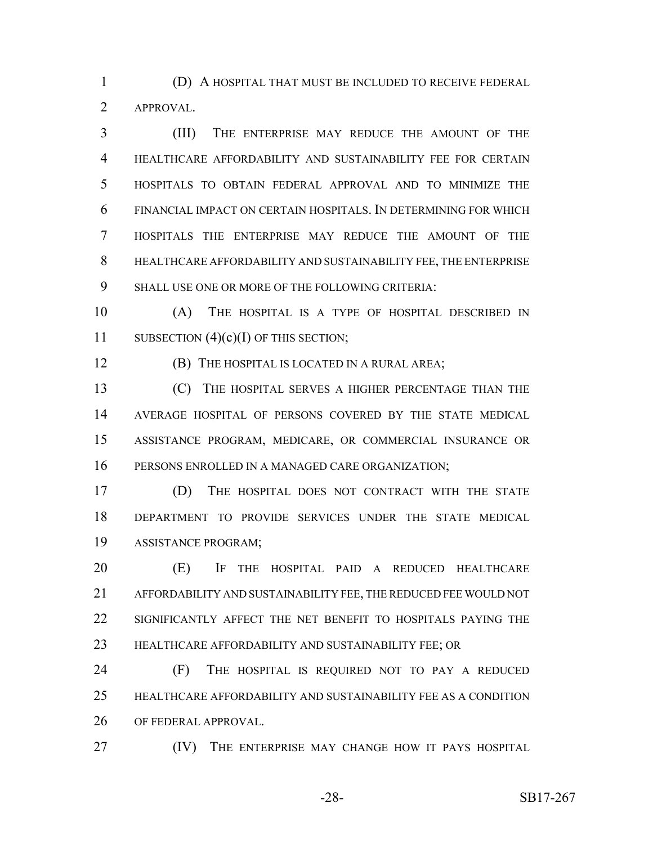(D) A HOSPITAL THAT MUST BE INCLUDED TO RECEIVE FEDERAL APPROVAL.

 (III) THE ENTERPRISE MAY REDUCE THE AMOUNT OF THE HEALTHCARE AFFORDABILITY AND SUSTAINABILITY FEE FOR CERTAIN HOSPITALS TO OBTAIN FEDERAL APPROVAL AND TO MINIMIZE THE FINANCIAL IMPACT ON CERTAIN HOSPITALS. IN DETERMINING FOR WHICH HOSPITALS THE ENTERPRISE MAY REDUCE THE AMOUNT OF THE HEALTHCARE AFFORDABILITY AND SUSTAINABILITY FEE, THE ENTERPRISE SHALL USE ONE OR MORE OF THE FOLLOWING CRITERIA:

 (A) THE HOSPITAL IS A TYPE OF HOSPITAL DESCRIBED IN 11 SUBSECTION  $(4)(c)(I)$  OF THIS SECTION;

(B) THE HOSPITAL IS LOCATED IN A RURAL AREA;

 (C) THE HOSPITAL SERVES A HIGHER PERCENTAGE THAN THE AVERAGE HOSPITAL OF PERSONS COVERED BY THE STATE MEDICAL ASSISTANCE PROGRAM, MEDICARE, OR COMMERCIAL INSURANCE OR PERSONS ENROLLED IN A MANAGED CARE ORGANIZATION;

 (D) THE HOSPITAL DOES NOT CONTRACT WITH THE STATE DEPARTMENT TO PROVIDE SERVICES UNDER THE STATE MEDICAL ASSISTANCE PROGRAM;

 (E) IF THE HOSPITAL PAID A REDUCED HEALTHCARE AFFORDABILITY AND SUSTAINABILITY FEE, THE REDUCED FEE WOULD NOT 22 SIGNIFICANTLY AFFECT THE NET BENEFIT TO HOSPITALS PAYING THE HEALTHCARE AFFORDABILITY AND SUSTAINABILITY FEE; OR

 (F) THE HOSPITAL IS REQUIRED NOT TO PAY A REDUCED HEALTHCARE AFFORDABILITY AND SUSTAINABILITY FEE AS A CONDITION OF FEDERAL APPROVAL.

**(IV)** THE ENTERPRISE MAY CHANGE HOW IT PAYS HOSPITAL

-28- SB17-267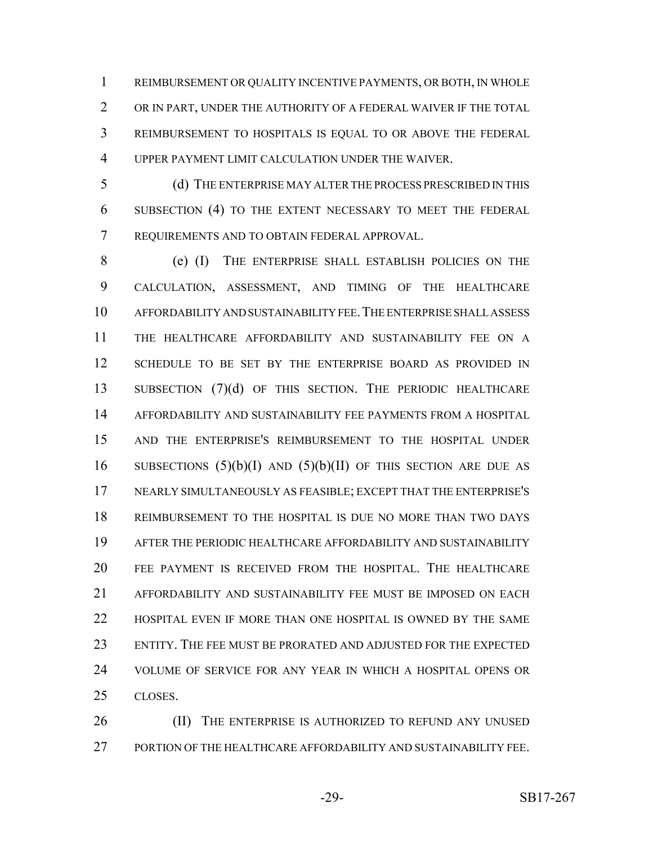REIMBURSEMENT OR QUALITY INCENTIVE PAYMENTS, OR BOTH, IN WHOLE OR IN PART, UNDER THE AUTHORITY OF A FEDERAL WAIVER IF THE TOTAL REIMBURSEMENT TO HOSPITALS IS EQUAL TO OR ABOVE THE FEDERAL UPPER PAYMENT LIMIT CALCULATION UNDER THE WAIVER.

 (d) THE ENTERPRISE MAY ALTER THE PROCESS PRESCRIBED IN THIS SUBSECTION (4) TO THE EXTENT NECESSARY TO MEET THE FEDERAL REQUIREMENTS AND TO OBTAIN FEDERAL APPROVAL.

 (e) (I) THE ENTERPRISE SHALL ESTABLISH POLICIES ON THE CALCULATION, ASSESSMENT, AND TIMING OF THE HEALTHCARE AFFORDABILITY AND SUSTAINABILITY FEE.THE ENTERPRISE SHALL ASSESS THE HEALTHCARE AFFORDABILITY AND SUSTAINABILITY FEE ON A SCHEDULE TO BE SET BY THE ENTERPRISE BOARD AS PROVIDED IN 13 SUBSECTION (7)(d) OF THIS SECTION. THE PERIODIC HEALTHCARE AFFORDABILITY AND SUSTAINABILITY FEE PAYMENTS FROM A HOSPITAL AND THE ENTERPRISE'S REIMBURSEMENT TO THE HOSPITAL UNDER 16 SUBSECTIONS  $(5)(b)(I)$  AND  $(5)(b)(II)$  OF THIS SECTION ARE DUE AS NEARLY SIMULTANEOUSLY AS FEASIBLE; EXCEPT THAT THE ENTERPRISE'S REIMBURSEMENT TO THE HOSPITAL IS DUE NO MORE THAN TWO DAYS AFTER THE PERIODIC HEALTHCARE AFFORDABILITY AND SUSTAINABILITY FEE PAYMENT IS RECEIVED FROM THE HOSPITAL. THE HEALTHCARE AFFORDABILITY AND SUSTAINABILITY FEE MUST BE IMPOSED ON EACH HOSPITAL EVEN IF MORE THAN ONE HOSPITAL IS OWNED BY THE SAME ENTITY. THE FEE MUST BE PRORATED AND ADJUSTED FOR THE EXPECTED VOLUME OF SERVICE FOR ANY YEAR IN WHICH A HOSPITAL OPENS OR CLOSES.

26 (II) THE ENTERPRISE IS AUTHORIZED TO REFUND ANY UNUSED PORTION OF THE HEALTHCARE AFFORDABILITY AND SUSTAINABILITY FEE.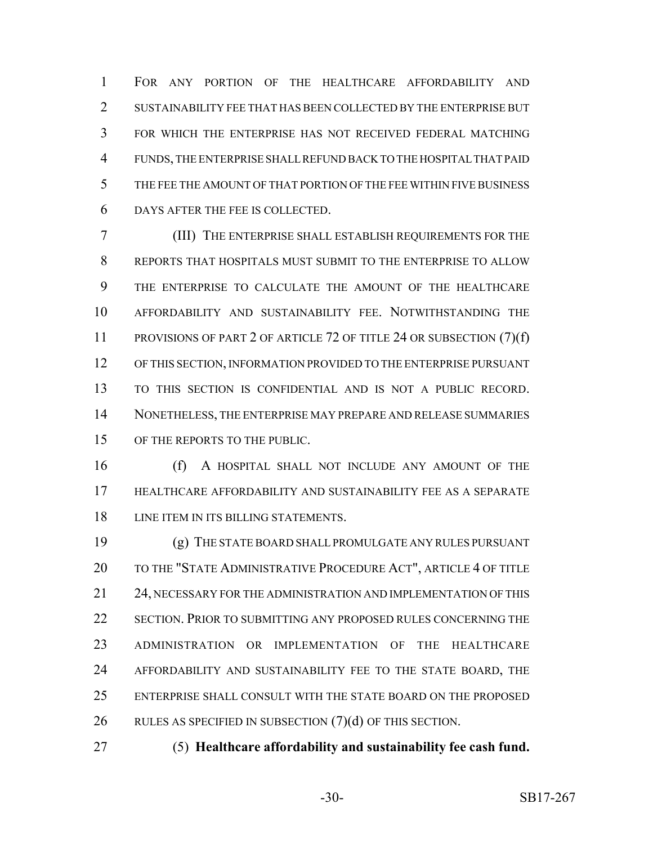FOR ANY PORTION OF THE HEALTHCARE AFFORDABILITY AND 2 SUSTAINABILITY FEE THAT HAS BEEN COLLECTED BY THE ENTERPRISE BUT FOR WHICH THE ENTERPRISE HAS NOT RECEIVED FEDERAL MATCHING FUNDS, THE ENTERPRISE SHALL REFUND BACK TO THE HOSPITAL THAT PAID THE FEE THE AMOUNT OF THAT PORTION OF THE FEE WITHIN FIVE BUSINESS DAYS AFTER THE FEE IS COLLECTED.

 (III) THE ENTERPRISE SHALL ESTABLISH REQUIREMENTS FOR THE REPORTS THAT HOSPITALS MUST SUBMIT TO THE ENTERPRISE TO ALLOW THE ENTERPRISE TO CALCULATE THE AMOUNT OF THE HEALTHCARE AFFORDABILITY AND SUSTAINABILITY FEE. NOTWITHSTANDING THE 11 PROVISIONS OF PART 2 OF ARTICLE 72 OF TITLE 24 OR SUBSECTION (7)(f) OF THIS SECTION, INFORMATION PROVIDED TO THE ENTERPRISE PURSUANT TO THIS SECTION IS CONFIDENTIAL AND IS NOT A PUBLIC RECORD. NONETHELESS, THE ENTERPRISE MAY PREPARE AND RELEASE SUMMARIES OF THE REPORTS TO THE PUBLIC.

 (f) A HOSPITAL SHALL NOT INCLUDE ANY AMOUNT OF THE HEALTHCARE AFFORDABILITY AND SUSTAINABILITY FEE AS A SEPARATE LINE ITEM IN ITS BILLING STATEMENTS.

 (g) THE STATE BOARD SHALL PROMULGATE ANY RULES PURSUANT 20 TO THE "STATE ADMINISTRATIVE PROCEDURE ACT", ARTICLE 4 OF TITLE 24, NECESSARY FOR THE ADMINISTRATION AND IMPLEMENTATION OF THIS SECTION. PRIOR TO SUBMITTING ANY PROPOSED RULES CONCERNING THE ADMINISTRATION OR IMPLEMENTATION OF THE HEALTHCARE AFFORDABILITY AND SUSTAINABILITY FEE TO THE STATE BOARD, THE ENTERPRISE SHALL CONSULT WITH THE STATE BOARD ON THE PROPOSED RULES AS SPECIFIED IN SUBSECTION (7)(d) OF THIS SECTION.

(5) **Healthcare affordability and sustainability fee cash fund.**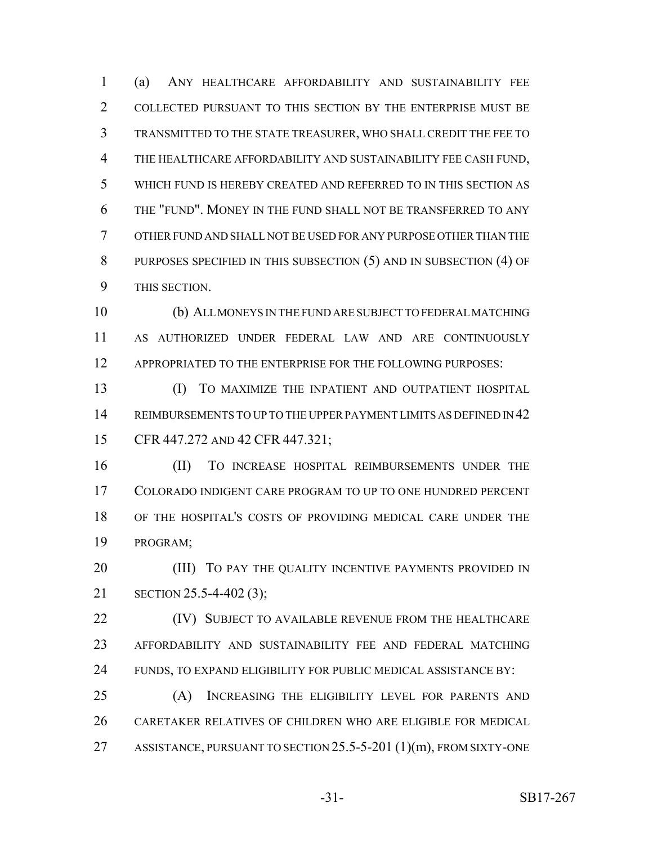(a) ANY HEALTHCARE AFFORDABILITY AND SUSTAINABILITY FEE COLLECTED PURSUANT TO THIS SECTION BY THE ENTERPRISE MUST BE TRANSMITTED TO THE STATE TREASURER, WHO SHALL CREDIT THE FEE TO THE HEALTHCARE AFFORDABILITY AND SUSTAINABILITY FEE CASH FUND, WHICH FUND IS HEREBY CREATED AND REFERRED TO IN THIS SECTION AS THE "FUND". MONEY IN THE FUND SHALL NOT BE TRANSFERRED TO ANY OTHER FUND AND SHALL NOT BE USED FOR ANY PURPOSE OTHER THAN THE 8 PURPOSES SPECIFIED IN THIS SUBSECTION (5) AND IN SUBSECTION (4) OF THIS SECTION.

 (b) ALL MONEYS IN THE FUND ARE SUBJECT TO FEDERAL MATCHING AS AUTHORIZED UNDER FEDERAL LAW AND ARE CONTINUOUSLY 12 APPROPRIATED TO THE ENTERPRISE FOR THE FOLLOWING PURPOSES:

 (I) TO MAXIMIZE THE INPATIENT AND OUTPATIENT HOSPITAL REIMBURSEMENTS TO UP TO THE UPPER PAYMENT LIMITS AS DEFINED IN 42 15 CFR 447.272 AND 42 CFR 447.321;

 (II) TO INCREASE HOSPITAL REIMBURSEMENTS UNDER THE COLORADO INDIGENT CARE PROGRAM TO UP TO ONE HUNDRED PERCENT OF THE HOSPITAL'S COSTS OF PROVIDING MEDICAL CARE UNDER THE PROGRAM;

**(III)** TO PAY THE QUALITY INCENTIVE PAYMENTS PROVIDED IN SECTION 25.5-4-402 (3);

**(IV) SUBJECT TO AVAILABLE REVENUE FROM THE HEALTHCARE**  AFFORDABILITY AND SUSTAINABILITY FEE AND FEDERAL MATCHING FUNDS, TO EXPAND ELIGIBILITY FOR PUBLIC MEDICAL ASSISTANCE BY:

 (A) INCREASING THE ELIGIBILITY LEVEL FOR PARENTS AND CARETAKER RELATIVES OF CHILDREN WHO ARE ELIGIBLE FOR MEDICAL ASSISTANCE, PURSUANT TO SECTION 25.5-5-201 (1)(m), FROM SIXTY-ONE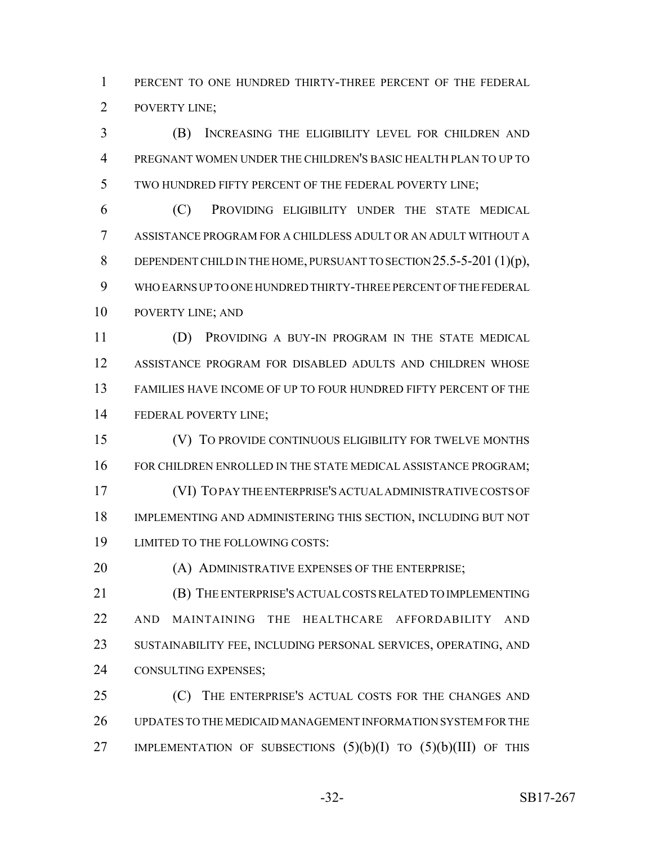PERCENT TO ONE HUNDRED THIRTY-THREE PERCENT OF THE FEDERAL POVERTY LINE;

 (B) INCREASING THE ELIGIBILITY LEVEL FOR CHILDREN AND PREGNANT WOMEN UNDER THE CHILDREN'S BASIC HEALTH PLAN TO UP TO TWO HUNDRED FIFTY PERCENT OF THE FEDERAL POVERTY LINE;

 (C) PROVIDING ELIGIBILITY UNDER THE STATE MEDICAL ASSISTANCE PROGRAM FOR A CHILDLESS ADULT OR AN ADULT WITHOUT A 8 DEPENDENT CHILD IN THE HOME, PURSUANT TO SECTION 25.5-5-201 (1)(p), WHO EARNS UP TO ONE HUNDRED THIRTY-THREE PERCENT OF THE FEDERAL POVERTY LINE; AND

 (D) PROVIDING A BUY-IN PROGRAM IN THE STATE MEDICAL ASSISTANCE PROGRAM FOR DISABLED ADULTS AND CHILDREN WHOSE FAMILIES HAVE INCOME OF UP TO FOUR HUNDRED FIFTY PERCENT OF THE FEDERAL POVERTY LINE;

 (V) TO PROVIDE CONTINUOUS ELIGIBILITY FOR TWELVE MONTHS 16 FOR CHILDREN ENROLLED IN THE STATE MEDICAL ASSISTANCE PROGRAM; (VI) TO PAY THE ENTERPRISE'S ACTUAL ADMINISTRATIVE COSTS OF IMPLEMENTING AND ADMINISTERING THIS SECTION, INCLUDING BUT NOT LIMITED TO THE FOLLOWING COSTS:

**(A) ADMINISTRATIVE EXPENSES OF THE ENTERPRISE;** 

 (B) THE ENTERPRISE'S ACTUAL COSTS RELATED TO IMPLEMENTING AND MAINTAINING THE HEALTHCARE AFFORDABILITY AND SUSTAINABILITY FEE, INCLUDING PERSONAL SERVICES, OPERATING, AND CONSULTING EXPENSES;

25 (C) THE ENTERPRISE'S ACTUAL COSTS FOR THE CHANGES AND UPDATES TO THE MEDICAID MANAGEMENT INFORMATION SYSTEM FOR THE 27 IMPLEMENTATION OF SUBSECTIONS  $(5)(b)(I)$  to  $(5)(b)(III)$  of this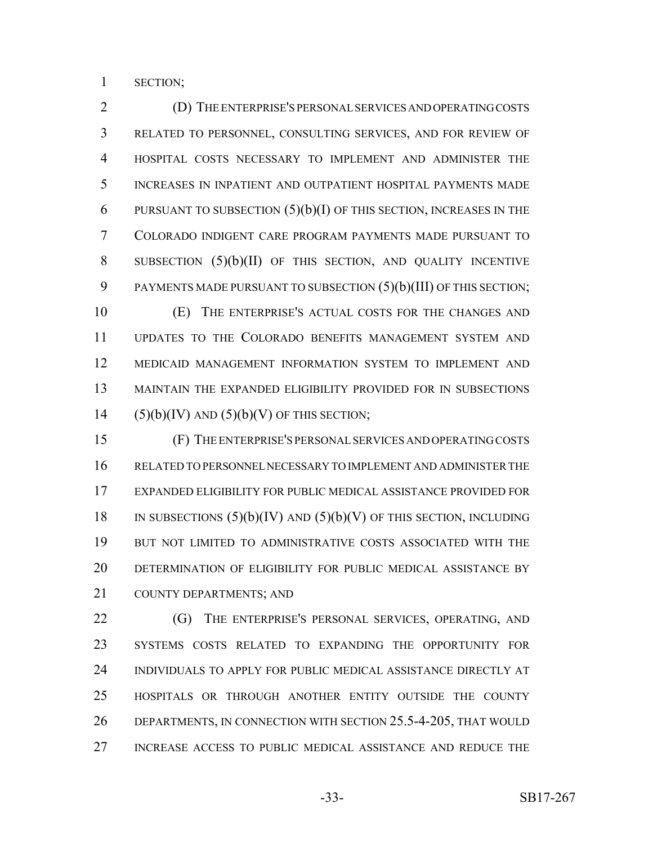SECTION;

 (D) THE ENTERPRISE'S PERSONAL SERVICES AND OPERATING COSTS RELATED TO PERSONNEL, CONSULTING SERVICES, AND FOR REVIEW OF HOSPITAL COSTS NECESSARY TO IMPLEMENT AND ADMINISTER THE INCREASES IN INPATIENT AND OUTPATIENT HOSPITAL PAYMENTS MADE 6 PURSUANT TO SUBSECTION  $(5)(b)(I)$  OF THIS SECTION, INCREASES IN THE COLORADO INDIGENT CARE PROGRAM PAYMENTS MADE PURSUANT TO SUBSECTION (5)(b)(II) OF THIS SECTION, AND QUALITY INCENTIVE 9 PAYMENTS MADE PURSUANT TO SUBSECTION  $(5)(b)(III)$  OF THIS SECTION; (E) THE ENTERPRISE'S ACTUAL COSTS FOR THE CHANGES AND UPDATES TO THE COLORADO BENEFITS MANAGEMENT SYSTEM AND

 MEDICAID MANAGEMENT INFORMATION SYSTEM TO IMPLEMENT AND MAINTAIN THE EXPANDED ELIGIBILITY PROVIDED FOR IN SUBSECTIONS 14  $(5)(b)(IV)$  AND  $(5)(b)(V)$  OF THIS SECTION;

 (F) THE ENTERPRISE'S PERSONAL SERVICES AND OPERATING COSTS RELATED TO PERSONNEL NECESSARY TO IMPLEMENT AND ADMINISTER THE EXPANDED ELIGIBILITY FOR PUBLIC MEDICAL ASSISTANCE PROVIDED FOR 18 IN SUBSECTIONS  $(5)(b)(IV)$  AND  $(5)(b)(V)$  OF THIS SECTION, INCLUDING BUT NOT LIMITED TO ADMINISTRATIVE COSTS ASSOCIATED WITH THE DETERMINATION OF ELIGIBILITY FOR PUBLIC MEDICAL ASSISTANCE BY COUNTY DEPARTMENTS; AND

22 (G) THE ENTERPRISE'S PERSONAL SERVICES, OPERATING, AND SYSTEMS COSTS RELATED TO EXPANDING THE OPPORTUNITY FOR INDIVIDUALS TO APPLY FOR PUBLIC MEDICAL ASSISTANCE DIRECTLY AT HOSPITALS OR THROUGH ANOTHER ENTITY OUTSIDE THE COUNTY DEPARTMENTS, IN CONNECTION WITH SECTION 25.5-4-205, THAT WOULD INCREASE ACCESS TO PUBLIC MEDICAL ASSISTANCE AND REDUCE THE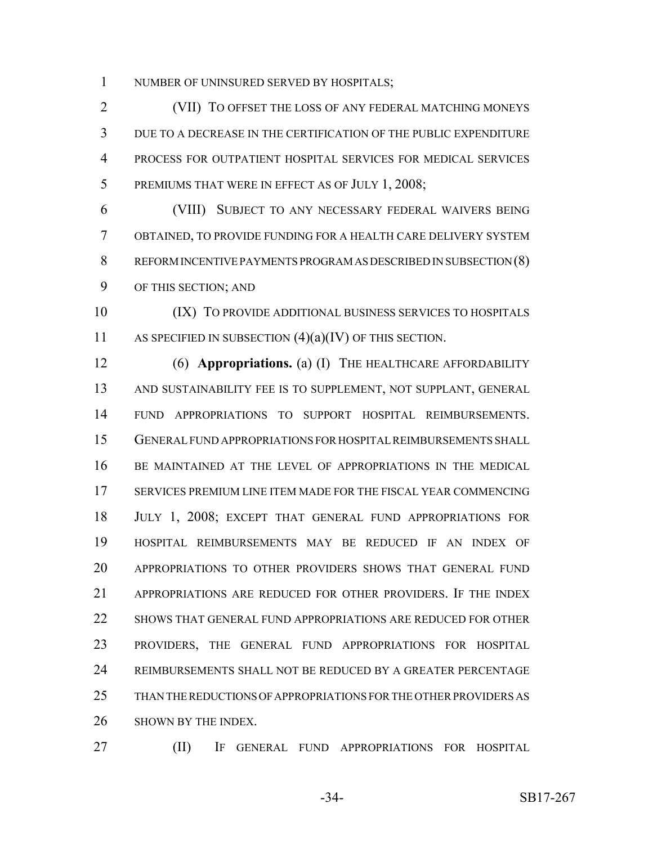NUMBER OF UNINSURED SERVED BY HOSPITALS;

 (VII) TO OFFSET THE LOSS OF ANY FEDERAL MATCHING MONEYS DUE TO A DECREASE IN THE CERTIFICATION OF THE PUBLIC EXPENDITURE PROCESS FOR OUTPATIENT HOSPITAL SERVICES FOR MEDICAL SERVICES 5 PREMIUMS THAT WERE IN EFFECT AS OF JULY 1, 2008;

 (VIII) SUBJECT TO ANY NECESSARY FEDERAL WAIVERS BEING OBTAINED, TO PROVIDE FUNDING FOR A HEALTH CARE DELIVERY SYSTEM REFORM INCENTIVE PAYMENTS PROGRAM AS DESCRIBED IN SUBSECTION (8) OF THIS SECTION; AND

 (IX) TO PROVIDE ADDITIONAL BUSINESS SERVICES TO HOSPITALS 11 AS SPECIFIED IN SUBSECTION (4)(a)(IV) OF THIS SECTION.

 (6) **Appropriations.** (a) (I) THE HEALTHCARE AFFORDABILITY AND SUSTAINABILITY FEE IS TO SUPPLEMENT, NOT SUPPLANT, GENERAL FUND APPROPRIATIONS TO SUPPORT HOSPITAL REIMBURSEMENTS. GENERAL FUND APPROPRIATIONS FOR HOSPITAL REIMBURSEMENTS SHALL BE MAINTAINED AT THE LEVEL OF APPROPRIATIONS IN THE MEDICAL SERVICES PREMIUM LINE ITEM MADE FOR THE FISCAL YEAR COMMENCING JULY 1, 2008; EXCEPT THAT GENERAL FUND APPROPRIATIONS FOR HOSPITAL REIMBURSEMENTS MAY BE REDUCED IF AN INDEX OF APPROPRIATIONS TO OTHER PROVIDERS SHOWS THAT GENERAL FUND APPROPRIATIONS ARE REDUCED FOR OTHER PROVIDERS. IF THE INDEX SHOWS THAT GENERAL FUND APPROPRIATIONS ARE REDUCED FOR OTHER PROVIDERS, THE GENERAL FUND APPROPRIATIONS FOR HOSPITAL REIMBURSEMENTS SHALL NOT BE REDUCED BY A GREATER PERCENTAGE THAN THE REDUCTIONS OF APPROPRIATIONS FOR THE OTHER PROVIDERS AS SHOWN BY THE INDEX.

(II) IF GENERAL FUND APPROPRIATIONS FOR HOSPITAL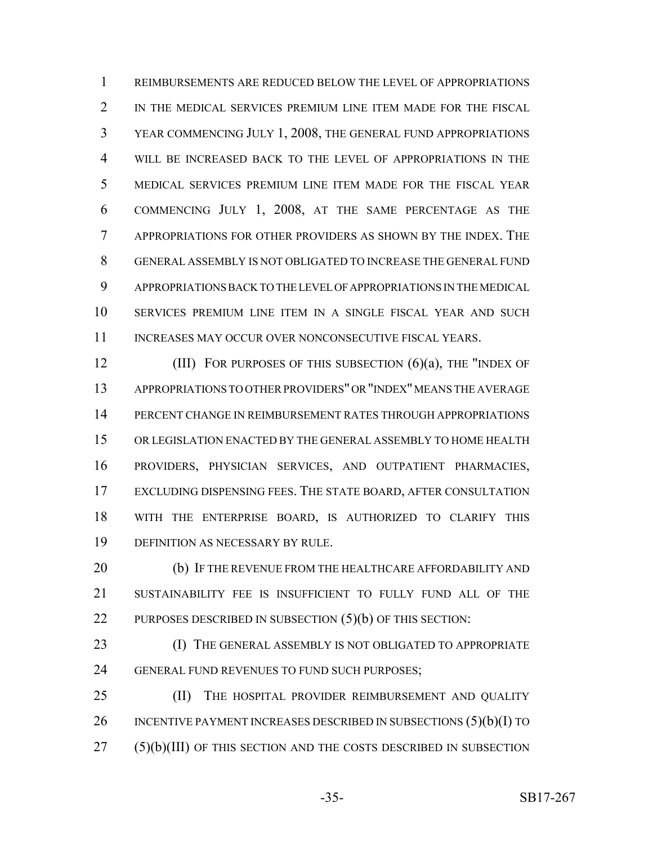REIMBURSEMENTS ARE REDUCED BELOW THE LEVEL OF APPROPRIATIONS 2 IN THE MEDICAL SERVICES PREMIUM LINE ITEM MADE FOR THE FISCAL YEAR COMMENCING JULY 1, 2008, THE GENERAL FUND APPROPRIATIONS WILL BE INCREASED BACK TO THE LEVEL OF APPROPRIATIONS IN THE MEDICAL SERVICES PREMIUM LINE ITEM MADE FOR THE FISCAL YEAR COMMENCING JULY 1, 2008, AT THE SAME PERCENTAGE AS THE APPROPRIATIONS FOR OTHER PROVIDERS AS SHOWN BY THE INDEX. THE GENERAL ASSEMBLY IS NOT OBLIGATED TO INCREASE THE GENERAL FUND APPROPRIATIONS BACK TO THE LEVEL OF APPROPRIATIONS IN THE MEDICAL SERVICES PREMIUM LINE ITEM IN A SINGLE FISCAL YEAR AND SUCH 11 INCREASES MAY OCCUR OVER NONCONSECUTIVE FISCAL YEARS.

**(III)** FOR PURPOSES OF THIS SUBSECTION (6)(a), THE "INDEX OF APPROPRIATIONS TO OTHER PROVIDERS" OR "INDEX" MEANS THE AVERAGE PERCENT CHANGE IN REIMBURSEMENT RATES THROUGH APPROPRIATIONS OR LEGISLATION ENACTED BY THE GENERAL ASSEMBLY TO HOME HEALTH PROVIDERS, PHYSICIAN SERVICES, AND OUTPATIENT PHARMACIES, EXCLUDING DISPENSING FEES. THE STATE BOARD, AFTER CONSULTATION WITH THE ENTERPRISE BOARD, IS AUTHORIZED TO CLARIFY THIS DEFINITION AS NECESSARY BY RULE.

20 (b) IF THE REVENUE FROM THE HEALTHCARE AFFORDABILITY AND SUSTAINABILITY FEE IS INSUFFICIENT TO FULLY FUND ALL OF THE 22 PURPOSES DESCRIBED IN SUBSECTION (5)(b) OF THIS SECTION:

23 (I) THE GENERAL ASSEMBLY IS NOT OBLIGATED TO APPROPRIATE GENERAL FUND REVENUES TO FUND SUCH PURPOSES;

25 (II) THE HOSPITAL PROVIDER REIMBURSEMENT AND QUALITY 26 INCENTIVE PAYMENT INCREASES DESCRIBED IN SUBSECTIONS (5)(b)(I) TO (5)(b)(III) OF THIS SECTION AND THE COSTS DESCRIBED IN SUBSECTION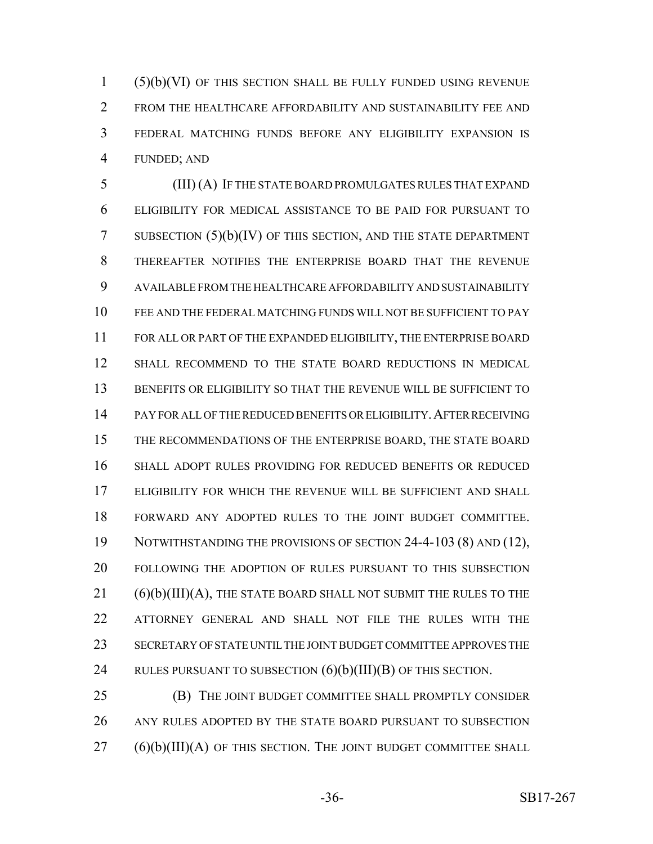(5)(b)(VI) OF THIS SECTION SHALL BE FULLY FUNDED USING REVENUE FROM THE HEALTHCARE AFFORDABILITY AND SUSTAINABILITY FEE AND FEDERAL MATCHING FUNDS BEFORE ANY ELIGIBILITY EXPANSION IS FUNDED; AND

 (III) (A) IF THE STATE BOARD PROMULGATES RULES THAT EXPAND ELIGIBILITY FOR MEDICAL ASSISTANCE TO BE PAID FOR PURSUANT TO SUBSECTION (5)(b)(IV) OF THIS SECTION, AND THE STATE DEPARTMENT THEREAFTER NOTIFIES THE ENTERPRISE BOARD THAT THE REVENUE AVAILABLE FROM THE HEALTHCARE AFFORDABILITY AND SUSTAINABILITY FEE AND THE FEDERAL MATCHING FUNDS WILL NOT BE SUFFICIENT TO PAY FOR ALL OR PART OF THE EXPANDED ELIGIBILITY, THE ENTERPRISE BOARD SHALL RECOMMEND TO THE STATE BOARD REDUCTIONS IN MEDICAL BENEFITS OR ELIGIBILITY SO THAT THE REVENUE WILL BE SUFFICIENT TO PAY FOR ALL OF THE REDUCED BENEFITS OR ELIGIBILITY.AFTER RECEIVING THE RECOMMENDATIONS OF THE ENTERPRISE BOARD, THE STATE BOARD SHALL ADOPT RULES PROVIDING FOR REDUCED BENEFITS OR REDUCED ELIGIBILITY FOR WHICH THE REVENUE WILL BE SUFFICIENT AND SHALL FORWARD ANY ADOPTED RULES TO THE JOINT BUDGET COMMITTEE. 19 NOTWITHSTANDING THE PROVISIONS OF SECTION 24-4-103 (8) AND (12), FOLLOWING THE ADOPTION OF RULES PURSUANT TO THIS SUBSECTION (6)(b)(III)(A), THE STATE BOARD SHALL NOT SUBMIT THE RULES TO THE ATTORNEY GENERAL AND SHALL NOT FILE THE RULES WITH THE SECRETARY OF STATE UNTIL THE JOINT BUDGET COMMITTEE APPROVES THE 24 RULES PURSUANT TO SUBSECTION  $(6)(b)(III)(B)$  OF THIS SECTION.

 (B) THE JOINT BUDGET COMMITTEE SHALL PROMPTLY CONSIDER ANY RULES ADOPTED BY THE STATE BOARD PURSUANT TO SUBSECTION (6)(b)(III)(A) OF THIS SECTION. THE JOINT BUDGET COMMITTEE SHALL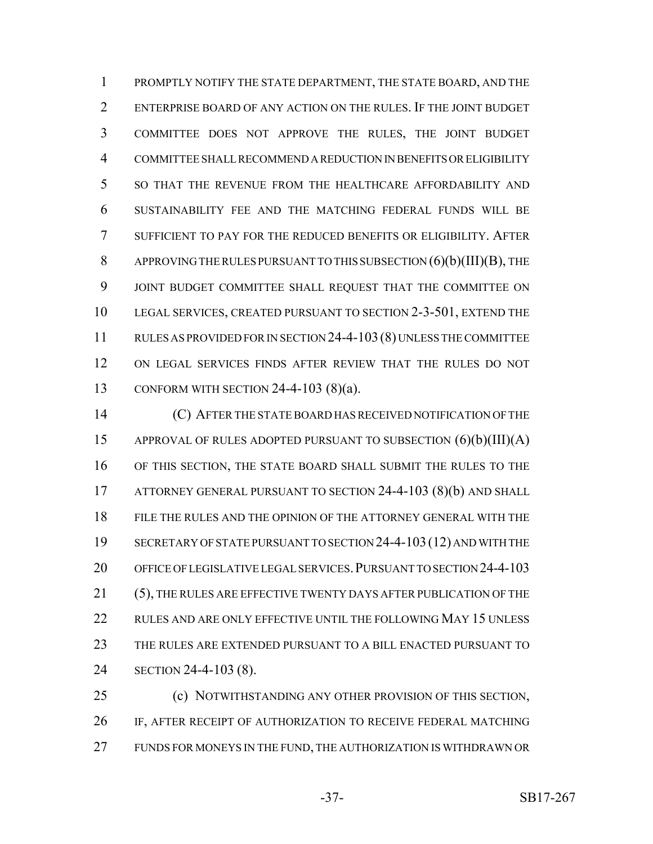PROMPTLY NOTIFY THE STATE DEPARTMENT, THE STATE BOARD, AND THE ENTERPRISE BOARD OF ANY ACTION ON THE RULES. IF THE JOINT BUDGET COMMITTEE DOES NOT APPROVE THE RULES, THE JOINT BUDGET COMMITTEE SHALL RECOMMEND A REDUCTION IN BENEFITS OR ELIGIBILITY SO THAT THE REVENUE FROM THE HEALTHCARE AFFORDABILITY AND SUSTAINABILITY FEE AND THE MATCHING FEDERAL FUNDS WILL BE SUFFICIENT TO PAY FOR THE REDUCED BENEFITS OR ELIGIBILITY. AFTER APPROVING THE RULES PURSUANT TO THIS SUBSECTION (6)(b)(III)(B), THE JOINT BUDGET COMMITTEE SHALL REQUEST THAT THE COMMITTEE ON LEGAL SERVICES, CREATED PURSUANT TO SECTION 2-3-501, EXTEND THE RULES AS PROVIDED FOR IN SECTION 24-4-103(8) UNLESS THE COMMITTEE ON LEGAL SERVICES FINDS AFTER REVIEW THAT THE RULES DO NOT CONFORM WITH SECTION 24-4-103 (8)(a).

 (C) AFTER THE STATE BOARD HAS RECEIVED NOTIFICATION OF THE APPROVAL OF RULES ADOPTED PURSUANT TO SUBSECTION (6)(b)(III)(A) OF THIS SECTION, THE STATE BOARD SHALL SUBMIT THE RULES TO THE ATTORNEY GENERAL PURSUANT TO SECTION 24-4-103 (8)(b) AND SHALL FILE THE RULES AND THE OPINION OF THE ATTORNEY GENERAL WITH THE SECRETARY OF STATE PURSUANT TO SECTION 24-4-103(12) AND WITH THE OFFICE OF LEGISLATIVE LEGAL SERVICES.PURSUANT TO SECTION 24-4-103 (5), THE RULES ARE EFFECTIVE TWENTY DAYS AFTER PUBLICATION OF THE RULES AND ARE ONLY EFFECTIVE UNTIL THE FOLLOWING MAY 15 UNLESS THE RULES ARE EXTENDED PURSUANT TO A BILL ENACTED PURSUANT TO SECTION 24-4-103 (8).

 (c) NOTWITHSTANDING ANY OTHER PROVISION OF THIS SECTION, IF, AFTER RECEIPT OF AUTHORIZATION TO RECEIVE FEDERAL MATCHING FUNDS FOR MONEYS IN THE FUND, THE AUTHORIZATION IS WITHDRAWN OR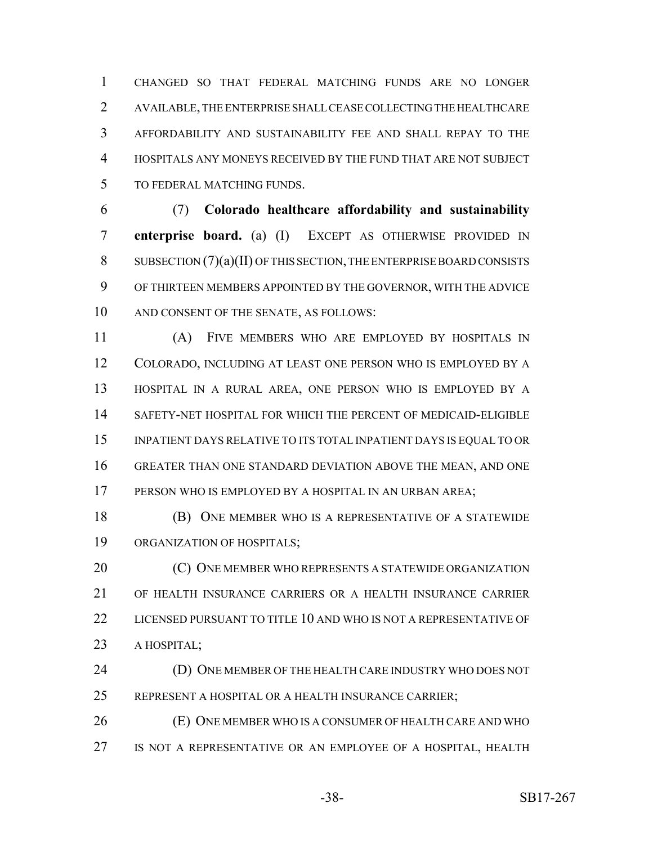CHANGED SO THAT FEDERAL MATCHING FUNDS ARE NO LONGER AVAILABLE, THE ENTERPRISE SHALL CEASE COLLECTING THE HEALTHCARE AFFORDABILITY AND SUSTAINABILITY FEE AND SHALL REPAY TO THE HOSPITALS ANY MONEYS RECEIVED BY THE FUND THAT ARE NOT SUBJECT TO FEDERAL MATCHING FUNDS.

 (7) **Colorado healthcare affordability and sustainability enterprise board.** (a) (I) EXCEPT AS OTHERWISE PROVIDED IN SUBSECTION (7)(a)(II) OF THIS SECTION, THE ENTERPRISE BOARD CONSISTS OF THIRTEEN MEMBERS APPOINTED BY THE GOVERNOR, WITH THE ADVICE AND CONSENT OF THE SENATE, AS FOLLOWS:

 (A) FIVE MEMBERS WHO ARE EMPLOYED BY HOSPITALS IN COLORADO, INCLUDING AT LEAST ONE PERSON WHO IS EMPLOYED BY A HOSPITAL IN A RURAL AREA, ONE PERSON WHO IS EMPLOYED BY A SAFETY-NET HOSPITAL FOR WHICH THE PERCENT OF MEDICAID-ELIGIBLE INPATIENT DAYS RELATIVE TO ITS TOTAL INPATIENT DAYS IS EQUAL TO OR GREATER THAN ONE STANDARD DEVIATION ABOVE THE MEAN, AND ONE PERSON WHO IS EMPLOYED BY A HOSPITAL IN AN URBAN AREA;

 (B) ONE MEMBER WHO IS A REPRESENTATIVE OF A STATEWIDE ORGANIZATION OF HOSPITALS;

**(C) ONE MEMBER WHO REPRESENTS A STATEWIDE ORGANIZATION**  OF HEALTH INSURANCE CARRIERS OR A HEALTH INSURANCE CARRIER LICENSED PURSUANT TO TITLE 10 AND WHO IS NOT A REPRESENTATIVE OF A HOSPITAL;

 (D) ONE MEMBER OF THE HEALTH CARE INDUSTRY WHO DOES NOT REPRESENT A HOSPITAL OR A HEALTH INSURANCE CARRIER;

 (E) ONE MEMBER WHO IS A CONSUMER OF HEALTH CARE AND WHO IS NOT A REPRESENTATIVE OR AN EMPLOYEE OF A HOSPITAL, HEALTH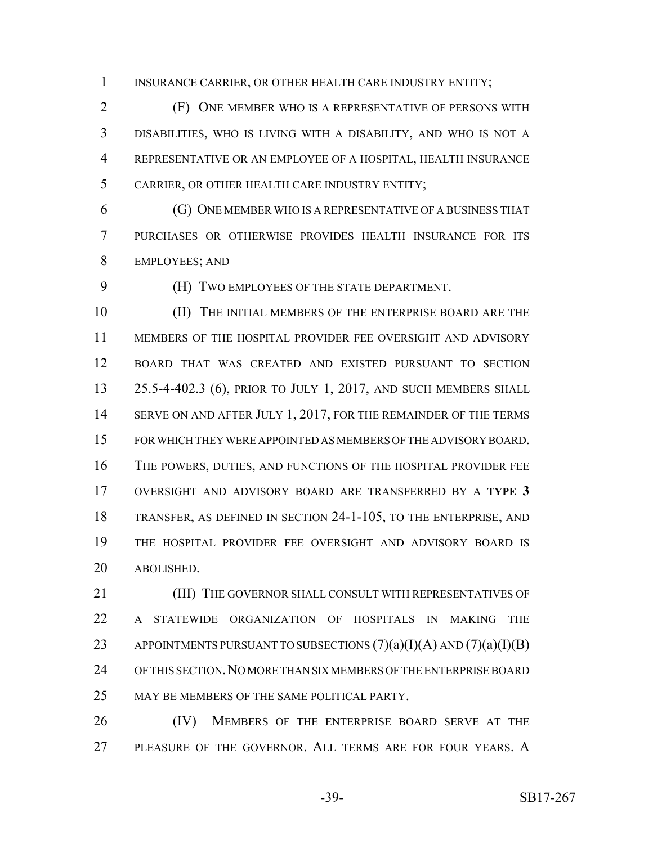INSURANCE CARRIER, OR OTHER HEALTH CARE INDUSTRY ENTITY;

 (F) ONE MEMBER WHO IS A REPRESENTATIVE OF PERSONS WITH DISABILITIES, WHO IS LIVING WITH A DISABILITY, AND WHO IS NOT A REPRESENTATIVE OR AN EMPLOYEE OF A HOSPITAL, HEALTH INSURANCE CARRIER, OR OTHER HEALTH CARE INDUSTRY ENTITY;

 (G) ONE MEMBER WHO IS A REPRESENTATIVE OF A BUSINESS THAT PURCHASES OR OTHERWISE PROVIDES HEALTH INSURANCE FOR ITS EMPLOYEES; AND

(H) TWO EMPLOYEES OF THE STATE DEPARTMENT.

 (II) THE INITIAL MEMBERS OF THE ENTERPRISE BOARD ARE THE MEMBERS OF THE HOSPITAL PROVIDER FEE OVERSIGHT AND ADVISORY BOARD THAT WAS CREATED AND EXISTED PURSUANT TO SECTION 25.5-4-402.3 (6), PRIOR TO JULY 1, 2017, AND SUCH MEMBERS SHALL 14 SERVE ON AND AFTER JULY 1, 2017, FOR THE REMAINDER OF THE TERMS FOR WHICH THEY WERE APPOINTED AS MEMBERS OF THE ADVISORY BOARD. THE POWERS, DUTIES, AND FUNCTIONS OF THE HOSPITAL PROVIDER FEE OVERSIGHT AND ADVISORY BOARD ARE TRANSFERRED BY A **TYPE 3** TRANSFER, AS DEFINED IN SECTION 24-1-105, TO THE ENTERPRISE, AND THE HOSPITAL PROVIDER FEE OVERSIGHT AND ADVISORY BOARD IS ABOLISHED.

**III)** THE GOVERNOR SHALL CONSULT WITH REPRESENTATIVES OF A STATEWIDE ORGANIZATION OF HOSPITALS IN MAKING THE 23 APPOINTMENTS PURSUANT TO SUBSECTIONS  $(7)(a)(I)(A)$  AND  $(7)(a)(I)(B)$  OF THIS SECTION.NO MORE THAN SIX MEMBERS OF THE ENTERPRISE BOARD MAY BE MEMBERS OF THE SAME POLITICAL PARTY.

26 (IV) MEMBERS OF THE ENTERPRISE BOARD SERVE AT THE 27 PLEASURE OF THE GOVERNOR. ALL TERMS ARE FOR FOUR YEARS. A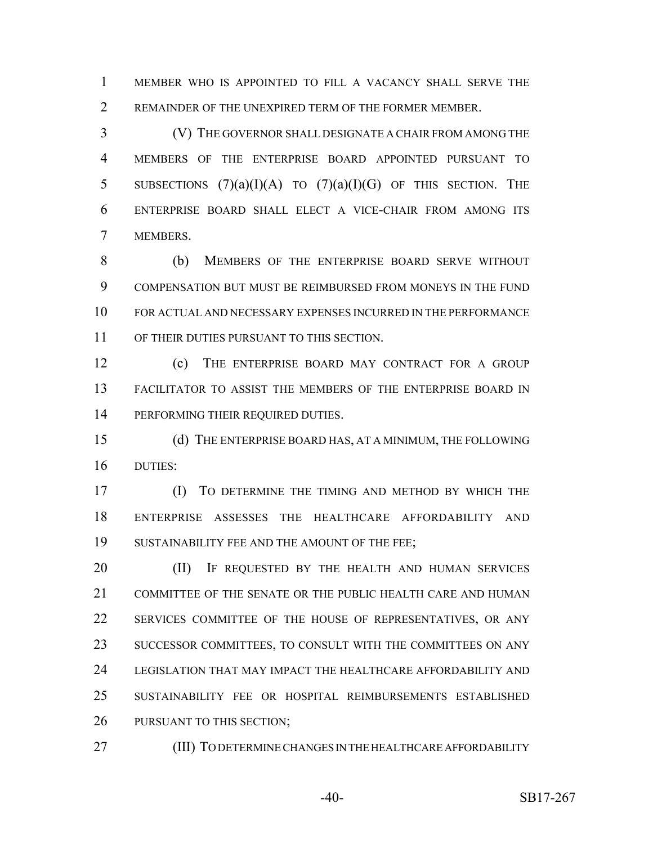MEMBER WHO IS APPOINTED TO FILL A VACANCY SHALL SERVE THE 2 REMAINDER OF THE UNEXPIRED TERM OF THE FORMER MEMBER.

 (V) THE GOVERNOR SHALL DESIGNATE A CHAIR FROM AMONG THE MEMBERS OF THE ENTERPRISE BOARD APPOINTED PURSUANT TO 5 SUBSECTIONS  $(7)(a)(I)(A)$  to  $(7)(a)(I)(G)$  of this section. The ENTERPRISE BOARD SHALL ELECT A VICE-CHAIR FROM AMONG ITS MEMBERS.

 (b) MEMBERS OF THE ENTERPRISE BOARD SERVE WITHOUT COMPENSATION BUT MUST BE REIMBURSED FROM MONEYS IN THE FUND FOR ACTUAL AND NECESSARY EXPENSES INCURRED IN THE PERFORMANCE OF THEIR DUTIES PURSUANT TO THIS SECTION.

 (c) THE ENTERPRISE BOARD MAY CONTRACT FOR A GROUP FACILITATOR TO ASSIST THE MEMBERS OF THE ENTERPRISE BOARD IN PERFORMING THEIR REQUIRED DUTIES.

 (d) THE ENTERPRISE BOARD HAS, AT A MINIMUM, THE FOLLOWING DUTIES:

 (I) TO DETERMINE THE TIMING AND METHOD BY WHICH THE ENTERPRISE ASSESSES THE HEALTHCARE AFFORDABILITY AND SUSTAINABILITY FEE AND THE AMOUNT OF THE FEE;

**(II)** IF REQUESTED BY THE HEALTH AND HUMAN SERVICES COMMITTEE OF THE SENATE OR THE PUBLIC HEALTH CARE AND HUMAN SERVICES COMMITTEE OF THE HOUSE OF REPRESENTATIVES, OR ANY SUCCESSOR COMMITTEES, TO CONSULT WITH THE COMMITTEES ON ANY LEGISLATION THAT MAY IMPACT THE HEALTHCARE AFFORDABILITY AND SUSTAINABILITY FEE OR HOSPITAL REIMBURSEMENTS ESTABLISHED PURSUANT TO THIS SECTION;

(III) TO DETERMINE CHANGES IN THE HEALTHCARE AFFORDABILITY

-40- SB17-267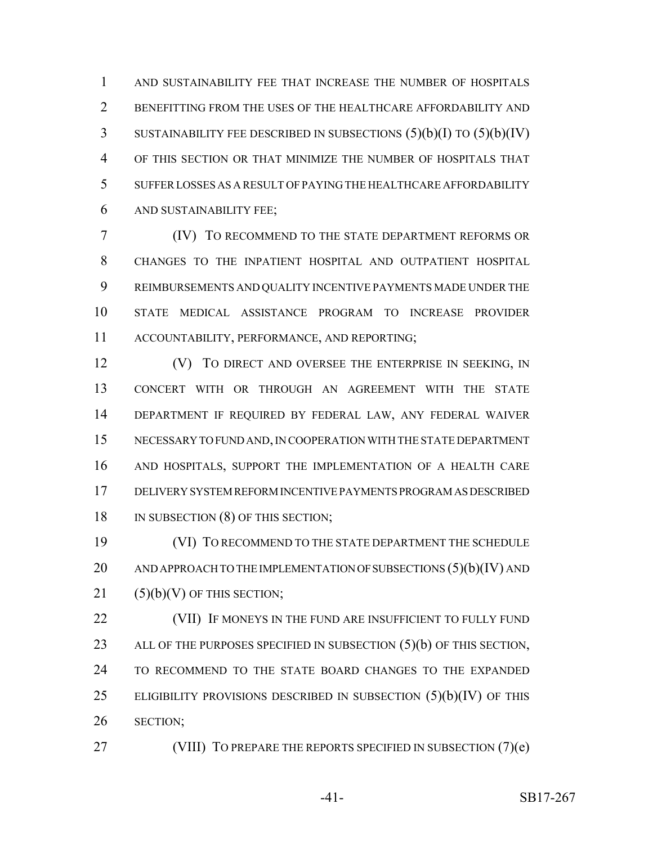AND SUSTAINABILITY FEE THAT INCREASE THE NUMBER OF HOSPITALS BENEFITTING FROM THE USES OF THE HEALTHCARE AFFORDABILITY AND SUSTAINABILITY FEE DESCRIBED IN SUBSECTIONS (5)(b)(I) TO (5)(b)(IV) OF THIS SECTION OR THAT MINIMIZE THE NUMBER OF HOSPITALS THAT SUFFER LOSSES AS A RESULT OF PAYING THE HEALTHCARE AFFORDABILITY AND SUSTAINABILITY FEE;

 (IV) TO RECOMMEND TO THE STATE DEPARTMENT REFORMS OR CHANGES TO THE INPATIENT HOSPITAL AND OUTPATIENT HOSPITAL REIMBURSEMENTS AND QUALITY INCENTIVE PAYMENTS MADE UNDER THE STATE MEDICAL ASSISTANCE PROGRAM TO INCREASE PROVIDER ACCOUNTABILITY, PERFORMANCE, AND REPORTING;

**(V)** TO DIRECT AND OVERSEE THE ENTERPRISE IN SEEKING, IN CONCERT WITH OR THROUGH AN AGREEMENT WITH THE STATE DEPARTMENT IF REQUIRED BY FEDERAL LAW, ANY FEDERAL WAIVER NECESSARY TO FUND AND, IN COOPERATION WITH THE STATE DEPARTMENT AND HOSPITALS, SUPPORT THE IMPLEMENTATION OF A HEALTH CARE DELIVERY SYSTEM REFORM INCENTIVE PAYMENTS PROGRAM AS DESCRIBED 18 IN SUBSECTION (8) OF THIS SECTION;

 (VI) TO RECOMMEND TO THE STATE DEPARTMENT THE SCHEDULE 20 AND APPROACH TO THE IMPLEMENTATION OF SUBSECTIONS  $(5)(b)(IV)$  and (5)(b)(V) OF THIS SECTION;

22 (VII) IF MONEYS IN THE FUND ARE INSUFFICIENT TO FULLY FUND 23 ALL OF THE PURPOSES SPECIFIED IN SUBSECTION (5)(b) OF THIS SECTION, TO RECOMMEND TO THE STATE BOARD CHANGES TO THE EXPANDED 25 ELIGIBILITY PROVISIONS DESCRIBED IN SUBSECTION  $(5)(b)(IV)$  OF THIS SECTION;

27 (VIII) TO PREPARE THE REPORTS SPECIFIED IN SUBSECTION (7)(e)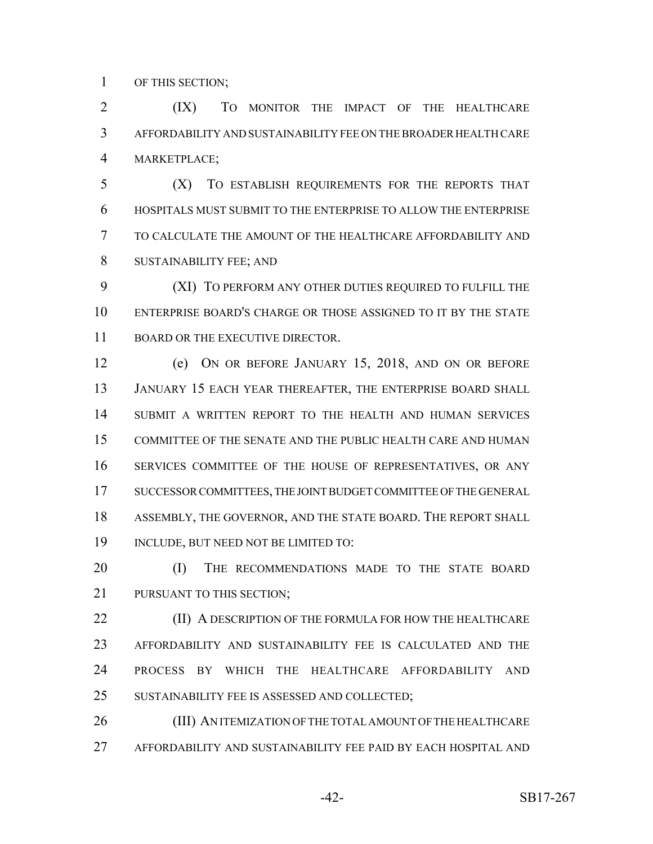OF THIS SECTION;

 (IX) TO MONITOR THE IMPACT OF THE HEALTHCARE AFFORDABILITY AND SUSTAINABILITY FEE ON THE BROADER HEALTH CARE MARKETPLACE;

 (X) TO ESTABLISH REQUIREMENTS FOR THE REPORTS THAT HOSPITALS MUST SUBMIT TO THE ENTERPRISE TO ALLOW THE ENTERPRISE TO CALCULATE THE AMOUNT OF THE HEALTHCARE AFFORDABILITY AND SUSTAINABILITY FEE; AND

 (XI) TO PERFORM ANY OTHER DUTIES REQUIRED TO FULFILL THE ENTERPRISE BOARD'S CHARGE OR THOSE ASSIGNED TO IT BY THE STATE 11 BOARD OR THE EXECUTIVE DIRECTOR.

 (e) ON OR BEFORE JANUARY 15, 2018, AND ON OR BEFORE JANUARY 15 EACH YEAR THEREAFTER, THE ENTERPRISE BOARD SHALL SUBMIT A WRITTEN REPORT TO THE HEALTH AND HUMAN SERVICES COMMITTEE OF THE SENATE AND THE PUBLIC HEALTH CARE AND HUMAN SERVICES COMMITTEE OF THE HOUSE OF REPRESENTATIVES, OR ANY SUCCESSOR COMMITTEES, THE JOINT BUDGET COMMITTEE OF THE GENERAL ASSEMBLY, THE GOVERNOR, AND THE STATE BOARD. THE REPORT SHALL INCLUDE, BUT NEED NOT BE LIMITED TO:

20 (I) THE RECOMMENDATIONS MADE TO THE STATE BOARD 21 PURSUANT TO THIS SECTION:

**(II) A DESCRIPTION OF THE FORMULA FOR HOW THE HEALTHCARE**  AFFORDABILITY AND SUSTAINABILITY FEE IS CALCULATED AND THE PROCESS BY WHICH THE HEALTHCARE AFFORDABILITY AND SUSTAINABILITY FEE IS ASSESSED AND COLLECTED;

 (III) AN ITEMIZATION OF THE TOTAL AMOUNT OF THE HEALTHCARE AFFORDABILITY AND SUSTAINABILITY FEE PAID BY EACH HOSPITAL AND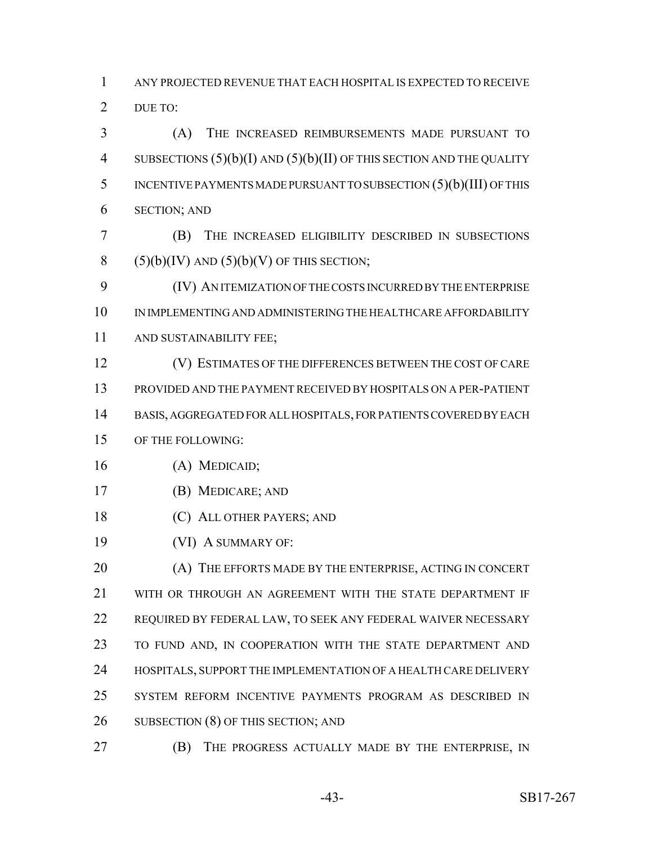ANY PROJECTED REVENUE THAT EACH HOSPITAL IS EXPECTED TO RECEIVE 2 DUE TO:

 (A) THE INCREASED REIMBURSEMENTS MADE PURSUANT TO SUBSECTIONS (5)(b)(I) AND (5)(b)(II) OF THIS SECTION AND THE QUALITY INCENTIVE PAYMENTS MADE PURSUANT TO SUBSECTION (5)(b)(III) OF THIS SECTION; AND

 (B) THE INCREASED ELIGIBILITY DESCRIBED IN SUBSECTIONS 8 (5)(b)(IV) AND (5)(b)(V) OF THIS SECTION;

 (IV) AN ITEMIZATION OF THE COSTS INCURRED BY THE ENTERPRISE IN IMPLEMENTING AND ADMINISTERING THE HEALTHCARE AFFORDABILITY AND SUSTAINABILITY FEE;

(V) ESTIMATES OF THE DIFFERENCES BETWEEN THE COST OF CARE

PROVIDED AND THE PAYMENT RECEIVED BY HOSPITALS ON A PER-PATIENT

BASIS, AGGREGATED FOR ALL HOSPITALS, FOR PATIENTS COVERED BY EACH

## OF THE FOLLOWING:

- (A) MEDICAID;
- (B) MEDICARE; AND
- (C) ALL OTHER PAYERS; AND
- (VI) A SUMMARY OF:

20 (A) THE EFFORTS MADE BY THE ENTERPRISE, ACTING IN CONCERT 21 WITH OR THROUGH AN AGREEMENT WITH THE STATE DEPARTMENT IF REQUIRED BY FEDERAL LAW, TO SEEK ANY FEDERAL WAIVER NECESSARY 23 TO FUND AND, IN COOPERATION WITH THE STATE DEPARTMENT AND HOSPITALS, SUPPORT THE IMPLEMENTATION OF A HEALTH CARE DELIVERY SYSTEM REFORM INCENTIVE PAYMENTS PROGRAM AS DESCRIBED IN 26 SUBSECTION (8) OF THIS SECTION; AND

**(B)** THE PROGRESS ACTUALLY MADE BY THE ENTERPRISE, IN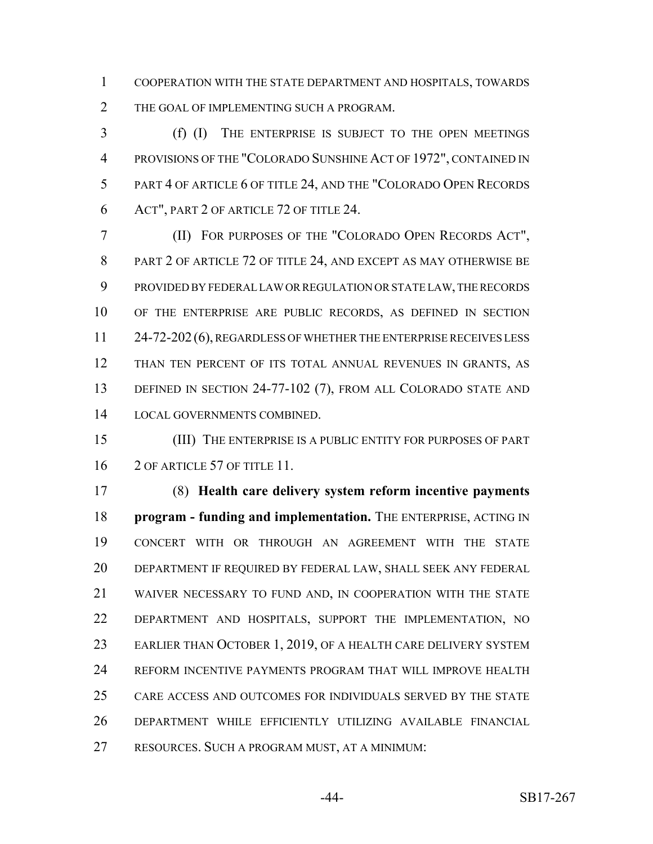COOPERATION WITH THE STATE DEPARTMENT AND HOSPITALS, TOWARDS 2 THE GOAL OF IMPLEMENTING SUCH A PROGRAM.

 (f) (I) THE ENTERPRISE IS SUBJECT TO THE OPEN MEETINGS PROVISIONS OF THE "COLORADO SUNSHINE ACT OF 1972", CONTAINED IN PART 4 OF ARTICLE 6 OF TITLE 24, AND THE "COLORADO OPEN RECORDS ACT", PART 2 OF ARTICLE 72 OF TITLE 24.

 (II) FOR PURPOSES OF THE "COLORADO OPEN RECORDS ACT", 8 PART 2 OF ARTICLE 72 OF TITLE 24, AND EXCEPT AS MAY OTHERWISE BE PROVIDED BY FEDERAL LAW OR REGULATION OR STATE LAW, THE RECORDS OF THE ENTERPRISE ARE PUBLIC RECORDS, AS DEFINED IN SECTION 11 24-72-202 (6), REGARDLESS OF WHETHER THE ENTERPRISE RECEIVES LESS THAN TEN PERCENT OF ITS TOTAL ANNUAL REVENUES IN GRANTS, AS DEFINED IN SECTION 24-77-102 (7), FROM ALL COLORADO STATE AND LOCAL GOVERNMENTS COMBINED.

 (III) THE ENTERPRISE IS A PUBLIC ENTITY FOR PURPOSES OF PART 16 2 OF ARTICLE 57 OF TITLE 11.

 (8) **Health care delivery system reform incentive payments program - funding and implementation.** THE ENTERPRISE, ACTING IN CONCERT WITH OR THROUGH AN AGREEMENT WITH THE STATE DEPARTMENT IF REQUIRED BY FEDERAL LAW, SHALL SEEK ANY FEDERAL WAIVER NECESSARY TO FUND AND, IN COOPERATION WITH THE STATE DEPARTMENT AND HOSPITALS, SUPPORT THE IMPLEMENTATION, NO EARLIER THAN OCTOBER 1, 2019, OF A HEALTH CARE DELIVERY SYSTEM REFORM INCENTIVE PAYMENTS PROGRAM THAT WILL IMPROVE HEALTH CARE ACCESS AND OUTCOMES FOR INDIVIDUALS SERVED BY THE STATE DEPARTMENT WHILE EFFICIENTLY UTILIZING AVAILABLE FINANCIAL RESOURCES. SUCH A PROGRAM MUST, AT A MINIMUM: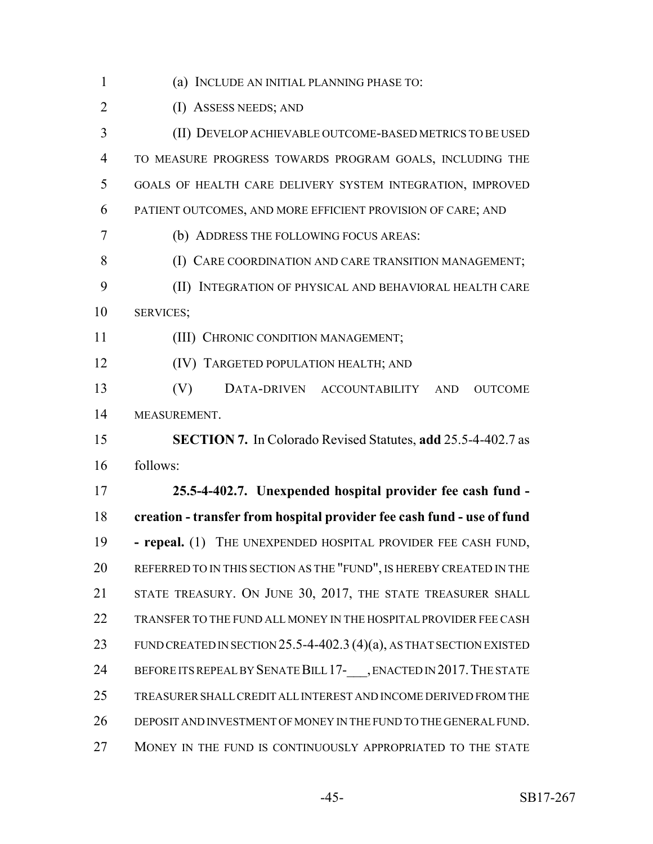(a) INCLUDE AN INITIAL PLANNING PHASE TO: (I) ASSESS NEEDS; AND (II) DEVELOP ACHIEVABLE OUTCOME-BASED METRICS TO BE USED TO MEASURE PROGRESS TOWARDS PROGRAM GOALS, INCLUDING THE GOALS OF HEALTH CARE DELIVERY SYSTEM INTEGRATION, IMPROVED PATIENT OUTCOMES, AND MORE EFFICIENT PROVISION OF CARE; AND (b) ADDRESS THE FOLLOWING FOCUS AREAS: 8 (I) CARE COORDINATION AND CARE TRANSITION MANAGEMENT; (II) INTEGRATION OF PHYSICAL AND BEHAVIORAL HEALTH CARE SERVICES; 11 (III) CHRONIC CONDITION MANAGEMENT; (IV) TARGETED POPULATION HEALTH; AND (V) DATA-DRIVEN ACCOUNTABILITY AND OUTCOME MEASUREMENT. **SECTION 7.** In Colorado Revised Statutes, **add** 25.5-4-402.7 as follows: **25.5-4-402.7. Unexpended hospital provider fee cash fund - creation - transfer from hospital provider fee cash fund - use of fund - repeal.** (1) THE UNEXPENDED HOSPITAL PROVIDER FEE CASH FUND, REFERRED TO IN THIS SECTION AS THE "FUND", IS HEREBY CREATED IN THE 21 STATE TREASURY. ON JUNE 30, 2017, THE STATE TREASURER SHALL TRANSFER TO THE FUND ALL MONEY IN THE HOSPITAL PROVIDER FEE CASH 23 FUND CREATED IN SECTION 25.5-4-402.3 (4)(a), AS THAT SECTION EXISTED 24 BEFORE ITS REPEAL BY SENATE BILL 17- , ENACTED IN 2017. THE STATE TREASURER SHALL CREDIT ALL INTEREST AND INCOME DERIVED FROM THE DEPOSIT AND INVESTMENT OF MONEY IN THE FUND TO THE GENERAL FUND. MONEY IN THE FUND IS CONTINUOUSLY APPROPRIATED TO THE STATE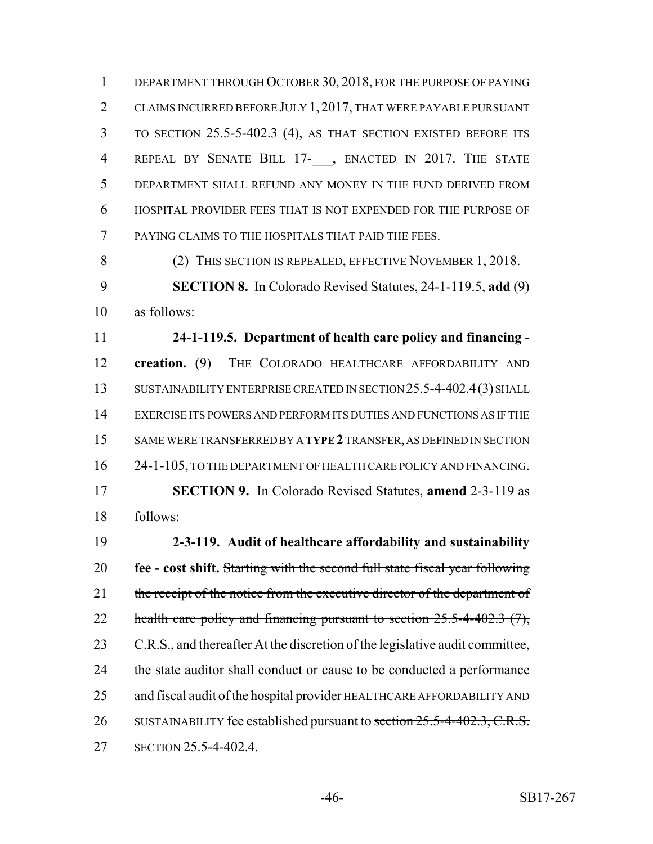DEPARTMENT THROUGH OCTOBER 30, 2018, FOR THE PURPOSE OF PAYING CLAIMS INCURRED BEFORE JULY 1, 2017, THAT WERE PAYABLE PURSUANT TO SECTION 25.5-5-402.3 (4), AS THAT SECTION EXISTED BEFORE ITS 4 REPEAL BY SENATE BILL 17- , ENACTED IN 2017. THE STATE DEPARTMENT SHALL REFUND ANY MONEY IN THE FUND DERIVED FROM HOSPITAL PROVIDER FEES THAT IS NOT EXPENDED FOR THE PURPOSE OF PAYING CLAIMS TO THE HOSPITALS THAT PAID THE FEES.

8 (2) THIS SECTION IS REPEALED, EFFECTIVE NOVEMBER 1, 2018. **SECTION 8.** In Colorado Revised Statutes, 24-1-119.5, **add** (9) as follows:

 **24-1-119.5. Department of health care policy and financing - creation.** (9) THE COLORADO HEALTHCARE AFFORDABILITY AND 13 SUSTAINABILITY ENTERPRISE CREATED IN SECTION 25.5-4-402.4(3) SHALL EXERCISE ITS POWERS AND PERFORM ITS DUTIES AND FUNCTIONS AS IF THE SAME WERE TRANSFERRED BY A **TYPE 2** TRANSFER, AS DEFINED IN SECTION 24-1-105, TO THE DEPARTMENT OF HEALTH CARE POLICY AND FINANCING. **SECTION 9.** In Colorado Revised Statutes, **amend** 2-3-119 as

follows:

 **2-3-119. Audit of healthcare affordability and sustainability fee - cost shift.** Starting with the second full state fiscal year following 21 the receipt of the notice from the executive director of the department of 22 health care policy and financing pursuant to section 25.5-4-402.3 (7), 23 C.R.S., and thereafter At the discretion of the legislative audit committee, the state auditor shall conduct or cause to be conducted a performance 25 and fiscal audit of the hospital provider HEALTHCARE AFFORDABILITY AND 26 SUSTAINABILITY fee established pursuant to section 25.5-4-402.3, C.R.S. SECTION 25.5-4-402.4.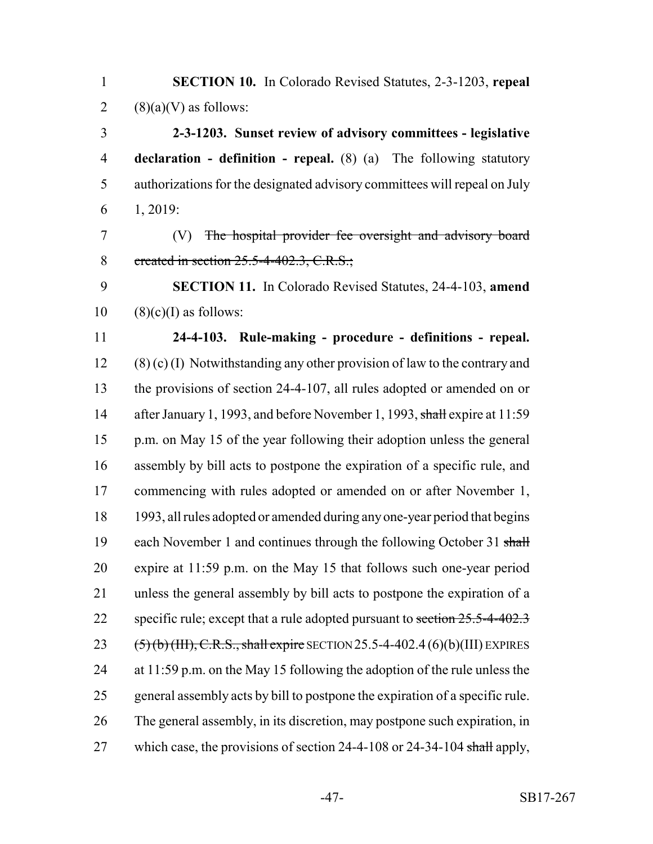| SECTION 10. In Colorado Revised Statutes, 2-3-1203, repeal                              |
|-----------------------------------------------------------------------------------------|
| $(8)(a)(V)$ as follows:                                                                 |
| 2-3-1203. Sunset review of advisory committees - legislative                            |
| <b>declaration</b> - <b>definition</b> - <b>repeal.</b> (8) (a) The following statutory |
| authorizations for the designated advisory committees will repeal on July               |
| 1, 2019:                                                                                |
| The hospital provider fee oversight and advisory board<br>(V)                           |
| created in section 25.5-4-402.3, C.R.S.;                                                |
| <b>SECTION 11.</b> In Colorado Revised Statutes, 24-4-103, amend                        |
| $(8)(c)(I)$ as follows:                                                                 |
| 24-4-103. Rule-making - procedure - definitions - repeal.                               |
| $(8)$ (c) (I) Notwithstanding any other provision of law to the contrary and            |
| the provisions of section 24-4-107, all rules adopted or amended on or                  |
| after January 1, 1993, and before November 1, 1993, shall expire at 11:59               |
| p.m. on May 15 of the year following their adoption unless the general                  |
| assembly by bill acts to postpone the expiration of a specific rule, and                |
| commencing with rules adopted or amended on or after November 1,                        |
| 1993, all rules adopted or amended during any one-year period that begins               |
| each November 1 and continues through the following October 31 shall                    |
| expire at 11:59 p.m. on the May 15 that follows such one-year period                    |
| unless the general assembly by bill acts to postpone the expiration of a                |
| specific rule; except that a rule adopted pursuant to section $25.5-4-402.3$            |
| $(5)(b)(III)$ , C.R.S., shall expire SECTION 25.5-4-402.4 (6)(b)(III) EXPIRES           |
| at $11:59$ p.m. on the May 15 following the adoption of the rule unless the             |
| general assembly acts by bill to postpone the expiration of a specific rule.            |
| The general assembly, in its discretion, may postpone such expiration, in               |
| which case, the provisions of section 24-4-108 or 24-34-104 shall apply,                |
|                                                                                         |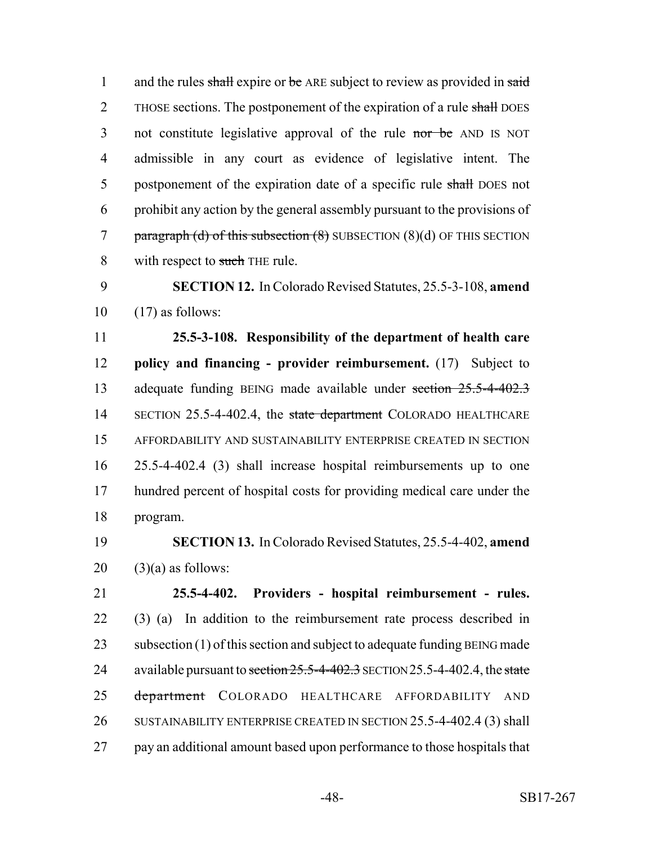1 and the rules shall expire or be ARE subject to review as provided in said 2 THOSE sections. The postponement of the expiration of a rule shall DOES 3 not constitute legislative approval of the rule nor be AND IS NOT 4 admissible in any court as evidence of legislative intent. The 5 postponement of the expiration date of a specific rule shall DOES not 6 prohibit any action by the general assembly pursuant to the provisions of 7 paragraph (d) of this subsection  $(8)$  SUBSECTION  $(8)(d)$  OF THIS SECTION 8 with respect to such THE rule.

9 **SECTION 12.** In Colorado Revised Statutes, 25.5-3-108, **amend** 10 (17) as follows:

 **25.5-3-108. Responsibility of the department of health care policy and financing - provider reimbursement.** (17) Subject to adequate funding BEING made available under section 25.5-4-402.3 14 SECTION 25.5-4-402.4, the state department COLORADO HEALTHCARE AFFORDABILITY AND SUSTAINABILITY ENTERPRISE CREATED IN SECTION 25.5-4-402.4 (3) shall increase hospital reimbursements up to one hundred percent of hospital costs for providing medical care under the 18 program.

19 **SECTION 13.** In Colorado Revised Statutes, 25.5-4-402, **amend**  $20$  (3)(a) as follows:

21 **25.5-4-402. Providers - hospital reimbursement - rules.** 22 (3) (a) In addition to the reimbursement rate process described in 23 subsection (1) of this section and subject to adequate funding BEING made 24 available pursuant to section 25.5-4-402.3 SECTION 25.5-4-402.4, the state 25 department COLORADO HEALTHCARE AFFORDABILITY AND 26 SUSTAINABILITY ENTERPRISE CREATED IN SECTION 25.5-4-402.4 (3) shall 27 pay an additional amount based upon performance to those hospitals that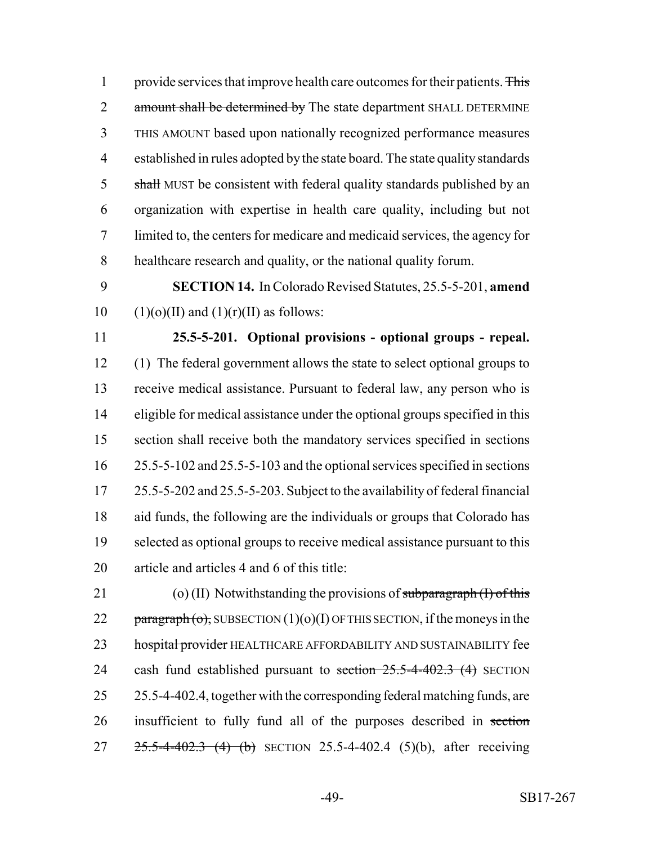1 provide services that improve health care outcomes for their patients. This 2 amount shall be determined by The state department SHALL DETERMINE THIS AMOUNT based upon nationally recognized performance measures established in rules adopted by the state board. The state quality standards 5 shall MUST be consistent with federal quality standards published by an organization with expertise in health care quality, including but not limited to, the centers for medicare and medicaid services, the agency for healthcare research and quality, or the national quality forum.

 **SECTION 14.** In Colorado Revised Statutes, 25.5-5-201, **amend** 10 (1)(o)(II) and (1)(r)(II) as follows:

 **25.5-5-201. Optional provisions - optional groups - repeal.** (1) The federal government allows the state to select optional groups to receive medical assistance. Pursuant to federal law, any person who is eligible for medical assistance under the optional groups specified in this section shall receive both the mandatory services specified in sections 25.5-5-102 and 25.5-5-103 and the optional services specified in sections 25.5-5-202 and 25.5-5-203. Subject to the availability of federal financial aid funds, the following are the individuals or groups that Colorado has selected as optional groups to receive medical assistance pursuant to this article and articles 4 and 6 of this title:

21 (o) (II) Notwithstanding the provisions of subparagraph  $(I)$  of this 22 paragraph  $\overline{(o)}$ , SUBSECTION  $(1)(o)(I)$  OF THIS SECTION, if the moneys in the 23 hospital provider HEALTHCARE AFFORDABILITY AND SUSTAINABILITY fee 24 cash fund established pursuant to section  $25.5$ -4-402.3 (4) SECTION 25.5-4-402.4, together with the corresponding federal matching funds, are insufficient to fully fund all of the purposes described in section 27 25.5-4-402.3 (4) (b) SECTION 25.5-4-402.4 (5)(b), after receiving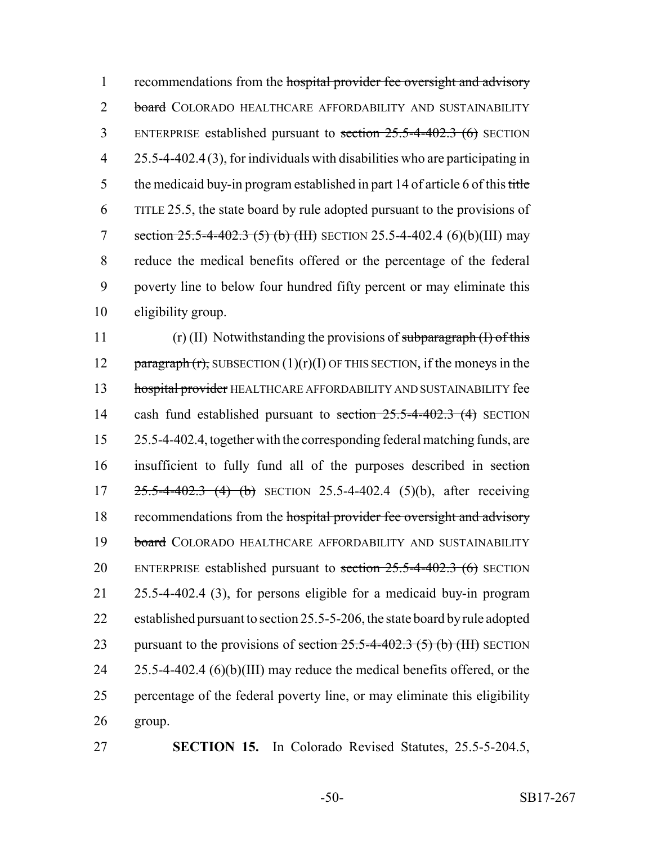1 recommendations from the hospital provider fee oversight and advisory 2 board COLORADO HEALTHCARE AFFORDABILITY AND SUSTAINABILITY 3 ENTERPRISE established pursuant to section 25.5-4-402.3 (6) SECTION 4 25.5-4-402.4 (3), for individuals with disabilities who are participating in 5 the medicaid buy-in program established in part 14 of article 6 of this title 6 TITLE 25.5, the state board by rule adopted pursuant to the provisions of 7 section  $25.5-4-402.3$  (5) (b) (III) SECTION 25.5-4-402.4 (6)(b)(III) may 8 reduce the medical benefits offered or the percentage of the federal 9 poverty line to below four hundred fifty percent or may eliminate this 10 eligibility group.

11 (r) (II) Notwithstanding the provisions of subparagraph  $(I)$  of this 12 paragraph  $(r)$ , SUBSECTION  $(1)(r)(I)$  OF THIS SECTION, if the moneys in the 13 hospital provider HEALTHCARE AFFORDABILITY AND SUSTAINABILITY fee 14 cash fund established pursuant to section 25.5-4-402.3 (4) SECTION 15 25.5-4-402.4, together with the corresponding federal matching funds, are 16 insufficient to fully fund all of the purposes described in section 17 25.5-4-402.3 (4) (b) SECTION 25.5-4-402.4 (5)(b), after receiving 18 recommendations from the hospital provider fee oversight and advisory 19 board COLORADO HEALTHCARE AFFORDABILITY AND SUSTAINABILITY 20 ENTERPRISE established pursuant to section 25.5-4-402.3 (6) SECTION 21 25.5-4-402.4 (3), for persons eligible for a medicaid buy-in program 22 established pursuant to section 25.5-5-206, the state board by rule adopted 23 pursuant to the provisions of section  $25.5$ -4-402.3  $(5)$  (b) (III) SECTION 24 25.5-4-402.4 (6)(b)(III) may reduce the medical benefits offered, or the 25 percentage of the federal poverty line, or may eliminate this eligibility 26 group.

27 **SECTION 15.** In Colorado Revised Statutes, 25.5-5-204.5,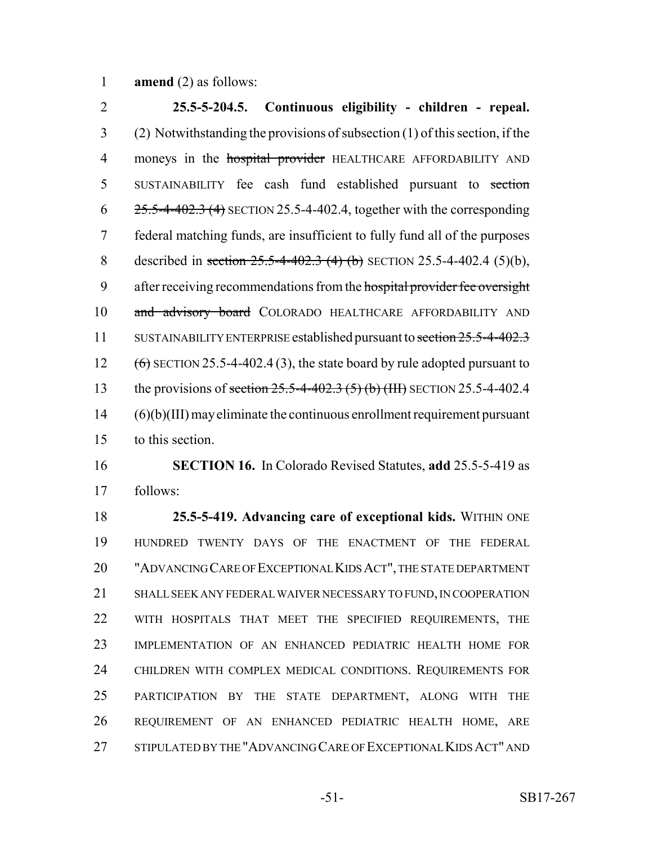**amend** (2) as follows:

 **25.5-5-204.5. Continuous eligibility - children - repeal.** (2) Notwithstanding the provisions of subsection (1) of this section, if the 4 moneys in the hospital provider HEALTHCARE AFFORDABILITY AND 5 SUSTAINABILITY fee cash fund established pursuant to section  $6 \frac{25.5-4-402.3}{4}$  SECTION 25.5-4-402.4, together with the corresponding federal matching funds, are insufficient to fully fund all of the purposes 8 described in section 25.5-4-402.3 (4) (b) SECTION 25.5-4-402.4 (5)(b), 9 after receiving recommendations from the hospital provider fee oversight 10 and advisory board COLORADO HEALTHCARE AFFORDABILITY AND 11 SUSTAINABILITY ENTERPRISE established pursuant to section 25.5-4-402.3 12  $(6)$  SECTION 25.5-4-402.4 (3), the state board by rule adopted pursuant to 13 the provisions of section 25.5-4-402.3 (5) (b) (III) SECTION 25.5-4-402.4 (6)(b)(III) may eliminate the continuous enrollment requirement pursuant to this section. **SECTION 16.** In Colorado Revised Statutes, **add** 25.5-5-419 as follows:

 **25.5-5-419. Advancing care of exceptional kids.** WITHIN ONE HUNDRED TWENTY DAYS OF THE ENACTMENT OF THE FEDERAL "ADVANCING CARE OF EXCEPTIONAL KIDS ACT", THE STATE DEPARTMENT SHALL SEEK ANY FEDERAL WAIVER NECESSARY TO FUND, IN COOPERATION WITH HOSPITALS THAT MEET THE SPECIFIED REQUIREMENTS, THE IMPLEMENTATION OF AN ENHANCED PEDIATRIC HEALTH HOME FOR CHILDREN WITH COMPLEX MEDICAL CONDITIONS. REQUIREMENTS FOR PARTICIPATION BY THE STATE DEPARTMENT, ALONG WITH THE REQUIREMENT OF AN ENHANCED PEDIATRIC HEALTH HOME, ARE STIPULATED BY THE "ADVANCING CARE OF EXCEPTIONAL KIDS ACT" AND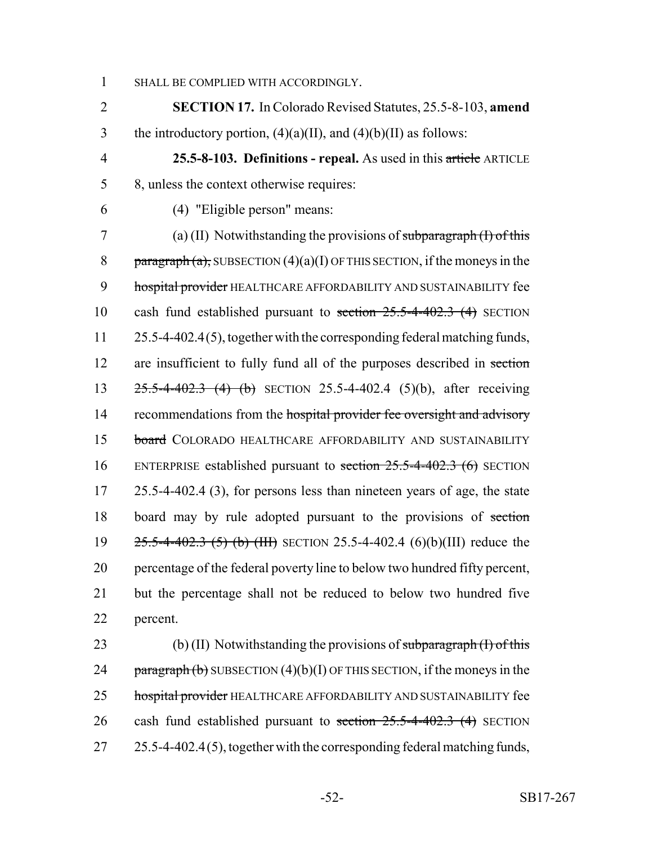1 SHALL BE COMPLIED WITH ACCORDINGLY.

2 **SECTION 17.** In Colorado Revised Statutes, 25.5-8-103, **amend** 3 the introductory portion,  $(4)(a)(II)$ , and  $(4)(b)(II)$  as follows:

4 **25.5-8-103. Definitions - repeal.** As used in this article ARTICLE 5 8, unless the context otherwise requires:

6 (4) "Eligible person" means:

7 (a) (II) Notwithstanding the provisions of subparagraph  $(H)$  of this 8 paragraph (a), SUBSECTION  $(4)(a)(I)$  OF THIS SECTION, if the moneys in the 9 hospital provider HEALTHCARE AFFORDABILITY AND SUSTAINABILITY fee 10 cash fund established pursuant to section 25.5-4-402.3 (4) SECTION 11 25.5-4-402.4(5), together with the corresponding federal matching funds, 12 are insufficient to fully fund all of the purposes described in section 13 25.5-4-402.3 (4) (b) SECTION 25.5-4-402.4 (5)(b), after receiving 14 recommendations from the hospital provider fee oversight and advisory 15 board COLORADO HEALTHCARE AFFORDABILITY AND SUSTAINABILITY 16 ENTERPRISE established pursuant to section 25.5-4-402.3 (6) SECTION 17 25.5-4-402.4 (3), for persons less than nineteen years of age, the state 18 board may by rule adopted pursuant to the provisions of section 19 25.5-4-402.3 (5) (b) (III) SECTION 25.5-4-402.4 (6)(b)(III) reduce the 20 percentage of the federal poverty line to below two hundred fifty percent, 21 but the percentage shall not be reduced to below two hundred five 22 percent.

23 (b) (II) Notwithstanding the provisions of subparagraph  $(I)$  of this 24 paragraph (b) SUBSECTION  $(4)(b)(I)$  OF THIS SECTION, if the moneys in the 25 hospital provider HEALTHCARE AFFORDABILITY AND SUSTAINABILITY fee 26 cash fund established pursuant to section 25.5-4-402.3 (4) SECTION 27 25.5-4-402.4(5), together with the corresponding federal matching funds,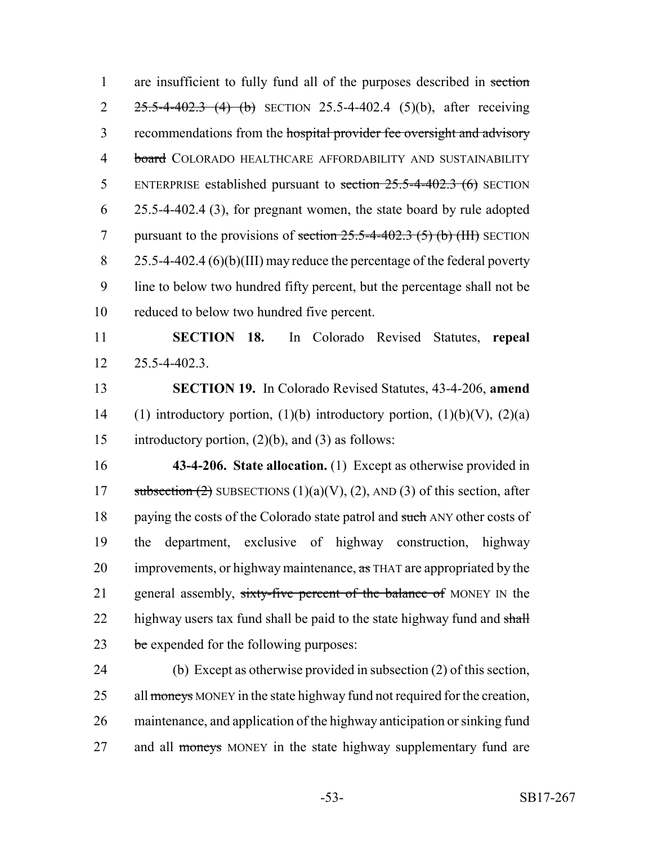1 are insufficient to fully fund all of the purposes described in section 2 25.5-4-402.3 (4) (b) SECTION 25.5-4-402.4 (5)(b), after receiving 3 recommendations from the hospital provider fee oversight and advisory 4 board COLORADO HEALTHCARE AFFORDABILITY AND SUSTAINABILITY 5 ENTERPRISE established pursuant to section 25.5-4-402.3 (6) SECTION 6 25.5-4-402.4 (3), for pregnant women, the state board by rule adopted 7 pursuant to the provisions of section  $25.5-4-402.3$  (5) (b) (HI) SECTION 8 25.5-4-402.4 (6)(b)(III) may reduce the percentage of the federal poverty 9 line to below two hundred fifty percent, but the percentage shall not be 10 reduced to below two hundred five percent.

11 **SECTION 18.** In Colorado Revised Statutes, **repeal** 12 25.5-4-402.3.

13 **SECTION 19.** In Colorado Revised Statutes, 43-4-206, **amend** 14 (1) introductory portion, (1)(b) introductory portion, (1)(b)(V), (2)(a) 15 introductory portion, (2)(b), and (3) as follows:

16 **43-4-206. State allocation.** (1) Except as otherwise provided in 17 subsection  $(2)$  SUBSECTIONS  $(1)(a)(V)$ ,  $(2)$ , AND  $(3)$  of this section, after 18 paying the costs of the Colorado state patrol and such ANY other costs of 19 the department, exclusive of highway construction, highway 20 improvements, or highway maintenance, as THAT are appropriated by the 21 general assembly, sixty-five percent of the balance of MONEY IN the 22 highway users tax fund shall be paid to the state highway fund and shall 23 be expended for the following purposes:

24 (b) Except as otherwise provided in subsection (2) of this section, 25 all moneys MONEY in the state highway fund not required for the creation, 26 maintenance, and application of the highway anticipation or sinking fund 27 and all moneys MONEY in the state highway supplementary fund are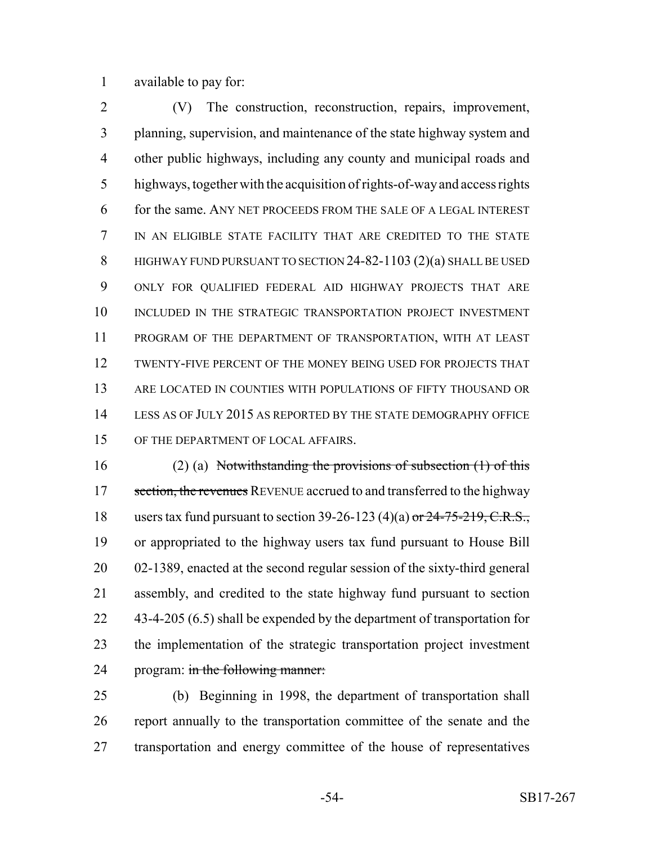available to pay for:

 (V) The construction, reconstruction, repairs, improvement, planning, supervision, and maintenance of the state highway system and other public highways, including any county and municipal roads and highways, together with the acquisition of rights-of-way and access rights for the same. ANY NET PROCEEDS FROM THE SALE OF A LEGAL INTEREST IN AN ELIGIBLE STATE FACILITY THAT ARE CREDITED TO THE STATE 8 HIGHWAY FUND PURSUANT TO SECTION 24-82-1103 (2)(a) SHALL BE USED ONLY FOR QUALIFIED FEDERAL AID HIGHWAY PROJECTS THAT ARE 10 INCLUDED IN THE STRATEGIC TRANSPORTATION PROJECT INVESTMENT PROGRAM OF THE DEPARTMENT OF TRANSPORTATION, WITH AT LEAST TWENTY-FIVE PERCENT OF THE MONEY BEING USED FOR PROJECTS THAT ARE LOCATED IN COUNTIES WITH POPULATIONS OF FIFTY THOUSAND OR LESS AS OF JULY 2015 AS REPORTED BY THE STATE DEMOGRAPHY OFFICE OF THE DEPARTMENT OF LOCAL AFFAIRS.

 (2) (a) Notwithstanding the provisions of subsection (1) of this 17 section, the revenues REVENUE accrued to and transferred to the highway 18 users tax fund pursuant to section 39-26-123 (4)(a) or  $24-75-219$ , C.R.S., or appropriated to the highway users tax fund pursuant to House Bill 02-1389, enacted at the second regular session of the sixty-third general assembly, and credited to the state highway fund pursuant to section 22 43-4-205 (6.5) shall be expended by the department of transportation for the implementation of the strategic transportation project investment 24 program: in the following manner:

 (b) Beginning in 1998, the department of transportation shall report annually to the transportation committee of the senate and the transportation and energy committee of the house of representatives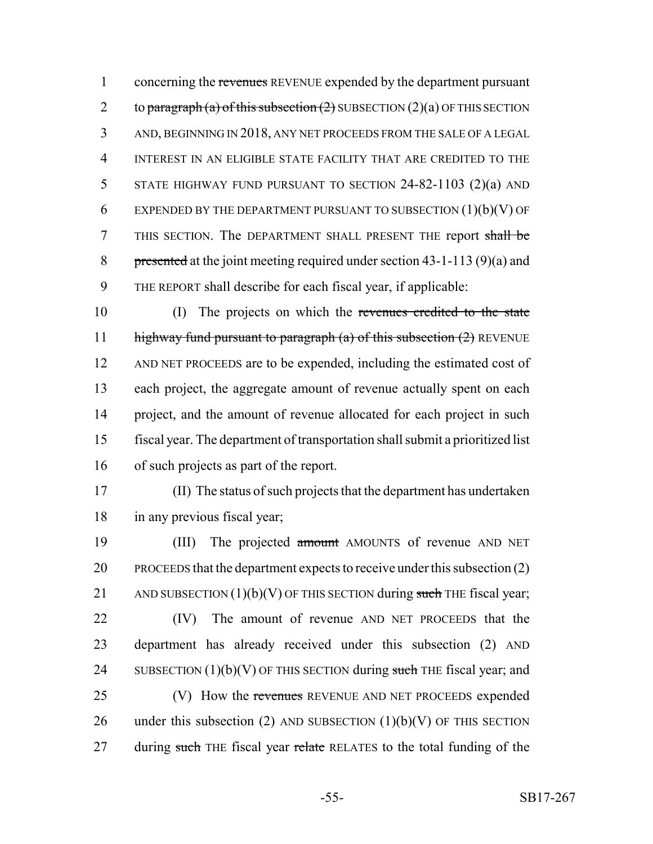1 concerning the revenues REVENUE expended by the department pursuant 2 to paragraph (a) of this subsection  $(2)$  SUBSECTION  $(2)(a)$  OF THIS SECTION 3 AND, BEGINNING IN 2018, ANY NET PROCEEDS FROM THE SALE OF A LEGAL 4 INTEREST IN AN ELIGIBLE STATE FACILITY THAT ARE CREDITED TO THE 5 STATE HIGHWAY FUND PURSUANT TO SECTION 24-82-1103 (2)(a) AND 6 EXPENDED BY THE DEPARTMENT PURSUANT TO SUBSECTION  $(1)(b)(V)$  OF 7 THIS SECTION. The DEPARTMENT SHALL PRESENT THE report shall be 8 presented at the joint meeting required under section 43-1-113 (9)(a) and 9 THE REPORT shall describe for each fiscal year, if applicable:

 (I) The projects on which the revenues credited to the state 11 highway fund pursuant to paragraph (a) of this subsection  $(2)$  REVENUE AND NET PROCEEDS are to be expended, including the estimated cost of each project, the aggregate amount of revenue actually spent on each project, and the amount of revenue allocated for each project in such fiscal year. The department of transportation shall submit a prioritized list of such projects as part of the report.

17 (II) The status of such projects that the department has undertaken 18 in any previous fiscal year;

19 (III) The projected amount AMOUNTS of revenue AND NET 20 PROCEEDS that the department expects to receive under this subsection (2) 21 AND SUBSECTION  $(1)(b)(V)$  OF THIS SECTION during such THE fiscal year; 22 (IV) The amount of revenue AND NET PROCEEDS that the 23 department has already received under this subsection (2) AND 24 SUBSECTION  $(1)(b)(V)$  OF THIS SECTION during such THE fiscal year; and 25 (V) How the revenues REVENUE AND NET PROCEEDS expended 26 under this subsection (2) AND SUBSECTION  $(1)(b)(V)$  OF THIS SECTION 27 during such THE fiscal year relate RELATES to the total funding of the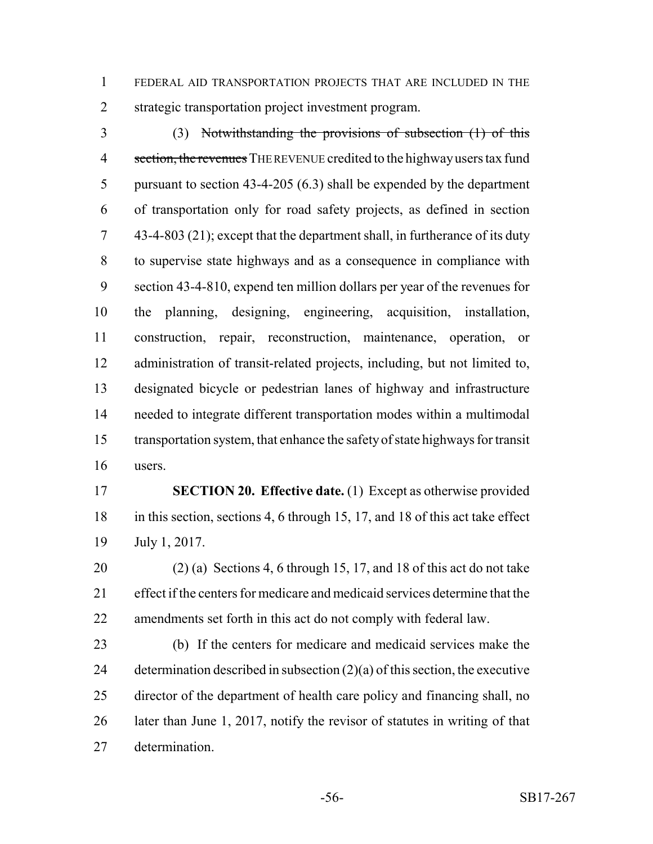FEDERAL AID TRANSPORTATION PROJECTS THAT ARE INCLUDED IN THE strategic transportation project investment program.

 (3) Notwithstanding the provisions of subsection (1) of this 4 section, the revenues THE REVENUE credited to the highway users tax fund pursuant to section 43-4-205 (6.3) shall be expended by the department of transportation only for road safety projects, as defined in section 43-4-803 (21); except that the department shall, in furtherance of its duty to supervise state highways and as a consequence in compliance with section 43-4-810, expend ten million dollars per year of the revenues for the planning, designing, engineering, acquisition, installation, construction, repair, reconstruction, maintenance, operation, or administration of transit-related projects, including, but not limited to, designated bicycle or pedestrian lanes of highway and infrastructure needed to integrate different transportation modes within a multimodal transportation system, that enhance the safety of state highways for transit users.

 **SECTION 20. Effective date.** (1) Except as otherwise provided in this section, sections 4, 6 through 15, 17, and 18 of this act take effect July 1, 2017.

 (2) (a) Sections 4, 6 through 15, 17, and 18 of this act do not take effect if the centers for medicare and medicaid services determine that the amendments set forth in this act do not comply with federal law.

 (b) If the centers for medicare and medicaid services make the determination described in subsection (2)(a) of this section, the executive director of the department of health care policy and financing shall, no later than June 1, 2017, notify the revisor of statutes in writing of that determination.